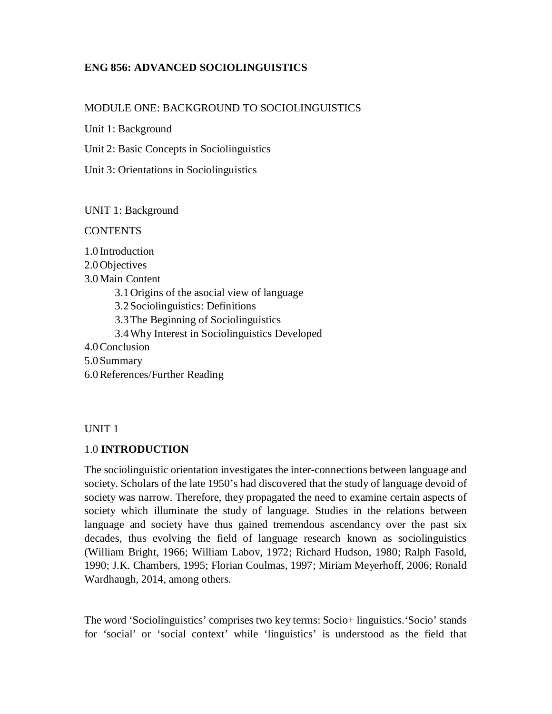## **ENG 856: ADVANCED SOCIOLINGUISTICS**

### MODULE ONE: BACKGROUND TO SOCIOLINGUISTICS

Unit 1: Background

Unit 2: Basic Concepts in Sociolinguistics

Unit 3: Orientations in Sociolinguistics

UNIT 1: Background

**CONTENTS** 

1.0 Introduction

2.0Objectives

3.0Main Content

3.1Origins of the asocial view of language

3.2Sociolinguistics: Definitions

3.3The Beginning of Sociolinguistics

3.4Why Interest in Sociolinguistics Developed

4.0Conclusion

5.0Summary

6.0References/Further Reading

UNIT 1

### 1.0 **INTRODUCTION**

The sociolinguistic orientation investigates the inter-connections between language and society. Scholars of the late 1950's had discovered that the study of language devoid of society was narrow. Therefore, they propagated the need to examine certain aspects of society which illuminate the study of language. Studies in the relations between language and society have thus gained tremendous ascendancy over the past six decades, thus evolving the field of language research known as sociolinguistics (William Bright, 1966; William Labov, 1972; Richard Hudson, 1980; Ralph Fasold, 1990; J.K. Chambers, 1995; Florian Coulmas, 1997; Miriam Meyerhoff, 2006; Ronald Wardhaugh, 2014, among others.

The word 'Sociolinguistics' comprises two key terms: Socio+ linguistics.'Socio' stands for 'social' or 'social context' while 'linguistics' is understood as the field that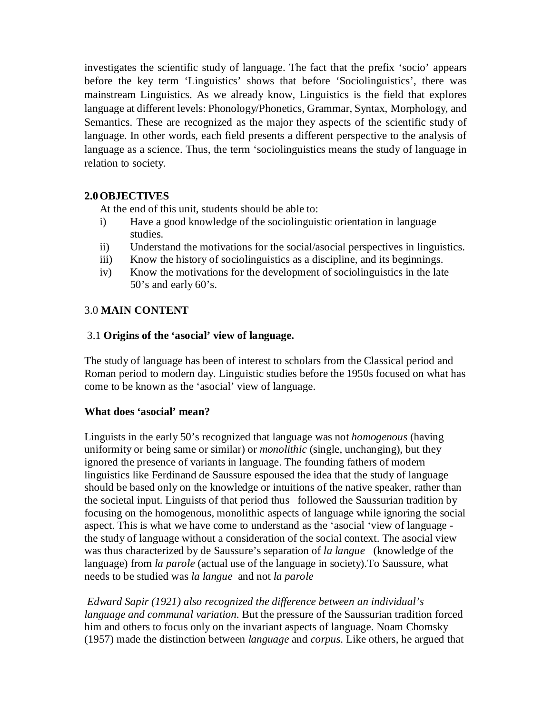investigates the scientific study of language. The fact that the prefix 'socio' appears before the key term 'Linguistics' shows that before 'Sociolinguistics', there was mainstream Linguistics. As we already know, Linguistics is the field that explores language at different levels: Phonology/Phonetics, Grammar, Syntax, Morphology, and Semantics. These are recognized as the major they aspects of the scientific study of language. In other words, each field presents a different perspective to the analysis of language as a science. Thus, the term 'sociolinguistics means the study of language in relation to society.

## **2.0OBJECTIVES**

At the end of this unit, students should be able to:

- i) Have a good knowledge of the sociolinguistic orientation in language studies.
- ii) Understand the motivations for the social/asocial perspectives in linguistics.
- iii) Know the history of sociolinguistics as a discipline, and its beginnings.
- iv) Know the motivations for the development of sociolinguistics in the late 50's and early 60's.

## 3.0 **MAIN CONTENT**

## 3.1 **Origins of the 'asocial' view of language.**

The study of language has been of interest to scholars from the Classical period and Roman period to modern day. Linguistic studies before the 1950s focused on what has come to be known as the 'asocial' view of language.

## **What does 'asocial' mean?**

Linguists in the early 50's recognized that language was not *homogenous* (having uniformity or being same or similar) or *monolithic* (single, unchanging), but they ignored the presence of variants in language. The founding fathers of modern linguistics like Ferdinand de Saussure espoused the idea that the study of language should be based only on the knowledge or intuitions of the native speaker, rather than the societal input. Linguists of that period thus followed the Saussurian tradition by focusing on the homogenous, monolithic aspects of language while ignoring the social aspect. This is what we have come to understand as the 'asocial 'view of language the study of language without a consideration of the social context. The asocial view was thus characterized by de Saussure's separation of *la langue* (knowledge of the language) from *la parole* (actual use of the language in society).To Saussure, what needs to be studied was *la langue* and not *la parole*

*Edward Sapir (1921) also recognized the difference between an individual's language and communal variation*. But the pressure of the Saussurian tradition forced him and others to focus only on the invariant aspects of language. Noam Chomsky (1957) made the distinction between *language* and *corpus*. Like others, he argued that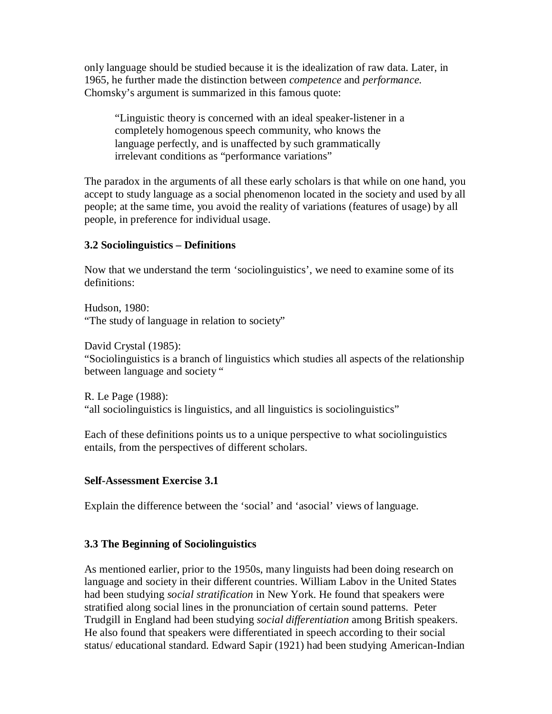only language should be studied because it is the idealization of raw data. Later, in 1965, he further made the distinction between *competence* and *performance*. Chomsky's argument is summarized in this famous quote:

"Linguistic theory is concerned with an ideal speaker-listener in a completely homogenous speech community, who knows the language perfectly, and is unaffected by such grammatically irrelevant conditions as "performance variations"

The paradox in the arguments of all these early scholars is that while on one hand, you accept to study language as a social phenomenon located in the society and used by all people; at the same time, you avoid the reality of variations (features of usage) by all people, in preference for individual usage.

### **3.2 Sociolinguistics – Definitions**

Now that we understand the term 'sociolinguistics', we need to examine some of its definitions:

Hudson, 1980: "The study of language in relation to society"

David Crystal (1985):

"Sociolinguistics is a branch of linguistics which studies all aspects of the relationship between language and society "

R. Le Page (1988): "all sociolinguistics is linguistics, and all linguistics is sociolinguistics"

Each of these definitions points us to a unique perspective to what sociolinguistics entails, from the perspectives of different scholars.

## **Self-Assessment Exercise 3.1**

Explain the difference between the 'social' and 'asocial' views of language.

# **3.3 The Beginning of Sociolinguistics**

As mentioned earlier, prior to the 1950s, many linguists had been doing research on language and society in their different countries. William Labov in the United States had been studying *social stratification* in New York. He found that speakers were stratified along social lines in the pronunciation of certain sound patterns. Peter Trudgill in England had been studying *social differentiation* among British speakers. He also found that speakers were differentiated in speech according to their social status/ educational standard. Edward Sapir (1921) had been studying American-Indian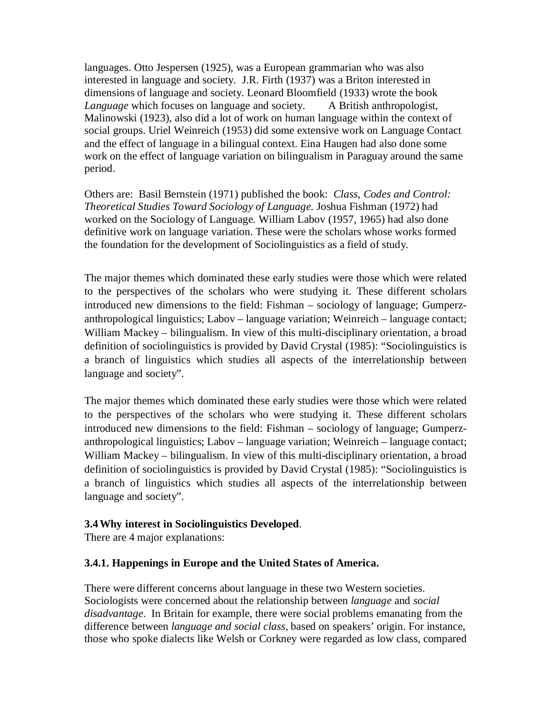languages. Otto Jespersen (1925), was a European grammarian who was also interested in language and society. J.R. Firth (1937) was a Briton interested in dimensions of language and society. Leonard Bloomfield (1933) wrote the book *Language* which focuses on language and society. A British anthropologist, Malinowski (1923), also did a lot of work on human language within the context of social groups. Uriel Weinreich (1953) did some extensive work on Language Contact and the effect of language in a bilingual context. Eina Haugen had also done some work on the effect of language variation on bilingualism in Paraguay around the same period.

Others are: Basil Bernstein (1971) published the book: *Class, Codes and Control: Theoretical Studies Toward Sociology of Language.* Joshua Fishman (1972) had worked on the Sociology of Language. William Labov (1957, 1965) had also done definitive work on language variation. These were the scholars whose works formed the foundation for the development of Sociolinguistics as a field of study.

The major themes which dominated these early studies were those which were related to the perspectives of the scholars who were studying it. These different scholars introduced new dimensions to the field: Fishman – sociology of language; Gumperzanthropological linguistics; Labov – language variation; Weinreich – language contact; William Mackey – bilingualism. In view of this multi-disciplinary orientation, a broad definition of sociolinguistics is provided by David Crystal (1985): "Sociolinguistics is a branch of linguistics which studies all aspects of the interrelationship between language and society".

The major themes which dominated these early studies were those which were related to the perspectives of the scholars who were studying it. These different scholars introduced new dimensions to the field: Fishman – sociology of language; Gumperzanthropological linguistics; Labov – language variation; Weinreich – language contact; William Mackey – bilingualism. In view of this multi-disciplinary orientation, a broad definition of sociolinguistics is provided by David Crystal (1985): "Sociolinguistics is a branch of linguistics which studies all aspects of the interrelationship between language and society".

## **3.4Why interest in Sociolinguistics Developed**.

There are 4 major explanations:

## **3.4.1. Happenings in Europe and the United States of America.**

There were different concerns about language in these two Western societies. Sociologists were concerned about the relationship between *language* and *social disadvantage*. In Britain for example, there were social problems emanating from the difference between *language and social class*, based on speakers' origin. For instance, those who spoke dialects like Welsh or Corkney were regarded as low class, compared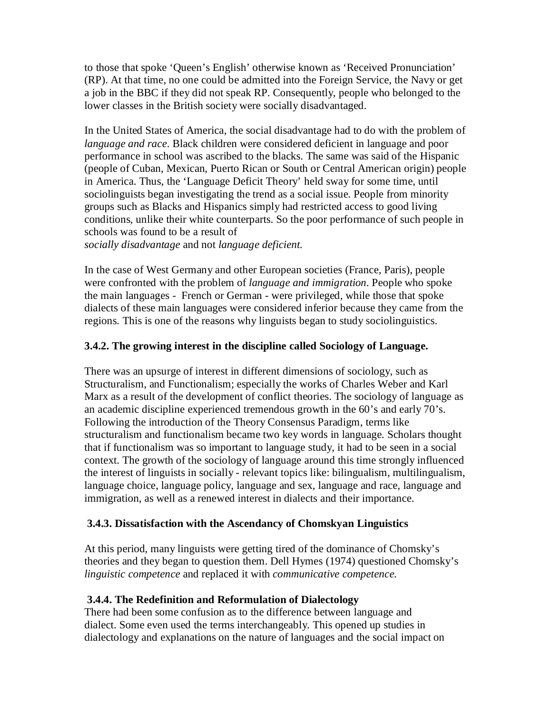to those that spoke 'Queen's English' otherwise known as 'Received Pronunciation' (RP). At that time, no one could be admitted into the Foreign Service, the Navy or get a job in the BBC if they did not speak RP. Consequently, people who belonged to the lower classes in the British society were socially disadvantaged.

In the United States of America, the social disadvantage had to do with the problem of *language and race.* Black children were considered deficient in language and poor performance in school was ascribed to the blacks. The same was said of the Hispanic (people of Cuban, Mexican, Puerto Rican or South or Central American origin) people in America. Thus, the 'Language Deficit Theory' held sway for some time, until sociolinguists began investigating the trend as a social issue. People from minority groups such as Blacks and Hispanics simply had restricted access to good living conditions, unlike their white counterparts. So the poor performance of such people in schools was found to be a result of *socially disadvantage* and not *language deficient.* 

In the case of West Germany and other European societies (France, Paris), people were confronted with the problem of *language and immigration.* People who spoke the main languages - French or German - were privileged, while those that spoke dialects of these main languages were considered inferior because they came from the regions. This is one of the reasons why linguists began to study sociolinguistics.

## **3.4.2. The growing interest in the discipline called Sociology of Language.**

There was an upsurge of interest in different dimensions of sociology, such as Structuralism, and Functionalism; especially the works of Charles Weber and Karl Marx as a result of the development of conflict theories. The sociology of language as an academic discipline experienced tremendous growth in the 60's and early 70's. Following the introduction of the Theory Consensus Paradigm, terms like structuralism and functionalism became two key words in language. Scholars thought that if functionalism was so important to language study, it had to be seen in a social context. The growth of the sociology of language around this time strongly influenced the interest of linguists in socially - relevant topics like: bilingualism, multilingualism, language choice, language policy, language and sex, language and race, language and immigration, as well as a renewed interest in dialects and their importance.

## **3.4.3. Dissatisfaction with the Ascendancy of Chomskyan Linguistics**

At this period, many linguists were getting tired of the dominance of Chomsky's theories and they began to question them. Dell Hymes (1974) questioned Chomsky's *linguistic competence* and replaced it with *communicative competence.* 

## **3.4.4. The Redefinition and Reformulation of Dialectology**

There had been some confusion as to the difference between language and dialect. Some even used the terms interchangeably. This opened up studies in dialectology and explanations on the nature of languages and the social impact on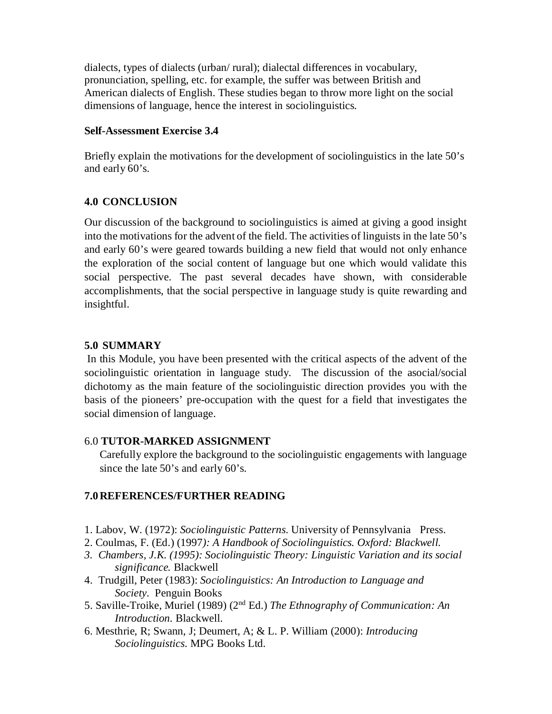dialects, types of dialects (urban/ rural); dialectal differences in vocabulary, pronunciation, spelling, etc. for example, the suffer was between British and American dialects of English. These studies began to throw more light on the social dimensions of language, hence the interest in sociolinguistics.

### **Self-Assessment Exercise 3.4**

Briefly explain the motivations for the development of sociolinguistics in the late 50's and early 60's.

## **4.0 CONCLUSION**

Our discussion of the background to sociolinguistics is aimed at giving a good insight into the motivations for the advent of the field. The activities of linguists in the late 50's and early 60's were geared towards building a new field that would not only enhance the exploration of the social content of language but one which would validate this social perspective. The past several decades have shown, with considerable accomplishments, that the social perspective in language study is quite rewarding and insightful.

### **5.0 SUMMARY**

 In this Module, you have been presented with the critical aspects of the advent of the sociolinguistic orientation in language study. The discussion of the asocial/social dichotomy as the main feature of the sociolinguistic direction provides you with the basis of the pioneers' pre-occupation with the quest for a field that investigates the social dimension of language.

### 6.0 **TUTOR-MARKED ASSIGNMENT**

Carefully explore the background to the sociolinguistic engagements with language since the late 50's and early 60's.

## **7.0REFERENCES/FURTHER READING**

- 1. Labov, W. (1972): *Sociolinguistic Patterns*. University of Pennsylvania Press.
- 2. Coulmas, F. (Ed.) (1997*): A Handbook of Sociolinguistics. Oxford: Blackwell.*
- *3. Chambers, J.K. (1995): Sociolinguistic Theory: Linguistic Variation and its social significance.* Blackwell
- 4. Trudgill, Peter (1983): *Sociolinguistics: An Introduction to Language and Society.* Penguin Books
- 5. Saville-Troike, Muriel (1989) (2nd Ed.) *The Ethnography of Communication: An Introduction.* Blackwell.
- 6. Mesthrie, R; Swann, J; Deumert, A; & L. P. William (2000): *Introducing Sociolinguistics*. MPG Books Ltd.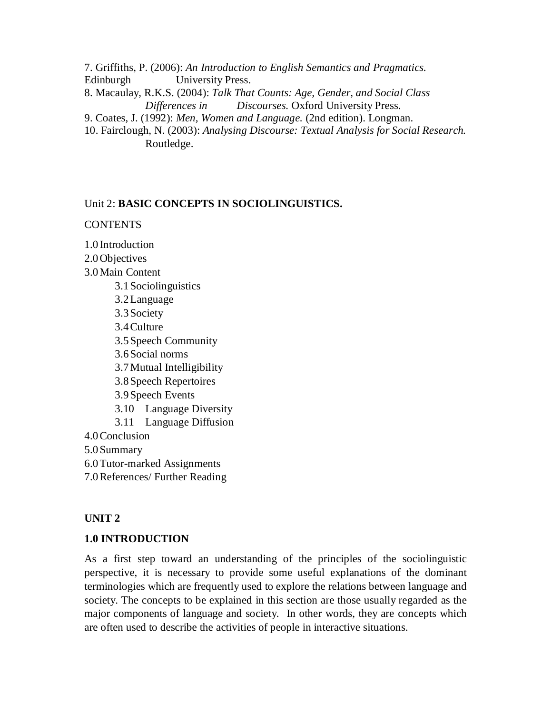7. Griffiths, P. (2006): *An Introduction to English Semantics and Pragmatics.* 

Edinburgh University Press.

8. Macaulay, R.K.S. (2004): *Talk That Counts: Age, Gender, and Social Class Differences in Discourses.* Oxford University Press.

9. Coates, J. (1992): *Men, Women and Language.* (2nd edition). Longman.

10. Fairclough, N. (2003): *Analysing Discourse: Textual Analysis for Social Research.* Routledge.

## Unit 2: **BASIC CONCEPTS IN SOCIOLINGUISTICS.**

## **CONTENTS**

1.0 Introduction

2.0Objectives

- 3.0Main Content
- 3.1Sociolinguistics 3.2Language 3.3Society 3.4Culture 3.5Speech Community 3.6Social norms 3.7Mutual Intelligibility 3.8Speech Repertoires 3.9Speech Events 3.10 Language Diversity 3.11 Language Diffusion 4.0Conclusion 5.0Summary
- 6.0Tutor-marked Assignments
- 7.0References/ Further Reading

# **UNIT 2**

## **1.0 INTRODUCTION**

As a first step toward an understanding of the principles of the sociolinguistic perspective, it is necessary to provide some useful explanations of the dominant terminologies which are frequently used to explore the relations between language and society. The concepts to be explained in this section are those usually regarded as the major components of language and society. In other words, they are concepts which are often used to describe the activities of people in interactive situations.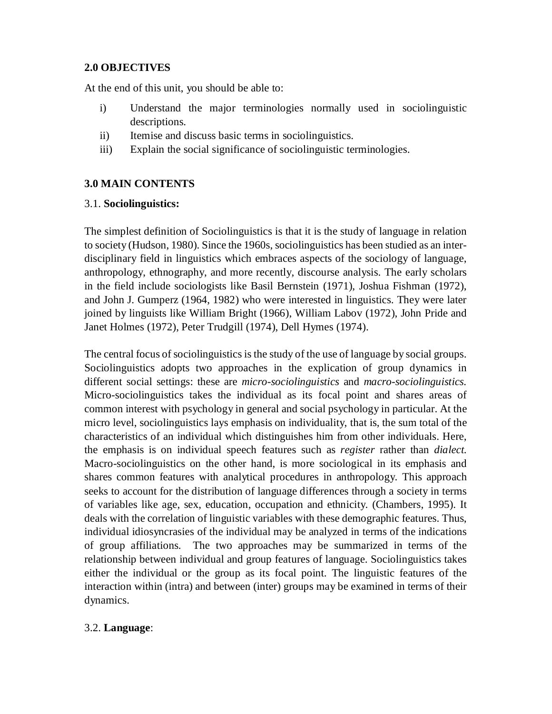## **2.0 OBJECTIVES**

At the end of this unit, you should be able to:

- i) Understand the major terminologies normally used in sociolinguistic descriptions.
- ii) Itemise and discuss basic terms in sociolinguistics.
- iii) Explain the social significance of sociolinguistic terminologies.

# **3.0 MAIN CONTENTS**

## 3.1. **Sociolinguistics:**

The simplest definition of Sociolinguistics is that it is the study of language in relation to society (Hudson, 1980). Since the 1960s, sociolinguistics has been studied as an interdisciplinary field in linguistics which embraces aspects of the sociology of language, anthropology, ethnography, and more recently, discourse analysis. The early scholars in the field include sociologists like Basil Bernstein (1971), Joshua Fishman (1972), and John J. Gumperz (1964, 1982) who were interested in linguistics. They were later joined by linguists like William Bright (1966), William Labov (1972), John Pride and Janet Holmes (1972), Peter Trudgill (1974), Dell Hymes (1974).

The central focus of sociolinguistics is the study of the use of language by social groups. Sociolinguistics adopts two approaches in the explication of group dynamics in different social settings: these are *micro-sociolinguistics* and *macro-sociolinguistics.*  Micro-sociolinguistics takes the individual as its focal point and shares areas of common interest with psychology in general and social psychology in particular. At the micro level, sociolinguistics lays emphasis on individuality, that is, the sum total of the characteristics of an individual which distinguishes him from other individuals. Here, the emphasis is on individual speech features such as *register* rather than *dialect.* Macro-sociolinguistics on the other hand, is more sociological in its emphasis and shares common features with analytical procedures in anthropology. This approach seeks to account for the distribution of language differences through a society in terms of variables like age, sex, education, occupation and ethnicity. (Chambers, 1995). It deals with the correlation of linguistic variables with these demographic features. Thus, individual idiosyncrasies of the individual may be analyzed in terms of the indications of group affiliations. The two approaches may be summarized in terms of the relationship between individual and group features of language. Sociolinguistics takes either the individual or the group as its focal point. The linguistic features of the interaction within (intra) and between (inter) groups may be examined in terms of their dynamics.

# 3.2. **Language**: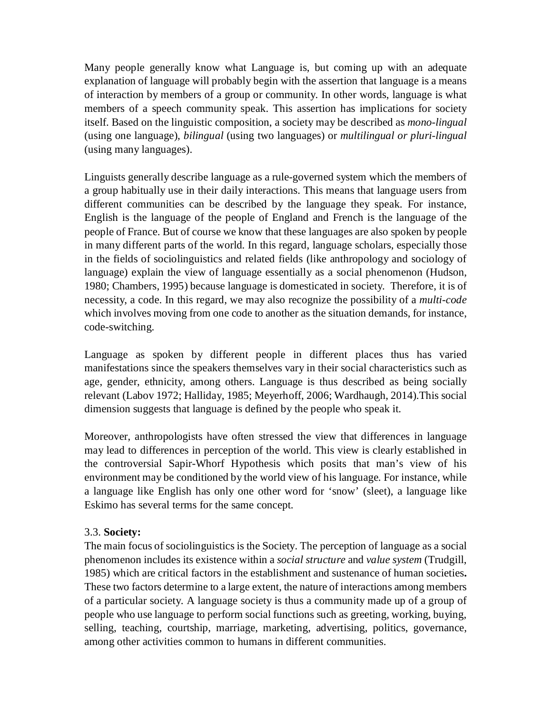Many people generally know what Language is, but coming up with an adequate explanation of language will probably begin with the assertion that language is a means of interaction by members of a group or community. In other words, language is what members of a speech community speak. This assertion has implications for society itself. Based on the linguistic composition, a society may be described as *mono-lingual* (using one language), *bilingual* (using two languages) or *multilingual or pluri-lingual*  (using many languages).

Linguists generally describe language as a rule-governed system which the members of a group habitually use in their daily interactions. This means that language users from different communities can be described by the language they speak. For instance, English is the language of the people of England and French is the language of the people of France. But of course we know that these languages are also spoken by people in many different parts of the world. In this regard, language scholars, especially those in the fields of sociolinguistics and related fields (like anthropology and sociology of language) explain the view of language essentially as a social phenomenon (Hudson, 1980; Chambers, 1995) because language is domesticated in society. Therefore, it is of necessity, a code. In this regard, we may also recognize the possibility of a *multi-code*  which involves moving from one code to another as the situation demands, for instance, code-switching.

Language as spoken by different people in different places thus has varied manifestations since the speakers themselves vary in their social characteristics such as age, gender, ethnicity, among others. Language is thus described as being socially relevant (Labov 1972; Halliday, 1985; Meyerhoff, 2006; Wardhaugh, 2014).This social dimension suggests that language is defined by the people who speak it.

Moreover, anthropologists have often stressed the view that differences in language may lead to differences in perception of the world. This view is clearly established in the controversial Sapir-Whorf Hypothesis which posits that man's view of his environment may be conditioned by the world view of his language. For instance, while a language like English has only one other word for 'snow' (sleet), a language like Eskimo has several terms for the same concept.

## 3.3. **Society:**

The main focus of sociolinguistics is the Society. The perception of language as a social phenomenon includes its existence within a *social structure* and *value system* (Trudgill, 1985) which are critical factors in the establishment and sustenance of human societies**.** These two factors determine to a large extent, the nature of interactions among members of a particular society. A language society is thus a community made up of a group of people who use language to perform social functions such as greeting, working, buying, selling, teaching, courtship, marriage, marketing, advertising, politics, governance, among other activities common to humans in different communities.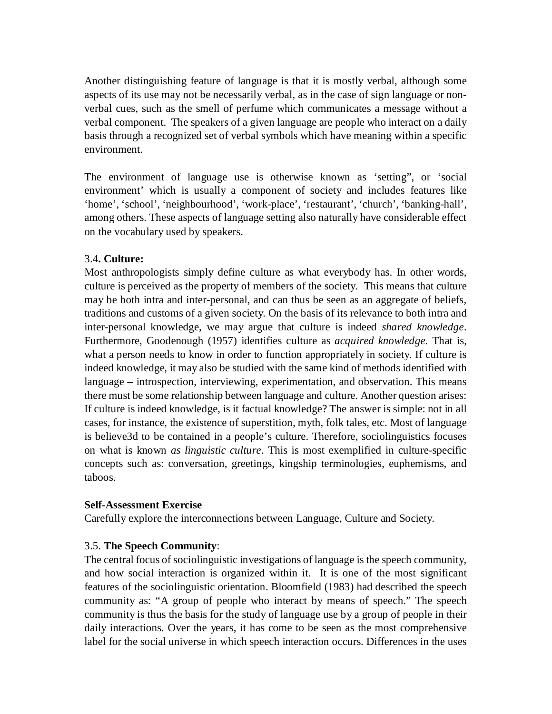Another distinguishing feature of language is that it is mostly verbal, although some aspects of its use may not be necessarily verbal, as in the case of sign language or nonverbal cues, such as the smell of perfume which communicates a message without a verbal component. The speakers of a given language are people who interact on a daily basis through a recognized set of verbal symbols which have meaning within a specific environment.

The environment of language use is otherwise known as 'setting", or 'social environment' which is usually a component of society and includes features like 'home', 'school', 'neighbourhood', 'work-place', 'restaurant', 'church', 'banking-hall', among others. These aspects of language setting also naturally have considerable effect on the vocabulary used by speakers.

## 3.4**. Culture:**

Most anthropologists simply define culture as what everybody has. In other words, culture is perceived as the property of members of the society. This means that culture may be both intra and inter-personal, and can thus be seen as an aggregate of beliefs, traditions and customs of a given society. On the basis of its relevance to both intra and inter-personal knowledge, we may argue that culture is indeed *shared knowledge*. Furthermore, Goodenough (1957) identifies culture as *acquired knowledge*. That is, what a person needs to know in order to function appropriately in society. If culture is indeed knowledge, it may also be studied with the same kind of methods identified with language – introspection, interviewing, experimentation, and observation. This means there must be some relationship between language and culture. Another question arises: If culture is indeed knowledge, is it factual knowledge? The answer is simple: not in all cases, for instance, the existence of superstition, myth, folk tales, etc. Most of language is believe3d to be contained in a people's culture. Therefore, sociolinguistics focuses on what is known *as linguistic culture*. This is most exemplified in culture-specific concepts such as: conversation, greetings, kingship terminologies, euphemisms, and taboos.

### **Self-Assessment Exercise**

Carefully explore the interconnections between Language, Culture and Society.

## 3.5. **The Speech Community**:

The central focus of sociolinguistic investigations of language is the speech community, and how social interaction is organized within it. It is one of the most significant features of the sociolinguistic orientation. Bloomfield (1983) had described the speech community as: "A group of people who interact by means of speech." The speech community is thus the basis for the study of language use by a group of people in their daily interactions. Over the years, it has come to be seen as the most comprehensive label for the social universe in which speech interaction occurs. Differences in the uses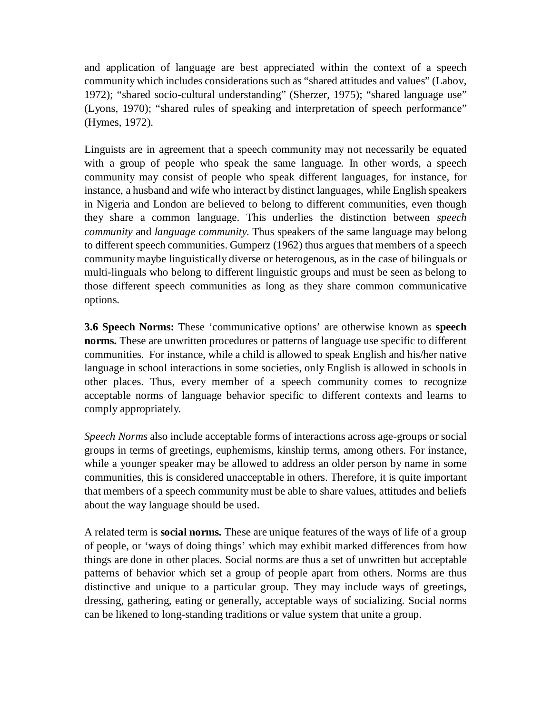and application of language are best appreciated within the context of a speech community which includes considerations such as "shared attitudes and values" (Labov, 1972); "shared socio-cultural understanding" (Sherzer, 1975); "shared language use" (Lyons, 1970); "shared rules of speaking and interpretation of speech performance" (Hymes, 1972).

Linguists are in agreement that a speech community may not necessarily be equated with a group of people who speak the same language. In other words, a speech community may consist of people who speak different languages, for instance, for instance, a husband and wife who interact by distinct languages, while English speakers in Nigeria and London are believed to belong to different communities, even though they share a common language. This underlies the distinction between *speech community* and *language community.* Thus speakers of the same language may belong to different speech communities. Gumperz (1962) thus argues that members of a speech community maybe linguistically diverse or heterogenous, as in the case of bilinguals or multi-linguals who belong to different linguistic groups and must be seen as belong to those different speech communities as long as they share common communicative options.

**3.6 Speech Norms:** These 'communicative options' are otherwise known as **speech norms.** These are unwritten procedures or patterns of language use specific to different communities. For instance, while a child is allowed to speak English and his/her native language in school interactions in some societies, only English is allowed in schools in other places. Thus, every member of a speech community comes to recognize acceptable norms of language behavior specific to different contexts and learns to comply appropriately.

*Speech Norms* also include acceptable forms of interactions across age-groups or social groups in terms of greetings, euphemisms, kinship terms, among others. For instance, while a younger speaker may be allowed to address an older person by name in some communities, this is considered unacceptable in others. Therefore, it is quite important that members of a speech community must be able to share values, attitudes and beliefs about the way language should be used.

A related term is **social norms.** These are unique features of the ways of life of a group of people, or 'ways of doing things' which may exhibit marked differences from how things are done in other places. Social norms are thus a set of unwritten but acceptable patterns of behavior which set a group of people apart from others. Norms are thus distinctive and unique to a particular group. They may include ways of greetings, dressing, gathering, eating or generally, acceptable ways of socializing. Social norms can be likened to long-standing traditions or value system that unite a group.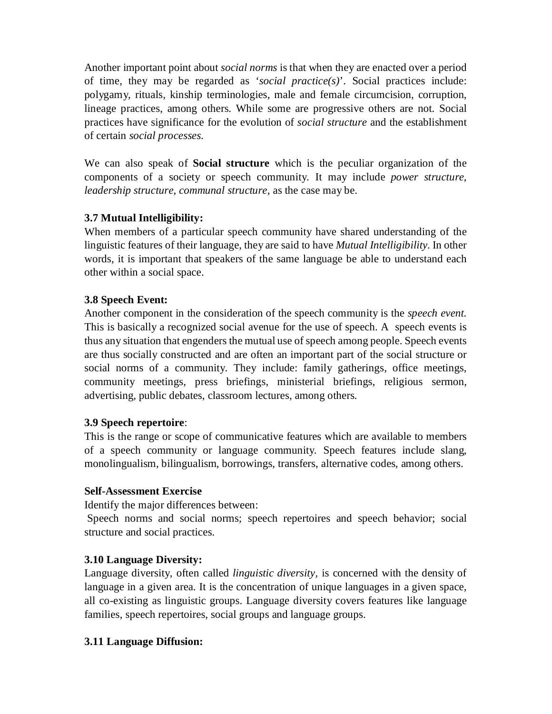Another important point about *social norms* is that when they are enacted over a period of time, they may be regarded as '*social practice(s)*'. Social practices include: polygamy, rituals, kinship terminologies, male and female circumcision, corruption, lineage practices, among others. While some are progressive others are not. Social practices have significance for the evolution of *social structure* and the establishment of certain *social processes.* 

We can also speak of **Social structure** which is the peculiar organization of the components of a society or speech community. It may include *power structure*, *leadership structure*, *communal structure*, as the case may be.

## **3.7 Mutual Intelligibility:**

When members of a particular speech community have shared understanding of the linguistic features of their language, they are said to have *Mutual Intelligibility.* In other words, it is important that speakers of the same language be able to understand each other within a social space.

### **3.8 Speech Event:**

Another component in the consideration of the speech community is the *speech event.* This is basically a recognized social avenue for the use of speech. A speech events is thus any situation that engenders the mutual use of speech among people. Speech events are thus socially constructed and are often an important part of the social structure or social norms of a community. They include: family gatherings, office meetings, community meetings, press briefings, ministerial briefings, religious sermon, advertising, public debates, classroom lectures, among others.

## **3.9 Speech repertoire**:

This is the range or scope of communicative features which are available to members of a speech community or language community. Speech features include slang, monolingualism, bilingualism, borrowings, transfers, alternative codes, among others.

### **Self-Assessment Exercise**

Identify the major differences between:

 Speech norms and social norms; speech repertoires and speech behavior; social structure and social practices.

## **3.10 Language Diversity:**

Language diversity, often called *linguistic diversity,* is concerned with the density of language in a given area. It is the concentration of unique languages in a given space, all co-existing as linguistic groups. Language diversity covers features like language families, speech repertoires, social groups and language groups.

## **3.11 Language Diffusion:**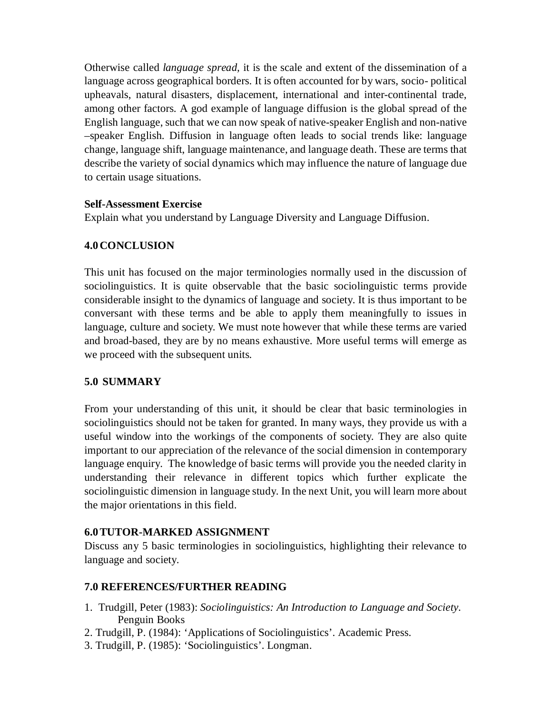Otherwise called *language spread,* it is the scale and extent of the dissemination of a language across geographical borders. It is often accounted for by wars, socio- political upheavals, natural disasters, displacement, international and inter-continental trade, among other factors. A god example of language diffusion is the global spread of the English language, such that we can now speak of native-speaker English and non-native –speaker English. Diffusion in language often leads to social trends like: language change, language shift, language maintenance, and language death. These are terms that describe the variety of social dynamics which may influence the nature of language due to certain usage situations.

## **Self-Assessment Exercise**

Explain what you understand by Language Diversity and Language Diffusion.

## **4.0CONCLUSION**

This unit has focused on the major terminologies normally used in the discussion of sociolinguistics. It is quite observable that the basic sociolinguistic terms provide considerable insight to the dynamics of language and society. It is thus important to be conversant with these terms and be able to apply them meaningfully to issues in language, culture and society. We must note however that while these terms are varied and broad-based, they are by no means exhaustive. More useful terms will emerge as we proceed with the subsequent units.

## **5.0 SUMMARY**

From your understanding of this unit, it should be clear that basic terminologies in sociolinguistics should not be taken for granted. In many ways, they provide us with a useful window into the workings of the components of society. They are also quite important to our appreciation of the relevance of the social dimension in contemporary language enquiry. The knowledge of basic terms will provide you the needed clarity in understanding their relevance in different topics which further explicate the sociolinguistic dimension in language study. In the next Unit, you will learn more about the major orientations in this field.

## **6.0TUTOR-MARKED ASSIGNMENT**

Discuss any 5 basic terminologies in sociolinguistics, highlighting their relevance to language and society.

## **7.0 REFERENCES/FURTHER READING**

- 1. Trudgill, Peter (1983): *Sociolinguistics: An Introduction to Language and Society.* Penguin Books
- 2. Trudgill, P. (1984): 'Applications of Sociolinguistics'. Academic Press.
- 3. Trudgill, P. (1985): 'Sociolinguistics'. Longman.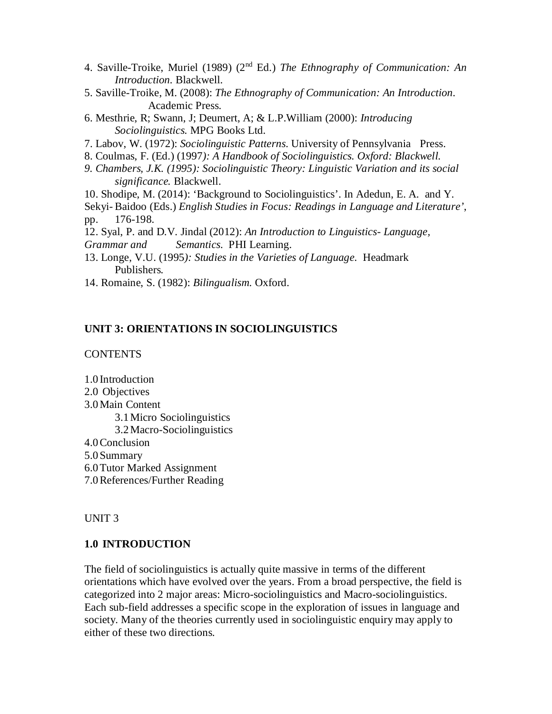- 4. Saville-Troike, Muriel (1989) (2nd Ed.) *The Ethnography of Communication: An Introduction.* Blackwell.
- 5. Saville-Troike, M. (2008): *The Ethnography of Communication: An Introduction*. Academic Press.
- 6. Mesthrie, R; Swann, J; Deumert, A; & L.P.William (2000): *Introducing Sociolinguistics.* MPG Books Ltd.
- 7. Labov, W. (1972): *Sociolinguistic Patterns*. University of Pennsylvania Press.
- 8. Coulmas, F. (Ed.) (1997*): A Handbook of Sociolinguistics. Oxford: Blackwell.*
- *9. Chambers, J.K. (1995): Sociolinguistic Theory: Linguistic Variation and its social significance.* Blackwell.
- 10. Shodipe, M. (2014): 'Background to Sociolinguistics'. In Adedun, E. A. and Y.
- Sekyi- Baidoo (Eds.) *English Studies in Focus: Readings in Language and Literature'*, pp. 176-198.
- 12. Syal, P. and D.V. Jindal (2012): *An Introduction to Linguistics- Language,*
- *Grammar and Semantics.* PHI Learning.
- 13. Longe, V.U. (1995*): Studies in the Varieties of Language*. Headmark Publishers.
- 14. Romaine, S. (1982): *Bilingualism*. Oxford.

### **UNIT 3: ORIENTATIONS IN SOCIOLINGUISTICS**

### **CONTENTS**

- 1.0 Introduction
- 2.0 Objectives
- 3.0Main Content
	- 3.1Micro Sociolinguistics
		- 3.2Macro-Sociolinguistics
- 4.0Conclusion
- 5.0Summary
- 6.0Tutor Marked Assignment
- 7.0References/Further Reading

### UNIT 3

## **1.0 INTRODUCTION**

The field of sociolinguistics is actually quite massive in terms of the different orientations which have evolved over the years. From a broad perspective, the field is categorized into 2 major areas: Micro-sociolinguistics and Macro-sociolinguistics. Each sub-field addresses a specific scope in the exploration of issues in language and society. Many of the theories currently used in sociolinguistic enquiry may apply to either of these two directions.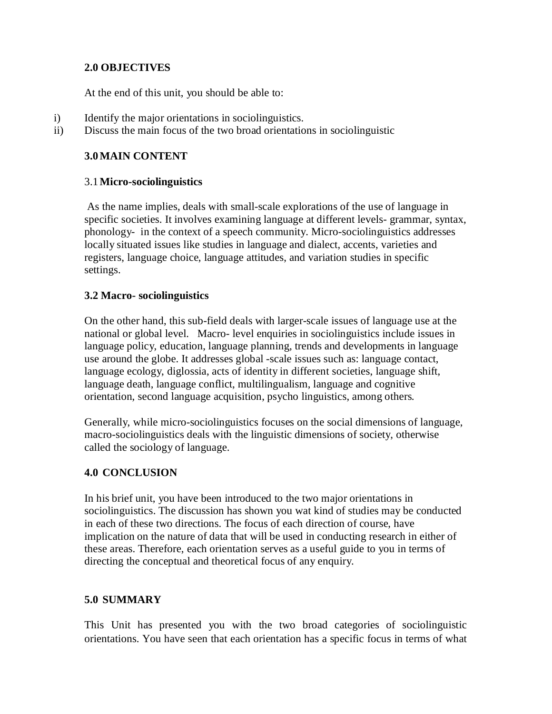## **2.0 OBJECTIVES**

At the end of this unit, you should be able to:

- i) Identify the major orientations in sociolinguistics.
- ii) Discuss the main focus of the two broad orientations in sociolinguistic

## **3.0MAIN CONTENT**

### 3.1**Micro-sociolinguistics**

 As the name implies, deals with small-scale explorations of the use of language in specific societies. It involves examining language at different levels- grammar, syntax, phonology- in the context of a speech community. Micro-sociolinguistics addresses locally situated issues like studies in language and dialect, accents, varieties and registers, language choice, language attitudes, and variation studies in specific settings.

### **3.2 Macro- sociolinguistics**

On the other hand, this sub-field deals with larger-scale issues of language use at the national or global level. Macro- level enquiries in sociolinguistics include issues in language policy, education, language planning, trends and developments in language use around the globe. It addresses global -scale issues such as: language contact, language ecology, diglossia, acts of identity in different societies, language shift, language death, language conflict, multilingualism, language and cognitive orientation, second language acquisition, psycho linguistics, among others.

Generally, while micro-sociolinguistics focuses on the social dimensions of language, macro-sociolinguistics deals with the linguistic dimensions of society, otherwise called the sociology of language.

## **4.0 CONCLUSION**

In his brief unit, you have been introduced to the two major orientations in sociolinguistics. The discussion has shown you wat kind of studies may be conducted in each of these two directions. The focus of each direction of course, have implication on the nature of data that will be used in conducting research in either of these areas. Therefore, each orientation serves as a useful guide to you in terms of directing the conceptual and theoretical focus of any enquiry.

## **5.0 SUMMARY**

This Unit has presented you with the two broad categories of sociolinguistic orientations. You have seen that each orientation has a specific focus in terms of what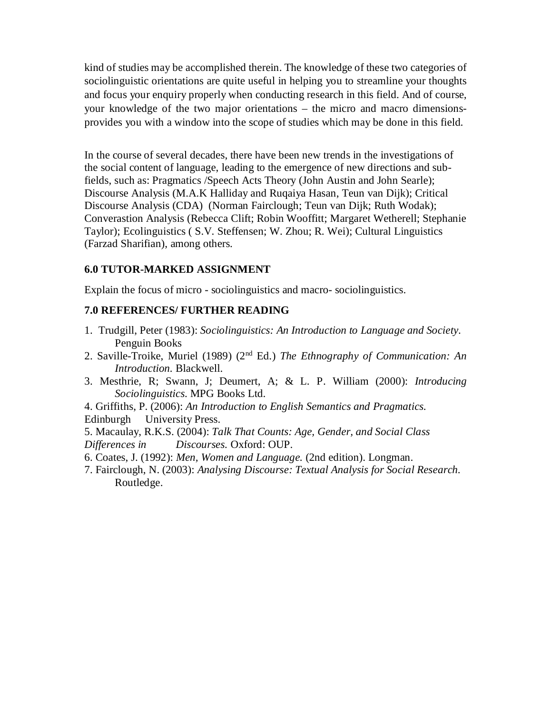kind of studies may be accomplished therein. The knowledge of these two categories of sociolinguistic orientations are quite useful in helping you to streamline your thoughts and focus your enquiry properly when conducting research in this field. And of course, your knowledge of the two major orientations – the micro and macro dimensionsprovides you with a window into the scope of studies which may be done in this field.

In the course of several decades, there have been new trends in the investigations of the social content of language, leading to the emergence of new directions and subfields, such as: Pragmatics /Speech Acts Theory (John Austin and John Searle); Discourse Analysis (M.A.K Halliday and Ruqaiya Hasan, Teun van Dijk); Critical Discourse Analysis (CDA) (Norman Fairclough; Teun van Dijk; Ruth Wodak); Converastion Analysis (Rebecca Clift; Robin Wooffitt; Margaret Wetherell; Stephanie Taylor); Ecolinguistics ( S.V. Steffensen; W. Zhou; R. Wei); Cultural Linguistics (Farzad Sharifian), among others.

### **6.0 TUTOR-MARKED ASSIGNMENT**

Explain the focus of micro - sociolinguistics and macro- sociolinguistics.

### **7.0 REFERENCES/ FURTHER READING**

- 1. Trudgill, Peter (1983): *Sociolinguistics: An Introduction to Language and Society.* Penguin Books
- 2. Saville-Troike, Muriel (1989) (2nd Ed.) *The Ethnography of Communication: An Introduction.* Blackwell.
- 3. Mesthrie, R; Swann, J; Deumert, A; & L. P. William (2000): *Introducing Sociolinguistics*. MPG Books Ltd.
- 4. Griffiths, P. (2006): *An Introduction to English Semantics and Pragmatics.*  Edinburgh University Press.
- 5. Macaulay, R.K.S. (2004): *Talk That Counts: Age, Gender, and Social Class*
- *Differences in Discourses.* Oxford: OUP.
- 6. Coates, J. (1992): *Men, Women and Language.* (2nd edition). Longman.
- 7. Fairclough, N. (2003): *Analysing Discourse: Textual Analysis for Social Research.* Routledge.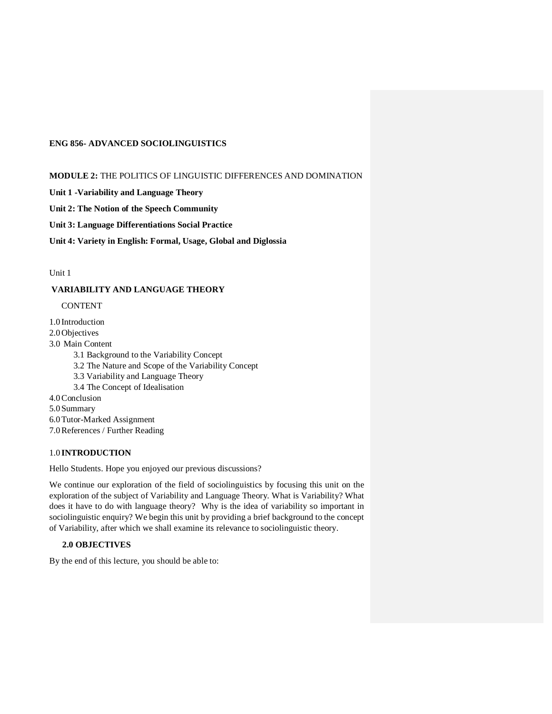### **ENG 856- ADVANCED SOCIOLINGUISTICS**

#### **MODULE 2:** THE POLITICS OF LINGUISTIC DIFFERENCES AND DOMINATION

**Unit 1 -Variability and Language Theory** 

**Unit 2: The Notion of the Speech Community** 

#### **Unit 3: Language Differentiations Social Practice**

**Unit 4: Variety in English: Formal, Usage, Global and Diglossia** 

Unit 1

### **VARIABILITY AND LANGUAGE THEORY**

#### CONTENT

1.0 Introduction

2.0 Objectives

3.0 Main Content

3.1 Background to the Variability Concept

- 3.2 The Nature and Scope of the Variability Concept
- 3.3 Variability and Language Theory

3.4 The Concept of Idealisation

4.0Conclusion

5.0 Summary

6.0Tutor-Marked Assignment

7.0References / Further Reading

### 1.0 **INTRODUCTION**

Hello Students. Hope you enjoyed our previous discussions?

We continue our exploration of the field of sociolinguistics by focusing this unit on the exploration of the subject of Variability and Language Theory. What is Variability? What does it have to do with language theory? Why is the idea of variability so important in sociolinguistic enquiry? We begin this unit by providing a brief background to the concept of Variability, after which we shall examine its relevance to sociolinguistic theory.

### **2.0 OBJECTIVES**

By the end of this lecture, you should be able to: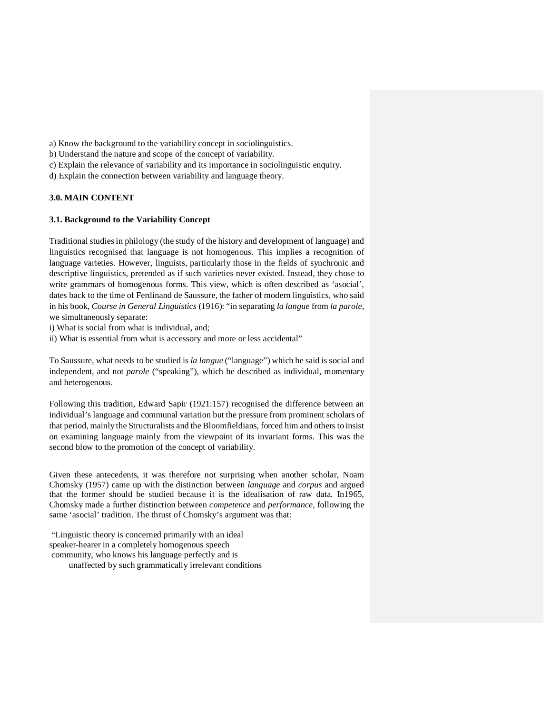a) Know the background to the variability concept in sociolinguistics.

b) Understand the nature and scope of the concept of variability.

c) Explain the relevance of variability and its importance in sociolinguistic enquiry.

d) Explain the connection between variability and language theory.

### **3.0. MAIN CONTENT**

### **3.1. Background to the Variability Concept**

Traditional studies in philology (the study of the history and development of language) and linguistics recognised that language is not homogenous. This implies a recognition of language varieties. However, linguists, particularly those in the fields of synchronic and descriptive linguistics, pretended as if such varieties never existed. Instead, they chose to write grammars of homogenous forms. This view, which is often described as 'asocial', dates back to the time of Ferdinand de Saussure, the father of modern linguistics, who said in his book, *Course in General Linguistics* (1916): "in separating *la langue* from *la parole*, we simultaneously separate:

i) What is social from what is individual, and;

ii) What is essential from what is accessory and more or less accidental"

To Saussure, what needs to be studied is *la langue* ("language") which he said is social and independent, and not *parole* ("speaking"), which he described as individual, momentary and heterogenous.

Following this tradition, Edward Sapir (1921:157) recognised the difference between an individual's language and communal variation but the pressure from prominent scholars of that period, mainly the Structuralists and the Bloomfieldians, forced him and others to insist on examining language mainly from the viewpoint of its invariant forms. This was the second blow to the promotion of the concept of variability.

Given these antecedents, it was therefore not surprising when another scholar, Noam Chomsky (1957) came up with the distinction between *language* and *corpus* and argued that the former should be studied because it is the idealisation of raw data. In1965, Chomsky made a further distinction between *competence* and *performance,* following the same 'asocial' tradition. The thrust of Chomsky's argument was that:

 "Linguistic theory is concerned primarily with an ideal speaker-hearer in a completely homogenous speech community, who knows his language perfectly and is unaffected by such grammatically irrelevant conditions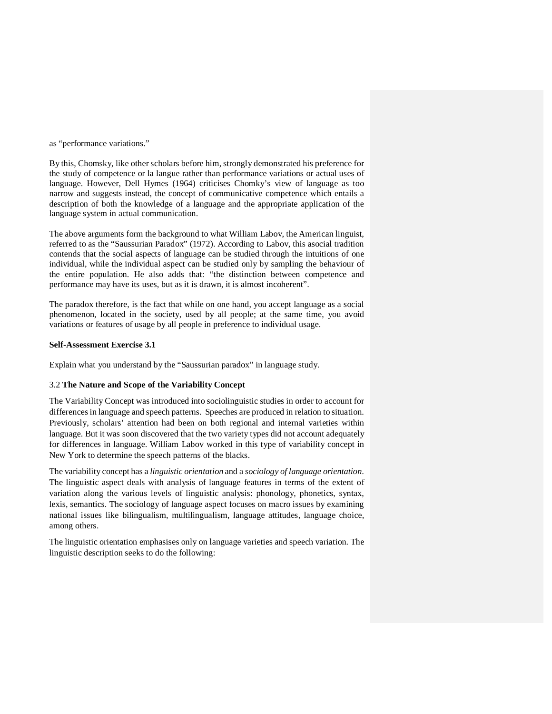as "performance variations."

By this, Chomsky, like other scholars before him, strongly demonstrated his preference for the study of competence or la langue rather than performance variations or actual uses of language. However, Dell Hymes (1964) criticises Chomky's view of language as too narrow and suggests instead, the concept of communicative competence which entails a description of both the knowledge of a language and the appropriate application of the language system in actual communication.

The above arguments form the background to what William Labov, the American linguist, referred to as the "Saussurian Paradox" (1972). According to Labov, this asocial tradition contends that the social aspects of language can be studied through the intuitions of one individual, while the individual aspect can be studied only by sampling the behaviour of the entire population. He also adds that: "the distinction between competence and performance may have its uses, but as it is drawn, it is almost incoherent".

The paradox therefore, is the fact that while on one hand, you accept language as a social phenomenon, located in the society, used by all people; at the same time, you avoid variations or features of usage by all people in preference to individual usage.

#### **Self-Assessment Exercise 3.1**

Explain what you understand by the "Saussurian paradox" in language study.

#### 3.2 **The Nature and Scope of the Variability Concept**

The Variability Concept was introduced into sociolinguistic studies in order to account for differences in language and speech patterns. Speeches are produced in relation to situation. Previously, scholars' attention had been on both regional and internal varieties within language. But it was soon discovered that the two variety types did not account adequately for differences in language. William Labov worked in this type of variability concept in New York to determine the speech patterns of the blacks.

The variability concept has a *linguistic orientation* and a *sociology of language orientation.* The linguistic aspect deals with analysis of language features in terms of the extent of variation along the various levels of linguistic analysis: phonology, phonetics, syntax, lexis, semantics. The sociology of language aspect focuses on macro issues by examining national issues like bilingualism, multilingualism, language attitudes, language choice, among others.

The linguistic orientation emphasises only on language varieties and speech variation. The linguistic description seeks to do the following: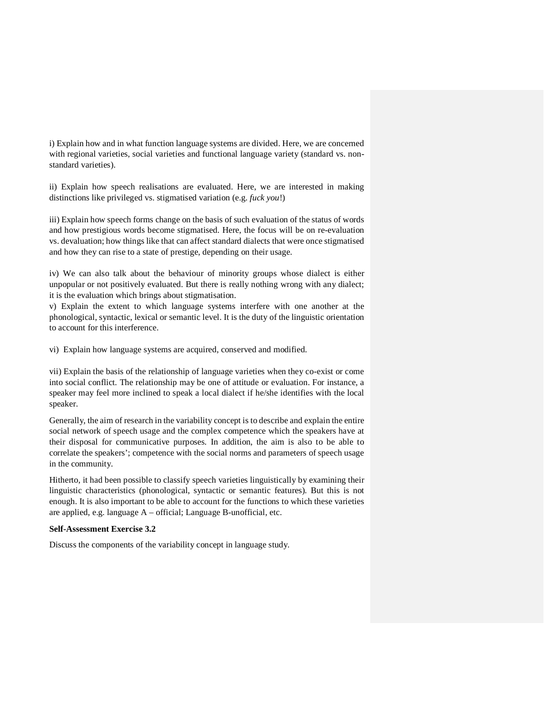i) Explain how and in what function language systems are divided. Here, we are concerned with regional varieties, social varieties and functional language variety (standard vs. nonstandard varieties).

ii) Explain how speech realisations are evaluated. Here, we are interested in making distinctions like privileged vs. stigmatised variation (e.g. *fuck you*!)

iii) Explain how speech forms change on the basis of such evaluation of the status of words and how prestigious words become stigmatised. Here, the focus will be on re-evaluation vs. devaluation; how things like that can affect standard dialects that were once stigmatised and how they can rise to a state of prestige, depending on their usage.

iv) We can also talk about the behaviour of minority groups whose dialect is either unpopular or not positively evaluated. But there is really nothing wrong with any dialect; it is the evaluation which brings about stigmatisation.

v) Explain the extent to which language systems interfere with one another at the phonological, syntactic, lexical or semantic level. It is the duty of the linguistic orientation to account for this interference.

vi) Explain how language systems are acquired, conserved and modified.

vii) Explain the basis of the relationship of language varieties when they co-exist or come into social conflict. The relationship may be one of attitude or evaluation. For instance, a speaker may feel more inclined to speak a local dialect if he/she identifies with the local speaker.

Generally, the aim of research in the variability concept is to describe and explain the entire social network of speech usage and the complex competence which the speakers have at their disposal for communicative purposes. In addition, the aim is also to be able to correlate the speakers'; competence with the social norms and parameters of speech usage in the community.

Hitherto, it had been possible to classify speech varieties linguistically by examining their linguistic characteristics (phonological, syntactic or semantic features). But this is not enough. It is also important to be able to account for the functions to which these varieties are applied, e.g. language A – official; Language B-unofficial, etc.

### **Self-Assessment Exercise 3.2**

Discuss the components of the variability concept in language study.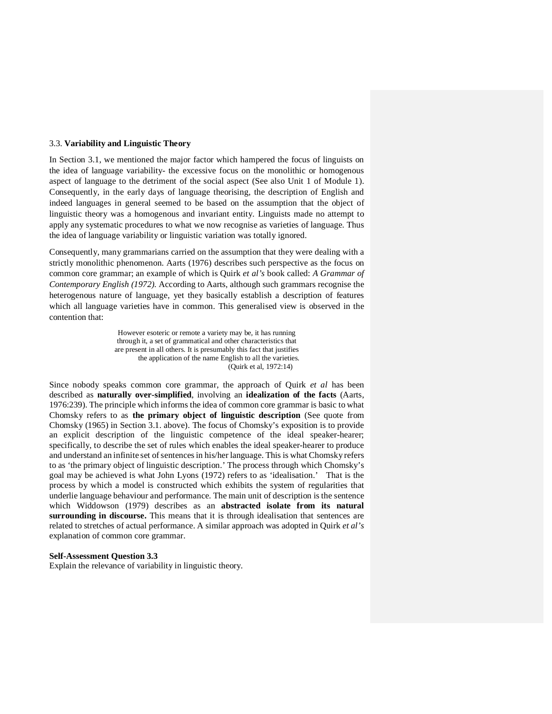### 3.3. **Variability and Linguistic Theory**

In Section 3.1, we mentioned the major factor which hampered the focus of linguists on the idea of language variability- the excessive focus on the monolithic or homogenous aspect of language to the detriment of the social aspect (See also Unit 1 of Module 1). Consequently, in the early days of language theorising, the description of English and indeed languages in general seemed to be based on the assumption that the object of linguistic theory was a homogenous and invariant entity. Linguists made no attempt to apply any systematic procedures to what we now recognise as varieties of language. Thus the idea of language variability or linguistic variation was totally ignored.

Consequently, many grammarians carried on the assumption that they were dealing with a strictly monolithic phenomenon. Aarts (1976) describes such perspective as the focus on common core grammar; an example of which is Quirk *et al's* book called: *A Grammar of Contemporary English (1972).* According to Aarts, although such grammars recognise the heterogenous nature of language, yet they basically establish a description of features which all language varieties have in common. This generalised view is observed in the contention that:

> However esoteric or remote a variety may be, it has running through it, a set of grammatical and other characteristics that are present in all others. It is presumably this fact that justifies the application of the name English to all the varieties. (Quirk et al, 1972:14)

Since nobody speaks common core grammar, the approach of Quirk *et al* has been described as **naturally over-simplified**, involving an **idealization of the facts** (Aarts, 1976:239). The principle which informs the idea of common core grammar is basic to what Chomsky refers to as **the primary object of linguistic description** (See quote from Chomsky (1965) in Section 3.1. above). The focus of Chomsky's exposition is to provide an explicit description of the linguistic competence of the ideal speaker-hearer; specifically, to describe the set of rules which enables the ideal speaker-hearer to produce and understand an infinite set of sentences in his/her language. This is what Chomsky refers to as 'the primary object of linguistic description.' The process through which Chomsky's goal may be achieved is what John Lyons (1972) refers to as 'idealisation.' That is the process by which a model is constructed which exhibits the system of regularities that underlie language behaviour and performance. The main unit of description is the sentence which Widdowson (1979) describes as an **abstracted isolate from its natural surrounding in discourse.** This means that it is through idealisation that sentences are related to stretches of actual performance. A similar approach was adopted in Quirk *et al's* explanation of common core grammar.

#### **Self-Assessment Question 3.3**

Explain the relevance of variability in linguistic theory.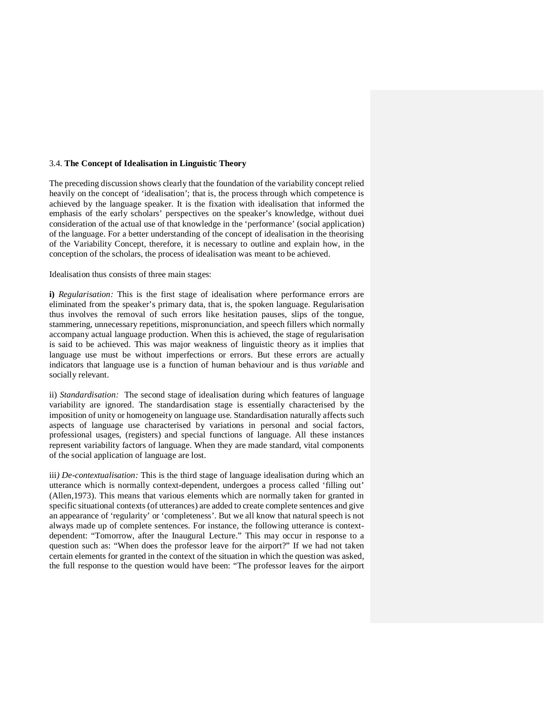#### 3.4. **The Concept of Idealisation in Linguistic Theory**

The preceding discussion shows clearly that the foundation of the variability concept relied heavily on the concept of 'idealisation'; that is, the process through which competence is achieved by the language speaker. It is the fixation with idealisation that informed the emphasis of the early scholars' perspectives on the speaker's knowledge, without duei consideration of the actual use of that knowledge in the 'performance' (social application) of the language. For a better understanding of the concept of idealisation in the theorising of the Variability Concept, therefore, it is necessary to outline and explain how, in the conception of the scholars, the process of idealisation was meant to be achieved.

#### Idealisation thus consists of three main stages:

**i)** *Regularisation:* This is the first stage of idealisation where performance errors are eliminated from the speaker's primary data, that is, the spoken language. Regularisation thus involves the removal of such errors like hesitation pauses, slips of the tongue, stammering, unnecessary repetitions, mispronunciation, and speech fillers which normally accompany actual language production. When this is achieved, the stage of regularisation is said to be achieved. This was major weakness of linguistic theory as it implies that language use must be without imperfections or errors. But these errors are actually indicators that language use is a function of human behaviour and is thus *variable* and socially relevant.

ii) *Standardisation:* The second stage of idealisation during which features of language variability are ignored. The standardisation stage is essentially characterised by the imposition of unity or homogeneity on language use. Standardisation naturally affects such aspects of language use characterised by variations in personal and social factors, professional usages, (registers) and special functions of language. All these instances represent variability factors of language. When they are made standard, vital components of the social application of language are lost.

iii*) De-contextualisation:* This is the third stage of language idealisation during which an utterance which is normally context-dependent, undergoes a process called 'filling out' (Allen,1973). This means that various elements which are normally taken for granted in specific situational contexts (of utterances) are added to create complete sentences and give an appearance of 'regularity' or 'completeness'. But we all know that natural speech is not always made up of complete sentences. For instance, the following utterance is contextdependent: "Tomorrow, after the Inaugural Lecture." This may occur in response to a question such as: "When does the professor leave for the airport?" If we had not taken certain elements for granted in the context of the situation in which the question was asked, the full response to the question would have been: "The professor leaves for the airport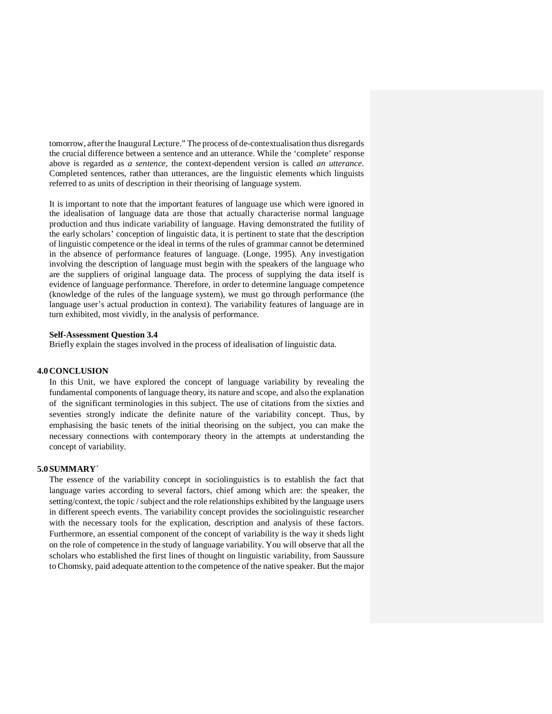tomorrow, after the Inaugural Lecture." The process of de-contextualisation thus disregards the crucial difference between a sentence and an utterance. While the 'complete' response above is regarded as *a sentence*, the context-dependent version is called *an utterance.*  Completed sentences, rather than utterances, are the linguistic elements which linguists referred to as units of description in their theorising of language system.

It is important to note that the important features of language use which were ignored in the idealisation of language data are those that actually characterise normal language production and thus indicate variability of language. Having demonstrated the futility of the early scholars' conception of linguistic data, it is pertinent to state that the description of linguistic competence or the ideal in terms of the rules of grammar cannot be determined in the absence of performance features of language. (Longe, 1995). Any investigation involving the description of language must begin with the speakers of the language who are the suppliers of original language data. The process of supplying the data itself is evidence of language performance. Therefore, in order to determine language competence (knowledge of the rules of the language system), we must go through performance (the language user's actual production in context). The variability features of language are in turn exhibited, most vividly, in the analysis of performance.

#### **Self-Assessment Question 3.4**

Briefly explain the stages involved in the process of idealisation of linguistic data.

#### **4.0 CONCLUSION**

In this Unit, we have explored the concept of language variability by revealing the fundamental components of language theory, its nature and scope, and also the explanation of the significant terminologies in this subject. The use of citations from the sixties and seventies strongly indicate the definite nature of the variability concept. Thus, by emphasising the basic tenets of the initial theorising on the subject, you can make the necessary connections with contemporary theory in the attempts at understanding the concept of variability.

#### **5.0 SUMMARY`**

The essence of the variability concept in sociolinguistics is to establish the fact that language varies according to several factors, chief among which are: the speaker, the setting/context, the topic / subject and the role relationships exhibited by the language users in different speech events. The variability concept provides the sociolinguistic researcher with the necessary tools for the explication, description and analysis of these factors. Furthermore, an essential component of the concept of variability is the way it sheds light on the role of competence in the study of language variability. You will observe that all the scholars who established the first lines of thought on linguistic variability, from Saussure to Chomsky, paid adequate attention to the competence of the native speaker. But the major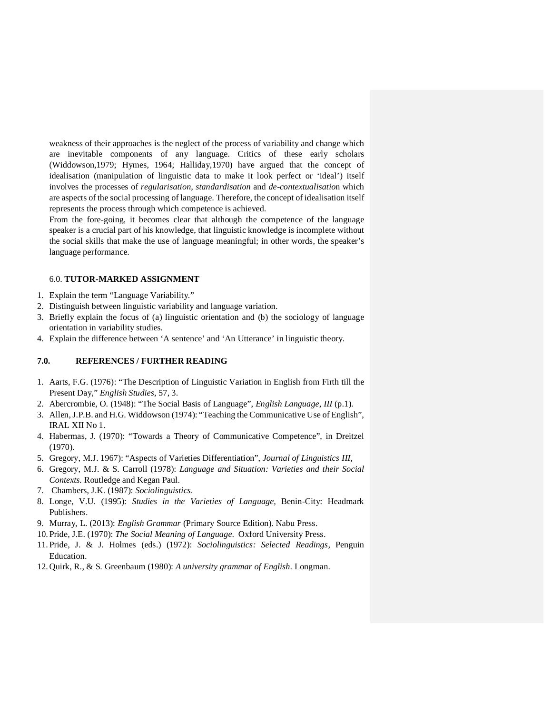weakness of their approaches is the neglect of the process of variability and change which are inevitable components of any language. Critics of these early scholars (Widdowson,1979; Hymes, 1964; Halliday,1970) have argued that the concept of idealisation (manipulation of linguistic data to make it look perfect or 'ideal') itself involves the processes of *regularisation, standardisation* and *de-contextualisatio*n which are aspects of the social processing of language. Therefore, the concept of idealisation itself represents the process through which competence is achieved.

From the fore-going, it becomes clear that although the competence of the language speaker is a crucial part of his knowledge, that linguistic knowledge is incomplete without the social skills that make the use of language meaningful; in other words, the speaker's language performance.

### 6.0. **TUTOR-MARKED ASSIGNMENT**

- 1. Explain the term "Language Variability."
- 2. Distinguish between linguistic variability and language variation.
- 3. Briefly explain the focus of (a) linguistic orientation and (b) the sociology of language orientation in variability studies.
- 4. Explain the difference between 'A sentence' and 'An Utterance' in linguistic theory.

### **7.0. REFERENCES / FURTHER READING**

- 1. Aarts, F.G. (1976): "The Description of Linguistic Variation in English from Firth till the Present Day," *English Studies,* 57, 3.
- 2. Abercrombie, O. (1948): "The Social Basis of Language", *English Language*, *III* (p.1).
- 3. Allen, J.P.B. and H.G. Widdowson (1974): "Teaching the Communicative Use of English", IRAL XII No 1.
- 4. Habermas, J. (1970): "Towards a Theory of Communicative Competence", in Dreitzel (1970).
- 5. Gregory, M.J. 1967): "Aspects of Varieties Differentiation", *Journal of Linguistics III,*
- 6. Gregory, M.J. & S. Carroll (1978): *Language and Situation: Varieties and their Social Contexts.* Routledge and Kegan Paul.
- 7. Chambers, J.K. (1987): *Sociolinguistics.*
- 8. Longe, V.U. (1995): *Studies in the Varieties of Language,* Benin-City: Headmark Publishers.
- 9. Murray, L. (2013): *English Grammar* (Primary Source Edition). Nabu Press.
- 10. Pride, J.E. (1970): *The Social Meaning of Language*. Oxford University Press.
- 11. Pride, J. & J. Holmes (eds.) (1972): *Sociolinguistics: Selected Readings,* Penguin Education.
- 12. Quirk, R., & S. Greenbaum (1980): *A university grammar of English*. Longman.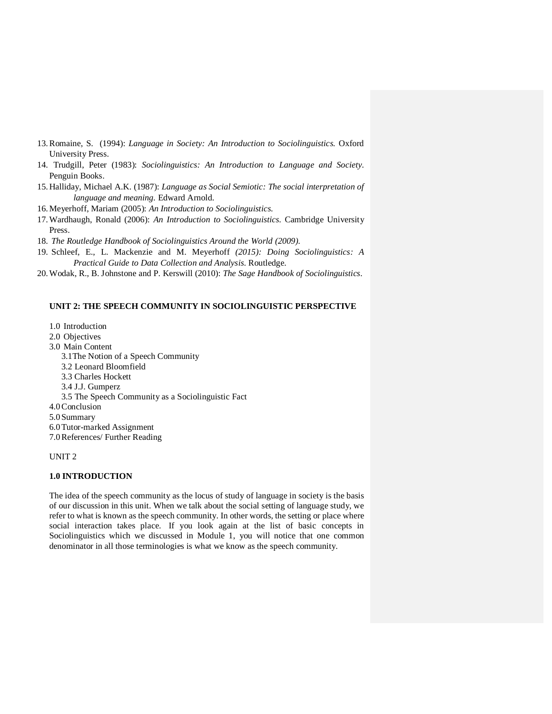- 13.Romaine, S. (1994): *Language in Society: An Introduction to Sociolinguistics.* Oxford University Press.
- 14. Trudgill, Peter (1983): *Sociolinguistics: An Introduction to Language and Society.* Penguin Books.
- 15. Halliday, Michael A.K. (1987): *Language as Social Semiotic: The social interpretation of language and meaning.* Edward Arnold.
- 16.Meyerhoff, Mariam (2005): *An Introduction to Sociolinguistics.*
- 17.Wardhaugh, Ronald (2006): *An Introduction to Sociolinguistics.* Cambridge University Press.
- 18. *The Routledge Handbook of Sociolinguistics Around the World (2009).*
- 19. Schleef, E., L. Mackenzie and M. Meyerhoff *(2015): Doing Sociolinguistics: A Practical Guide to Data Collection and Analysis.* Routledge.
- 20.Wodak, R., B. Johnstone and P. Kerswill (2010): *The Sage Handbook of Sociolinguistics.*

### **UNIT 2: THE SPEECH COMMUNITY IN SOCIOLINGUISTIC PERSPECTIVE**

- 1.0 Introduction
- 2.0 Objectives
- 3.0 Main Content
	- 3.1The Notion of a Speech Community
	- 3.2 Leonard Bloomfield
	- 3.3 Charles Hockett
	- 3.4 J.J. Gumperz
	- 3.5 The Speech Community as a Sociolinguistic Fact
- 4.0Conclusion
- 5.0 Summary
- 6.0Tutor-marked Assignment
- 7.0References/ Further Reading

#### UNIT 2

### **1.0 INTRODUCTION**

The idea of the speech community as the locus of study of language in society is the basis of our discussion in this unit. When we talk about the social setting of language study, we refer to what is known as the speech community. In other words, the setting or place where social interaction takes place. If you look again at the list of basic concepts in Sociolinguistics which we discussed in Module 1, you will notice that one common denominator in all those terminologies is what we know as the speech community.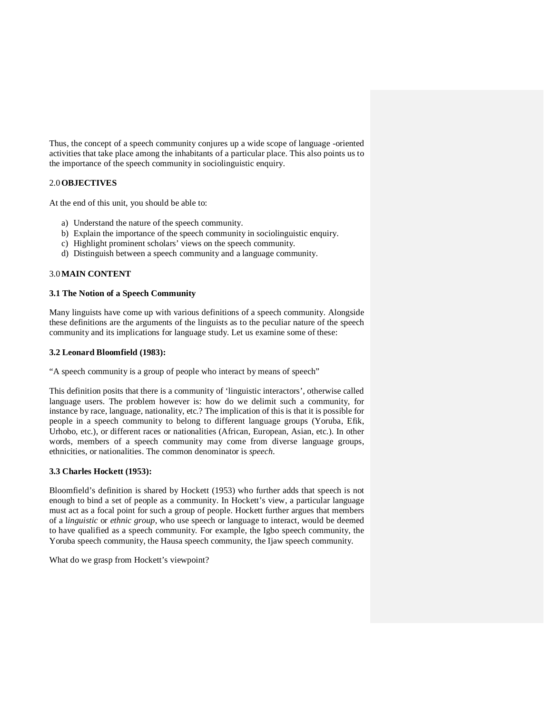Thus, the concept of a speech community conjures up a wide scope of language -oriented activities that take place among the inhabitants of a particular place. This also points us to the importance of the speech community in sociolinguistic enquiry.

### 2.0**OBJECTIVES**

At the end of this unit, you should be able to:

- a) Understand the nature of the speech community.
- b) Explain the importance of the speech community in sociolinguistic enquiry.
- c) Highlight prominent scholars' views on the speech community.
- d) Distinguish between a speech community and a language community.

#### 3.0**MAIN CONTENT**

### **3.1 The Notion of a Speech Community**

Many linguists have come up with various definitions of a speech community. Alongside these definitions are the arguments of the linguists as to the peculiar nature of the speech community and its implications for language study. Let us examine some of these:

#### **3.2 Leonard Bloomfield (1983):**

"A speech community is a group of people who interact by means of speech"

This definition posits that there is a community of 'linguistic interactors', otherwise called language users. The problem however is: how do we delimit such a community, for instance by race, language, nationality, etc.? The implication of this is that it is possible for people in a speech community to belong to different language groups (Yoruba, Efik, Urhobo, etc.), or different races or nationalities (African, European, Asian, etc.). In other words, members of a speech community may come from diverse language groups, ethnicities, or nationalities. The common denominator is *speech.* 

### **3.3 Charles Hockett (1953):**

Bloomfield's definition is shared by Hockett (1953) who further adds that speech is not enough to bind a set of people as a community. In Hockett's view, a particular language must act as a focal point for such a group of people. Hockett further argues that members of a l*inguistic* or *ethnic group*, who use speech or language to interact, would be deemed to have qualified as a speech community. For example, the Igbo speech community, the Yoruba speech community, the Hausa speech community, the Ijaw speech community.

What do we grasp from Hockett's viewpoint?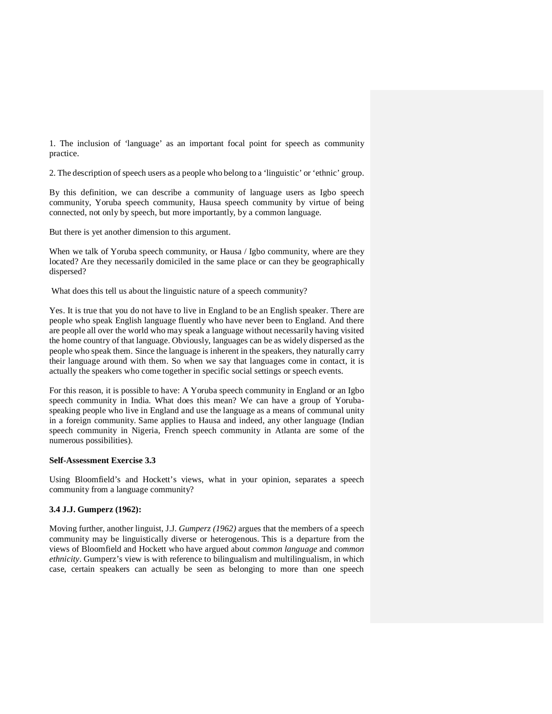1. The inclusion of 'language' as an important focal point for speech as community practice.

2. The description of speech users as a people who belong to a 'linguistic' or 'ethnic' group.

By this definition, we can describe a community of language users as Igbo speech community, Yoruba speech community, Hausa speech community by virtue of being connected, not only by speech, but more importantly, by a common language.

But there is yet another dimension to this argument.

When we talk of Yoruba speech community, or Hausa / Igbo community, where are they located? Are they necessarily domiciled in the same place or can they be geographically dispersed?

What does this tell us about the linguistic nature of a speech community?

Yes. It is true that you do not have to live in England to be an English speaker. There are people who speak English language fluently who have never been to England. And there are people all over the world who may speak a language without necessarily having visited the home country of that language. Obviously, languages can be as widely dispersed as the people who speak them. Since the language is inherent in the speakers, they naturally carry their language around with them. So when we say that languages come in contact, it is actually the speakers who come together in specific social settings or speech events.

For this reason, it is possible to have: A Yoruba speech community in England or an Igbo speech community in India. What does this mean? We can have a group of Yorubaspeaking people who live in England and use the language as a means of communal unity in a foreign community. Same applies to Hausa and indeed, any other language (Indian speech community in Nigeria, French speech community in Atlanta are some of the numerous possibilities).

#### **Self-Assessment Exercise 3.3**

Using Bloomfield's and Hockett's views, what in your opinion, separates a speech community from a language community?

#### **3.4 J.J. Gumperz (1962):**

Moving further, another linguist, J.J. *Gumperz (1962)* argues that the members of a speech community may be linguistically diverse or heterogenous. This is a departure from the views of Bloomfield and Hockett who have argued about *common language* and *common ethnicity*. Gumperz's view is with reference to bilingualism and multilingualism, in which case, certain speakers can actually be seen as belonging to more than one speech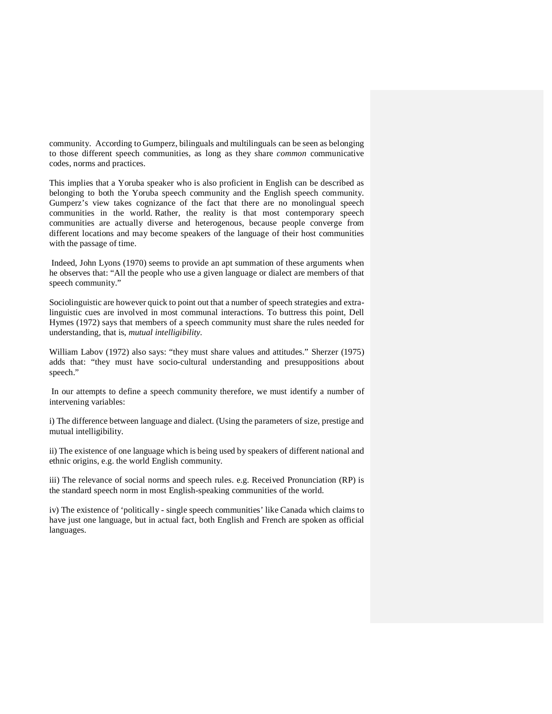community. According to Gumperz, bilinguals and multilinguals can be seen as belonging to those different speech communities, as long as they share *common* communicative codes, norms and practices.

This implies that a Yoruba speaker who is also proficient in English can be described as belonging to both the Yoruba speech community and the English speech community. Gumperz's view takes cognizance of the fact that there are no monolingual speech communities in the world. Rather, the reality is that most contemporary speech communities are actually diverse and heterogenous, because people converge from different locations and may become speakers of the language of their host communities with the passage of time.

 Indeed, John Lyons (1970) seems to provide an apt summation of these arguments when he observes that: "All the people who use a given language or dialect are members of that speech community."

Sociolinguistic are however quick to point out that a number of speech strategies and extralinguistic cues are involved in most communal interactions. To buttress this point, Dell Hymes (1972) says that members of a speech community must share the rules needed for understanding, that is, *mutual intelligibility.*

William Labov (1972) also says: "they must share values and attitudes." Sherzer (1975) adds that: "they must have socio-cultural understanding and presuppositions about speech."

 In our attempts to define a speech community therefore, we must identify a number of intervening variables:

i) The difference between language and dialect. (Using the parameters of size, prestige and mutual intelligibility.

ii) The existence of one language which is being used by speakers of different national and ethnic origins, e.g. the world English community.

iii) The relevance of social norms and speech rules. e.g. Received Pronunciation (RP) is the standard speech norm in most English-speaking communities of the world.

iv) The existence of 'politically - single speech communities' like Canada which claims to have just one language, but in actual fact, both English and French are spoken as official languages.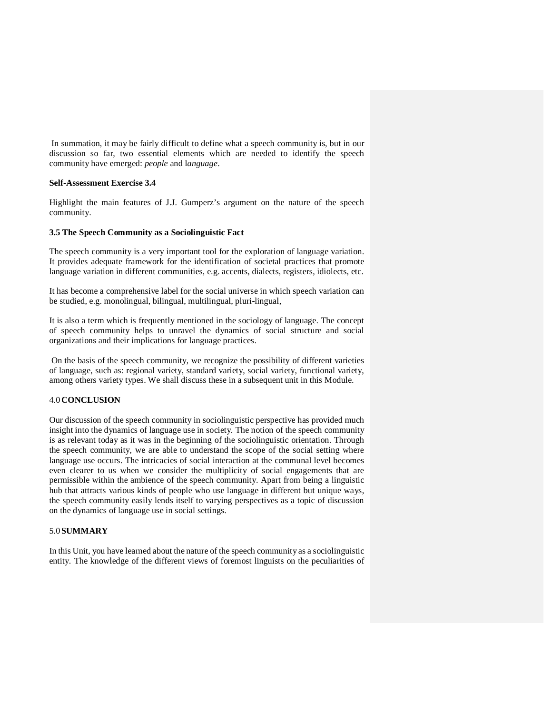In summation, it may be fairly difficult to define what a speech community is, but in our discussion so far, two essential elements which are needed to identify the speech community have emerged: *people* and l*anguage*.

#### **Self-Assessment Exercise 3.4**

Highlight the main features of J.J. Gumperz's argument on the nature of the speech community.

#### **3.5 The Speech Community as a Sociolinguistic Fact**

The speech community is a very important tool for the exploration of language variation. It provides adequate framework for the identification of societal practices that promote language variation in different communities, e.g. accents, dialects, registers, idiolects, etc.

It has become a comprehensive label for the social universe in which speech variation can be studied, e.g. monolingual, bilingual, multilingual, pluri-lingual,

It is also a term which is frequently mentioned in the sociology of language. The concept of speech community helps to unravel the dynamics of social structure and social organizations and their implications for language practices.

 On the basis of the speech community, we recognize the possibility of different varieties of language, such as: regional variety, standard variety, social variety, functional variety, among others variety types. We shall discuss these in a subsequent unit in this Module.

### 4.0 **CONCLUSION**

Our discussion of the speech community in sociolinguistic perspective has provided much insight into the dynamics of language use in society. The notion of the speech community is as relevant today as it was in the beginning of the sociolinguistic orientation. Through the speech community, we are able to understand the scope of the social setting where language use occurs. The intricacies of social interaction at the communal level becomes even clearer to us when we consider the multiplicity of social engagements that are permissible within the ambience of the speech community. Apart from being a linguistic hub that attracts various kinds of people who use language in different but unique ways, the speech community easily lends itself to varying perspectives as a topic of discussion on the dynamics of language use in social settings.

### 5.0 **SUMMARY**

In this Unit, you have learned about the nature of the speech community as a sociolinguistic entity. The knowledge of the different views of foremost linguists on the peculiarities of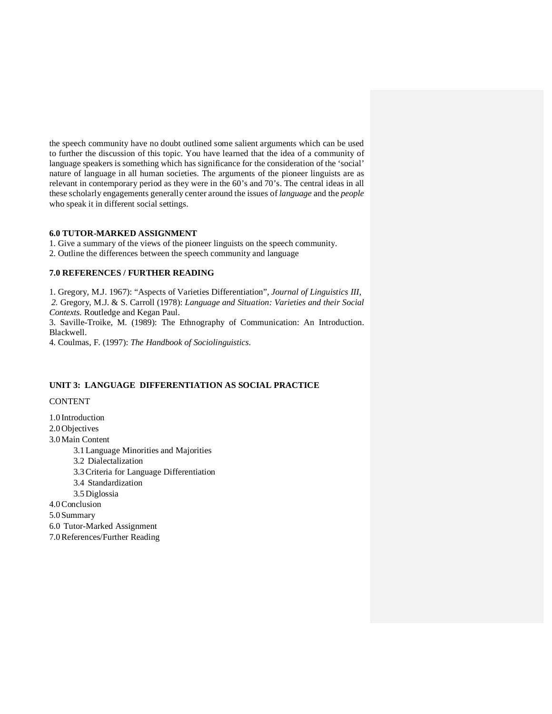the speech community have no doubt outlined some salient arguments which can be used to further the discussion of this topic. You have learned that the idea of a community of language speakers is something which has significance for the consideration of the 'social' nature of language in all human societies. The arguments of the pioneer linguists are as relevant in contemporary period as they were in the 60's and 70's. The central ideas in all these scholarly engagements generally center around the issues of *language* and the *people* who speak it in different social settings.

### **6.0 TUTOR-MARKED ASSIGNMENT**

1. Give a summary of the views of the pioneer linguists on the speech community.

2. Outline the differences between the speech community and language

### **7.0 REFERENCES / FURTHER READING**

1. Gregory, M.J. 1967): "Aspects of Varieties Differentiation", *Journal of Linguistics III, 2.* Gregory, M.J. & S. Carroll (1978): *Language and Situation: Varieties and their Social Contexts.* Routledge and Kegan Paul.

3. Saville-Troike, M. (1989): The Ethnography of Communication: An Introduction. Blackwell.

4. Coulmas, F. (1997): *The Handbook of Sociolinguistics.* 

#### **UNIT 3: LANGUAGE DIFFERENTIATION AS SOCIAL PRACTICE**

### **CONTENT**

1.0 Introduction 2.0 Objectives 3.0Main Content 3.1Language Minorities and Majorities 3.2 Dialectalization 3.3Criteria for Language Differentiation 3.4 Standardization 3.5 Diglossia 4.0Conclusion 5.0 Summary 6.0 Tutor-Marked Assignment

7.0References/Further Reading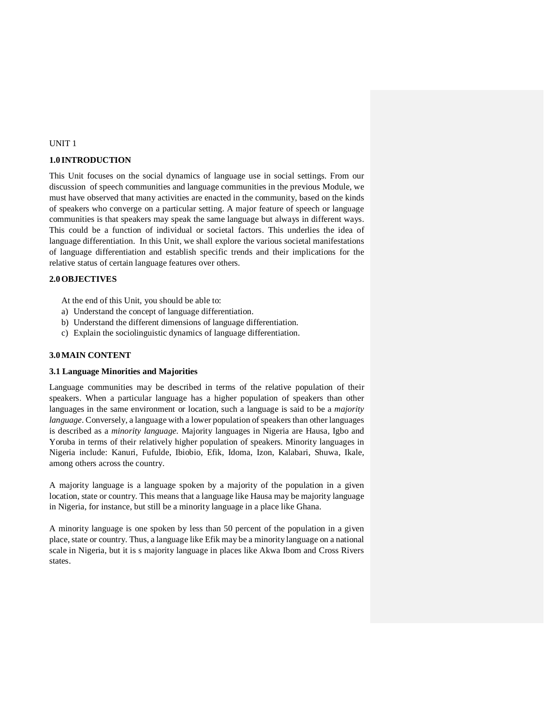### UNIT 1

### **1.0 INTRODUCTION**

This Unit focuses on the social dynamics of language use in social settings. From our discussion of speech communities and language communities in the previous Module, we must have observed that many activities are enacted in the community, based on the kinds of speakers who converge on a particular setting. A major feature of speech or language communities is that speakers may speak the same language but always in different ways. This could be a function of individual or societal factors. This underlies the idea of language differentiation. In this Unit, we shall explore the various societal manifestations of language differentiation and establish specific trends and their implications for the relative status of certain language features over others.

### **2.0OBJECTIVES**

At the end of this Unit, you should be able to:

- a) Understand the concept of language differentiation.
- b) Understand the different dimensions of language differentiation.
- c) Explain the sociolinguistic dynamics of language differentiation.

#### **3.0MAIN CONTENT**

### **3.1 Language Minorities and Majorities**

Language communities may be described in terms of the relative population of their speakers. When a particular language has a higher population of speakers than other languages in the same environment or location, such a language is said to be a *majority language*. Conversely, a language with a lower population of speakers than other languages is described as a *minority language.* Majority languages in Nigeria are Hausa, Igbo and Yoruba in terms of their relatively higher population of speakers. Minority languages in Nigeria include: Kanuri, Fufulde, Ibiobio, Efik, Idoma, Izon, Kalabari, Shuwa, Ikale, among others across the country.

A majority language is a language spoken by a majority of the population in a given location, state or country. This means that a language like Hausa may be majority language in Nigeria, for instance, but still be a minority language in a place like Ghana.

A minority language is one spoken by less than 50 percent of the population in a given place, state or country. Thus, a language like Efik may be a minority language on a national scale in Nigeria, but it is s majority language in places like Akwa Ibom and Cross Rivers states.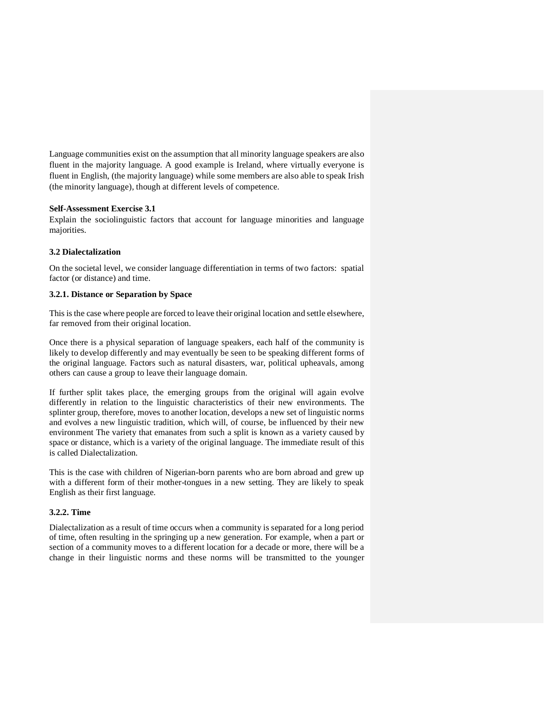Language communities exist on the assumption that all minority language speakers are also fluent in the majority language. A good example is Ireland, where virtually everyone is fluent in English, (the majority language) while some members are also able to speak Irish (the minority language), though at different levels of competence.

### **Self-Assessment Exercise 3.1**

Explain the sociolinguistic factors that account for language minorities and language majorities.

### **3.2 Dialectalization**

On the societal level, we consider language differentiation in terms of two factors: spatial factor (or distance) and time.

### **3.2.1. Distance or Separation by Space**

This is the case where people are forced to leave their original location and settle elsewhere, far removed from their original location.

Once there is a physical separation of language speakers, each half of the community is likely to develop differently and may eventually be seen to be speaking different forms of the original language. Factors such as natural disasters, war, political upheavals, among others can cause a group to leave their language domain.

If further split takes place, the emerging groups from the original will again evolve differently in relation to the linguistic characteristics of their new environments. The splinter group, therefore, moves to another location, develops a new set of linguistic norms and evolves a new linguistic tradition, which will, of course, be influenced by their new environment The variety that emanates from such a split is known as a variety caused by space or distance, which is a variety of the original language. The immediate result of this is called Dialectalization.

This is the case with children of Nigerian-born parents who are born abroad and grew up with a different form of their mother-tongues in a new setting. They are likely to speak English as their first language.

#### **3.2.2. Time**

Dialectalization as a result of time occurs when a community is separated for a long period of time, often resulting in the springing up a new generation. For example, when a part or section of a community moves to a different location for a decade or more, there will be a change in their linguistic norms and these norms will be transmitted to the younger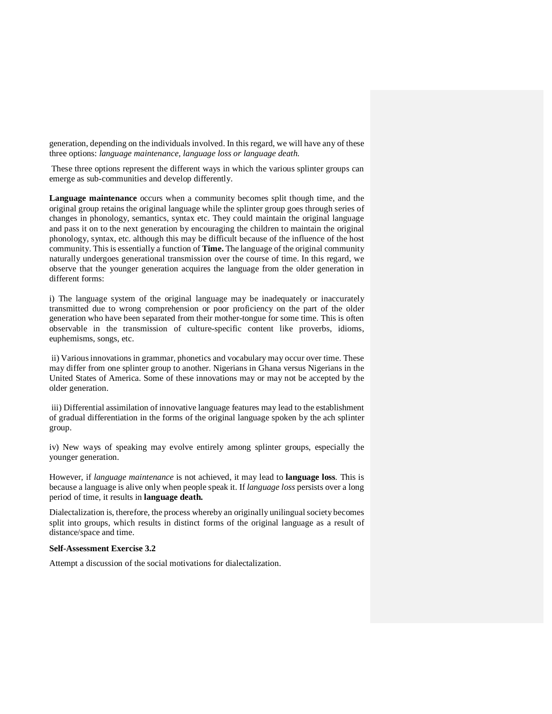generation, depending on the individuals involved. In this regard, we will have any of these three options: *language maintenance, language loss or language death.* 

These three options represent the different ways in which the various splinter groups can emerge as sub-communities and develop differently.

**Language maintenance** occurs when a community becomes split though time, and the original group retains the original language while the splinter group goes through series of changes in phonology, semantics, syntax etc. They could maintain the original language and pass it on to the next generation by encouraging the children to maintain the original phonology, syntax, etc. although this may be difficult because of the influence of the host community. This is essentially a function of **Time.** The language of the original community naturally undergoes generational transmission over the course of time. In this regard, we observe that the younger generation acquires the language from the older generation in different forms:

i) The language system of the original language may be inadequately or inaccurately transmitted due to wrong comprehension or poor proficiency on the part of the older generation who have been separated from their mother-tongue for some time. This is often observable in the transmission of culture-specific content like proverbs, idioms, euphemisms, songs, etc.

 ii) Various innovations in grammar, phonetics and vocabulary may occur over time. These may differ from one splinter group to another. Nigerians in Ghana versus Nigerians in the United States of America. Some of these innovations may or may not be accepted by the older generation.

 iii) Differential assimilation of innovative language features may lead to the establishment of gradual differentiation in the forms of the original language spoken by the ach splinter group.

iv) New ways of speaking may evolve entirely among splinter groups, especially the younger generation.

However, if *language maintenance* is not achieved, it may lead to **language loss***.* This is because a language is alive only when people speak it. If *language loss* persists over a long period of time, it results in **language death.** 

Dialectalization is, therefore, the process whereby an originally unilingual society becomes split into groups, which results in distinct forms of the original language as a result of distance/space and time.

#### **Self-Assessment Exercise 3.2**

Attempt a discussion of the social motivations for dialectalization.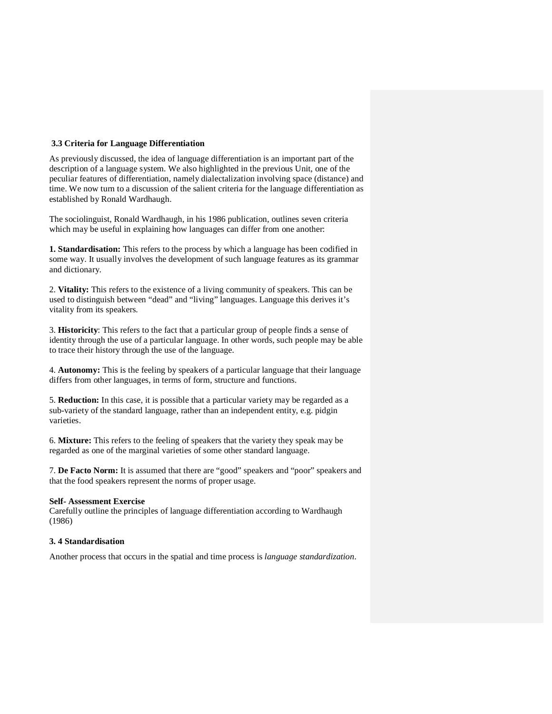### **3.3 Criteria for Language Differentiation**

As previously discussed, the idea of language differentiation is an important part of the description of a language system. We also highlighted in the previous Unit, one of the peculiar features of differentiation, namely dialectalization involving space (distance) and time. We now turn to a discussion of the salient criteria for the language differentiation as established by Ronald Wardhaugh.

The sociolinguist, Ronald Wardhaugh, in his 1986 publication, outlines seven criteria which may be useful in explaining how languages can differ from one another:

**1. Standardisation:** This refers to the process by which a language has been codified in some way. It usually involves the development of such language features as its grammar and dictionary.

2. **Vitality:** This refers to the existence of a living community of speakers. This can be used to distinguish between "dead" and "living" languages. Language this derives it's vitality from its speakers.

3. **Historicity**: This refers to the fact that a particular group of people finds a sense of identity through the use of a particular language. In other words, such people may be able to trace their history through the use of the language.

4. **Autonomy:** This is the feeling by speakers of a particular language that their language differs from other languages, in terms of form, structure and functions.

5. **Reduction:** In this case, it is possible that a particular variety may be regarded as a sub-variety of the standard language, rather than an independent entity, e.g. pidgin varieties.

6. **Mixture:** This refers to the feeling of speakers that the variety they speak may be regarded as one of the marginal varieties of some other standard language.

7. **De Facto Norm:** It is assumed that there are "good" speakers and "poor" speakers and that the food speakers represent the norms of proper usage.

#### **Self- Assessment Exercise**

Carefully outline the principles of language differentiation according to Wardhaugh (1986)

### **3. 4 Standardisation**

Another process that occurs in the spatial and time process is *language standardization*.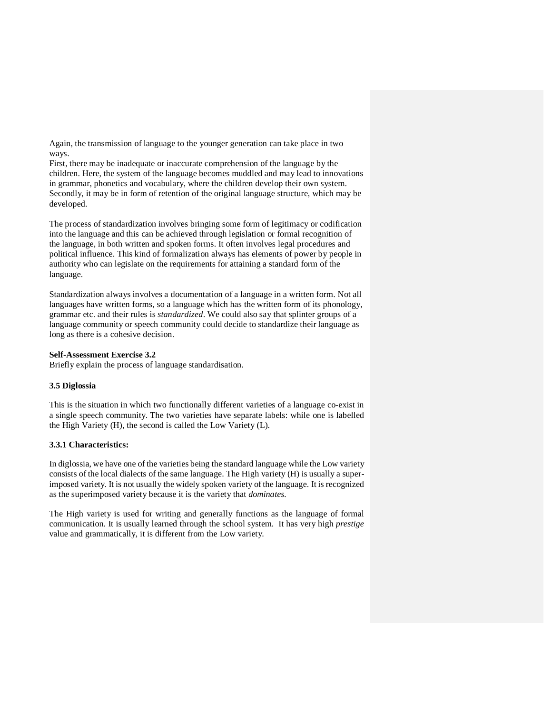Again, the transmission of language to the younger generation can take place in two ways.

First, there may be inadequate or inaccurate comprehension of the language by the children. Here, the system of the language becomes muddled and may lead to innovations in grammar, phonetics and vocabulary, where the children develop their own system. Secondly, it may be in form of retention of the original language structure, which may be developed.

The process of standardization involves bringing some form of legitimacy or codification into the language and this can be achieved through legislation or formal recognition of the language, in both written and spoken forms. It often involves legal procedures and political influence. This kind of formalization always has elements of power by people in authority who can legislate on the requirements for attaining a standard form of the language.

Standardization always involves a documentation of a language in a written form. Not all languages have written forms, so a language which has the written form of its phonology, grammar etc. and their rules is *standardized*. We could also say that splinter groups of a language community or speech community could decide to standardize their language as long as there is a cohesive decision.

### **Self-Assessment Exercise 3.2**

Briefly explain the process of language standardisation.

### **3.5 Diglossia**

This is the situation in which two functionally different varieties of a language co-exist in a single speech community. The two varieties have separate labels: while one is labelled the High Variety (H), the second is called the Low Variety (L).

### **3.3.1 Characteristics:**

In diglossia, we have one of the varieties being the standard language while the Low variety consists of the local dialects of the same language. The High variety (H) is usually a superimposed variety. It is not usually the widely spoken variety of the language. It is recognized as the superimposed variety because it is the variety that *dominates.* 

The High variety is used for writing and generally functions as the language of formal communication. It is usually learned through the school system. It has very high *prestige*  value and grammatically, it is different from the Low variety.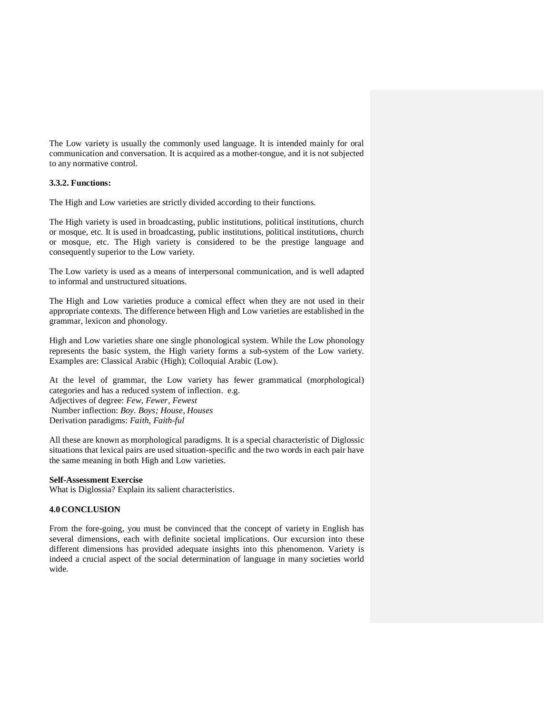The Low variety is usually the commonly used language. It is intended mainly for oral communication and conversation. It is acquired as a mother-tongue, and it is not subjected to any normative control.

### **3.3.2. Functions:**

The High and Low varieties are strictly divided according to their functions.

The High variety is used in broadcasting, public institutions, political institutions, church or mosque, etc. It is used in broadcasting, public institutions, political institutions, church or mosque, etc. The High variety is considered to be the prestige language and consequently superior to the Low variety.

The Low variety is used as a means of interpersonal communication, and is well adapted to informal and unstructured situations.

The High and Low varieties produce a comical effect when they are not used in their appropriate contexts. The difference between High and Low varieties are established in the grammar, lexicon and phonology.

High and Low varieties share one single phonological system. While the Low phonology represents the basic system, the High variety forms a sub-system of the Low variety. Examples are: Classical Arabic (High); Colloquial Arabic (Low).

At the level of grammar, the Low variety has fewer grammatical (morphological) categories and has a reduced system of inflection. e.g. Adjectives of degree: *Few, Fewer, Fewest* Number inflection: *Boy. Boys; House, Houses* 

Derivation paradigms: *Faith, Faith-ful*

All these are known as morphological paradigms. It is a special characteristic of Diglossic situations that lexical pairs are used situation-specific and the two words in each pair have the same meaning in both High and Low varieties.

#### **Self-Assessment Exercise**

What is Diglossia? Explain its salient characteristics.

#### **4.0 CONCLUSION**

From the fore-going, you must be convinced that the concept of variety in English has several dimensions, each with definite societal implications. Our excursion into these different dimensions has provided adequate insights into this phenomenon. Variety is indeed a crucial aspect of the social determination of language in many societies world wide.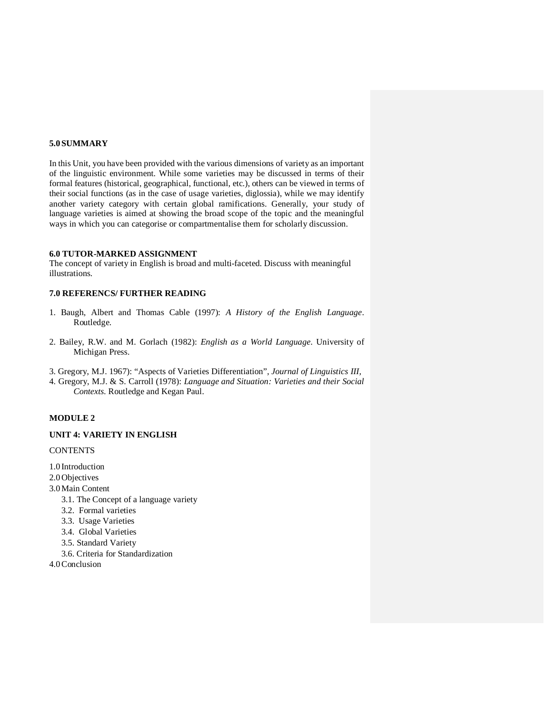### **5.0 SUMMARY**

In this Unit, you have been provided with the various dimensions of variety as an important of the linguistic environment. While some varieties may be discussed in terms of their formal features (historical, geographical, functional, etc.), others can be viewed in terms of their social functions (as in the case of usage varieties, diglossia), while we may identify another variety category with certain global ramifications. Generally, your study of language varieties is aimed at showing the broad scope of the topic and the meaningful ways in which you can categorise or compartmentalise them for scholarly discussion.

### **6.0 TUTOR-MARKED ASSIGNMENT**

The concept of variety in English is broad and multi-faceted. Discuss with meaningful illustrations.

### **7.0 REFERENCS/ FURTHER READING**

- 1. Baugh, Albert and Thomas Cable (1997): *A History of the English Language*. Routledge.
- 2. Bailey, R.W. and M. Gorlach (1982): *English as a World Language*. University of Michigan Press.
- 3. Gregory, M.J. 1967): "Aspects of Varieties Differentiation", *Journal of Linguistics III,*
- 4. Gregory, M.J. & S. Carroll (1978): *Language and Situation: Varieties and their Social Contexts.* Routledge and Kegan Paul.

#### **MODULE 2**

### **UNIT 4: VARIETY IN ENGLISH**

**CONTENTS** 

- 1.0 Introduction
- 2.0 Objectives
- 3.0Main Content
	- 3.1. The Concept of a language variety
	- 3.2. Formal varieties
	- 3.3. Usage Varieties
	- 3.4. Global Varieties
	- 3.5. Standard Variety
	- 3.6. Criteria for Standardization
- 4.0Conclusion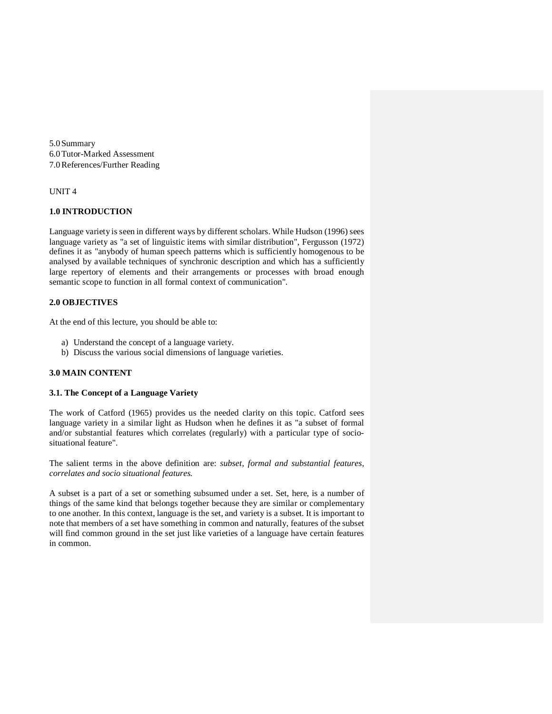5.0 Summary 6.0Tutor-Marked Assessment 7.0References/Further Reading

#### UNIT 4

### **1.0 INTRODUCTION**

Language variety is seen in different ways by different scholars. While Hudson (1996) sees language variety as "a set of linguistic items with similar distribution", Fergusson (1972) defines it as "anybody of human speech patterns which is sufficiently homogenous to be analysed by available techniques of synchronic description and which has a sufficiently large repertory of elements and their arrangements or processes with broad enough semantic scope to function in all formal context of communication".

### **2.0 OBJECTIVES**

At the end of this lecture, you should be able to:

- a) Understand the concept of a language variety.
- b) Discuss the various social dimensions of language varieties.

### **3.0 MAIN CONTENT**

### **3.1. The Concept of a Language Variety**

The work of Catford (1965) provides us the needed clarity on this topic. Catford sees language variety in a similar light as Hudson when he defines it as "a subset of formal and/or substantial features which correlates (regularly) with a particular type of sociosituational feature".

The salient terms in the above definition are: *subset, formal and substantial features, correlates and socio situational features.* 

A subset is a part of a set or something subsumed under a set. Set, here, is a number of things of the same kind that belongs together because they are similar or complementary to one another. In this context, language is the set, and variety is a subset. It is important to note that members of a set have something in common and naturally, features of the subset will find common ground in the set just like varieties of a language have certain features in common.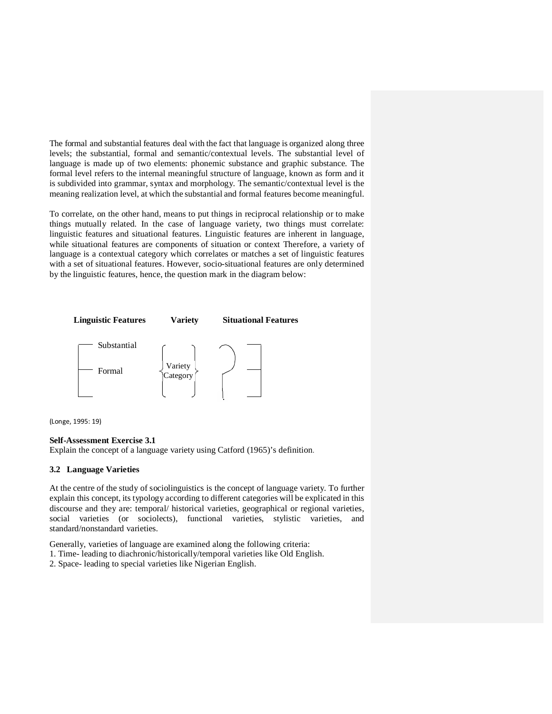The formal and substantial features deal with the fact that language is organized along three levels; the substantial, formal and semantic/contextual levels. The substantial level of language is made up of two elements: phonemic substance and graphic substance. The formal level refers to the internal meaningful structure of language, known as form and it is subdivided into grammar, syntax and morphology. The semantic/contextual level is the meaning realization level, at which the substantial and formal features become meaningful.

To correlate, on the other hand, means to put things in reciprocal relationship or to make things mutually related. In the case of language variety, two things must correlate: linguistic features and situational features. Linguistic features are inherent in language, while situational features are components of situation or context Therefore, a variety of language is a contextual category which correlates or matches a set of linguistic features with a set of situational features. However, socio-situational features are only determined by the linguistic features, hence, the question mark in the diagram below:



(Longe, 1995: 19)

#### **Self-Assessment Exercise 3.1**

Explain the concept of a language variety using Catford (1965)'s definition.

### **3.2 Language Varieties**

At the centre of the study of sociolinguistics is the concept of language variety. To further explain this concept, its typology according to different categories will be explicated in this discourse and they are: temporal/ historical varieties, geographical or regional varieties, social varieties (or sociolects), functional varieties, stylistic varieties, and standard/nonstandard varieties.

Generally, varieties of language are examined along the following criteria:

- 1. Time- leading to diachronic/historically/temporal varieties like Old English.
- 2. Space- leading to special varieties like Nigerian English.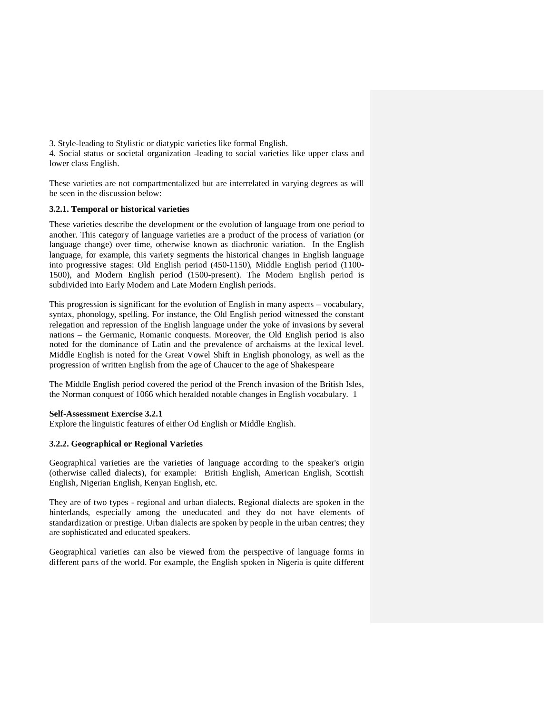3. Style-leading to Stylistic or diatypic varieties like formal English.

4. Social status or societal organization -leading to social varieties like upper class and lower class English.

These varieties are not compartmentalized but are interrelated in varying degrees as will be seen in the discussion below:

### **3.2.1. Temporal or historical varieties**

These varieties describe the development or the evolution of language from one period to another. This category of language varieties are a product of the process of variation (or language change) over time, otherwise known as diachronic variation. In the English language, for example, this variety segments the historical changes in English language into progressive stages: Old English period (450-1150), Middle English period (1100- 1500), and Modern English period (1500-present). The Modern English period is subdivided into Early Modern and Late Modern English periods.

This progression is significant for the evolution of English in many aspects – vocabulary, syntax, phonology, spelling. For instance, the Old English period witnessed the constant relegation and repression of the English language under the yoke of invasions by several nations – the Germanic, Romanic conquests. Moreover, the Old English period is also noted for the dominance of Latin and the prevalence of archaisms at the lexical level. Middle English is noted for the Great Vowel Shift in English phonology, as well as the progression of written English from the age of Chaucer to the age of Shakespeare

The Middle English period covered the period of the French invasion of the British Isles, the Norman conquest of 1066 which heralded notable changes in English vocabulary. 1

#### **Self-Assessment Exercise 3.2.1**

Explore the linguistic features of either Od English or Middle English.

### **3.2.2. Geographical or Regional Varieties**

Geographical varieties are the varieties of language according to the speaker's origin (otherwise called dialects), for example: British English, American English, Scottish English, Nigerian English, Kenyan English, etc.

They are of two types - regional and urban dialects. Regional dialects are spoken in the hinterlands, especially among the uneducated and they do not have elements of standardization or prestige. Urban dialects are spoken by people in the urban centres; they are sophisticated and educated speakers.

Geographical varieties can also be viewed from the perspective of language forms in different parts of the world. For example, the English spoken in Nigeria is quite different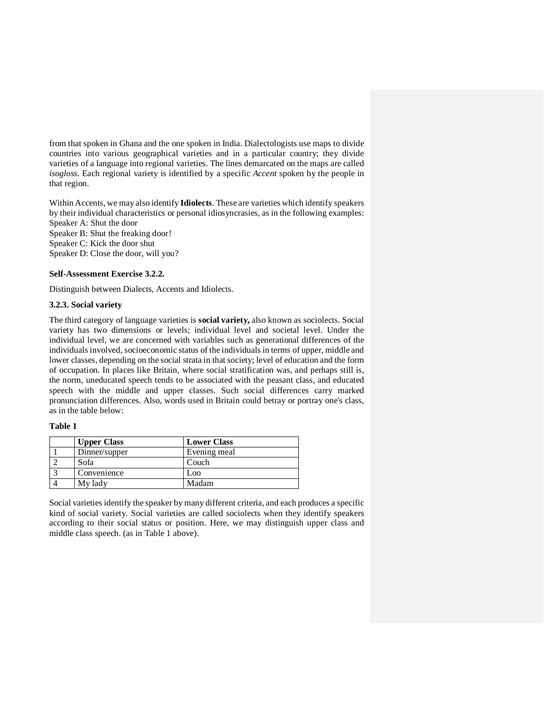from that spoken in Ghana and the one spoken in India. Dialectologists use maps to divide countries into various geographical varieties and in a particular country; they divide varieties of a language into regional varieties. The lines demarcated on the maps are called *isogloss.* Each regional variety is identified by a specific *Accent* spoken by the people in that region.

Within Accents, we may also identify **Idiolects**. These are varieties which identify speakers by their individual characteristics or personal idiosyncrasies, as in the following examples: Speaker A: Shut the door Speaker B: Shut the freaking door!

Speaker C: Kick the door shut

Speaker D: Close the door, will you?

#### **Self-Assessment Exercise 3.2.2.**

Distinguish between Dialects, Accents and Idiolects.

#### **3.2.3. Social variety**

The third category of language varieties is **social variety,** also known as sociolects. Social variety has two dimensions or levels; individual level and societal level. Under the individual level, we are concerned with variables such as generational differences of the individuals involved, socioeconomic status of the individuals in terms of upper, middle and lower classes, depending on the social strata in that society; level of education and the form of occupation. In places like Britain, where social stratification was, and perhaps still is, the norm, uneducated speech tends to be associated with the peasant class, and educated speech with the middle and upper classes. Such social differences carry marked pronunciation differences. Also, words used in Britain could betray or portray one's class, as in the table below:

### **Table 1**

| <b>Upper Class</b> | <b>Lower Class</b> |
|--------------------|--------------------|
| Dinner/supper      | Evening meal       |
| Sofa               | Couch              |
| Convenience        | Loo.               |
| My lady            | Madam              |

Social varieties identify the speaker by many different criteria, and each produces a specific kind of social variety. Social varieties are called sociolects when they identify speakers according to their social status or position. Here, we may distinguish upper class and middle class speech. (as in Table 1 above).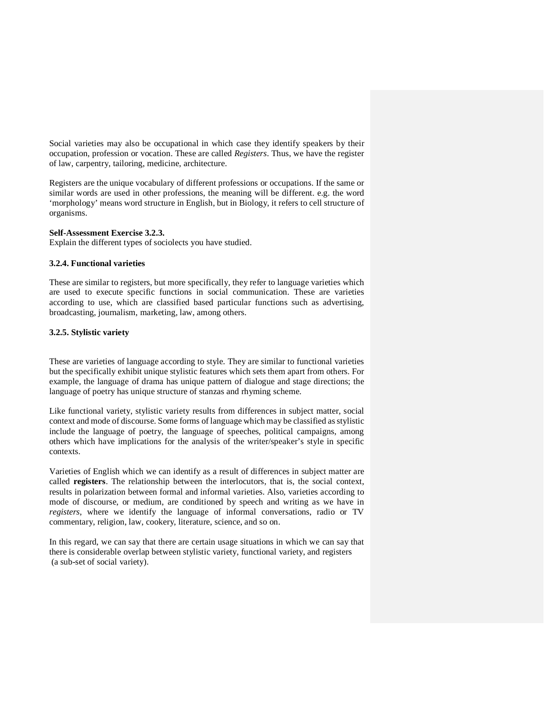Social varieties may also be occupational in which case they identify speakers by their occupation, profession or vocation. These are called *Registers.* Thus, we have the register of law, carpentry, tailoring, medicine, architecture.

Registers are the unique vocabulary of different professions or occupations. If the same or similar words are used in other professions, the meaning will be different. e.g. the word 'morphology' means word structure in English, but in Biology, it refers to cell structure of organisms.

### **Self-Assessment Exercise 3.2.3.**

Explain the different types of sociolects you have studied.

#### **3.2.4. Functional varieties**

These are similar to registers, but more specifically, they refer to language varieties which are used to execute specific functions in social communication. These are varieties according to use, which are classified based particular functions such as advertising, broadcasting, journalism, marketing, law, among others.

### **3.2.5. Stylistic variety**

These are varieties of language according to style. They are similar to functional varieties but the specifically exhibit unique stylistic features which sets them apart from others. For example, the language of drama has unique pattern of dialogue and stage directions; the language of poetry has unique structure of stanzas and rhyming scheme.

Like functional variety, stylistic variety results from differences in subject matter, social context and mode of discourse. Some forms of language which may be classified as stylistic include the language of poetry, the language of speeches, political campaigns, among others which have implications for the analysis of the writer/speaker's style in specific contexts.

Varieties of English which we can identify as a result of differences in subject matter are called **registers**. The relationship between the interlocutors, that is, the social context, results in polarization between formal and informal varieties. Also, varieties according to mode of discourse, or medium, are conditioned by speech and writing as we have in *registers*, where we identify the language of informal conversations, radio or TV commentary, religion, law, cookery, literature, science, and so on.

In this regard, we can say that there are certain usage situations in which we can say that there is considerable overlap between stylistic variety, functional variety, and registers (a sub-set of social variety).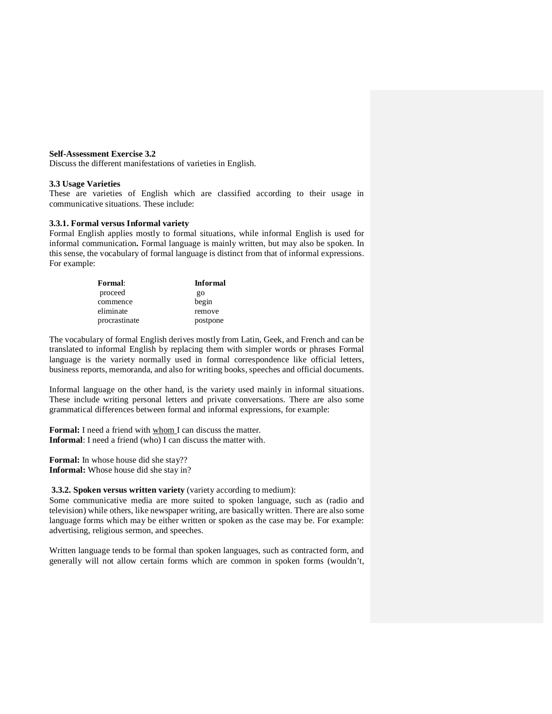#### **Self-Assessment Exercise 3.2**

Discuss the different manifestations of varieties in English.

#### **3.3 Usage Varieties**

These are varieties of English which are classified according to their usage in communicative situations. These include:

### **3.3.1. Formal versus Informal variety**

Formal English applies mostly to formal situations, while informal English is used for informal communication**.** Formal language is mainly written, but may also be spoken. In this sense, the vocabulary of formal language is distinct from that of informal expressions. For example:

| Formal:       | <b>Informal</b> |
|---------------|-----------------|
| proceed       | go              |
| commence      | begin           |
| eliminate     | remove          |
| procrastinate | postpone        |

The vocabulary of formal English derives mostly from Latin, Geek, and French and can be translated to informal English by replacing them with simpler words or phrases Formal language is the variety normally used in formal correspondence like official letters, business reports, memoranda, and also for writing books, speeches and official documents.

Informal language on the other hand, is the variety used mainly in informal situations. These include writing personal letters and private conversations. There are also some grammatical differences between formal and informal expressions, for example:

**Formal:** I need a friend with whom I can discuss the matter. **Informal**: I need a friend (who) I can discuss the matter with.

**Formal:** In whose house did she stay?? **Informal:** Whose house did she stay in?

### **3.3.2. Spoken versus written variety** (variety according to medium):

Some communicative media are more suited to spoken language, such as (radio and television) while others, like newspaper writing, are basically written. There are also some language forms which may be either written or spoken as the case may be. For example: advertising, religious sermon, and speeches.

Written language tends to be formal than spoken languages, such as contracted form, and generally will not allow certain forms which are common in spoken forms (wouldn't,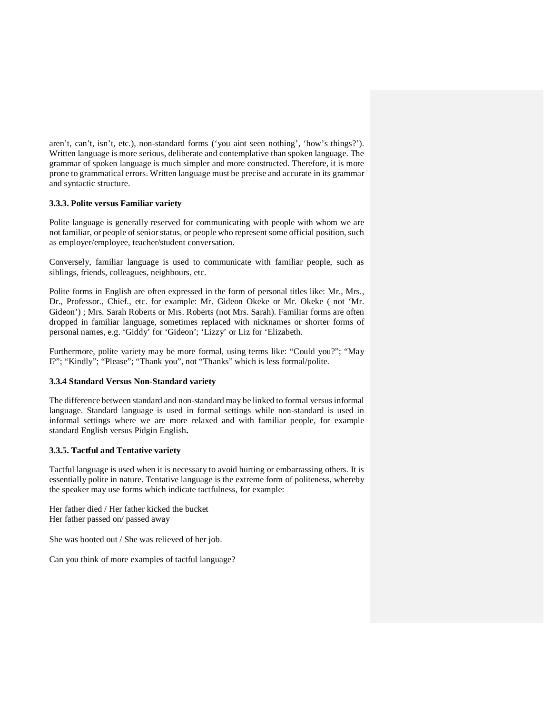aren't, can't, isn't, etc.), non-standard forms ('you aint seen nothing', 'how's things?'). Written language is more serious, deliberate and contemplative than spoken language. The grammar of spoken language is much simpler and more constructed. Therefore, it is more prone to grammatical errors. Written language must be precise and accurate in its grammar and syntactic structure.

### **3.3.3. Polite versus Familiar variety**

Polite language is generally reserved for communicating with people with whom we are not familiar, or people of senior status, or people who represent some official position, such as employer/employee, teacher/student conversation.

Conversely, familiar language is used to communicate with familiar people, such as siblings, friends, colleagues, neighbours, etc.

Polite forms in English are often expressed in the form of personal titles like: Mr., Mrs., Dr., Professor., Chief., etc. for example: Mr. Gideon Okeke or Mr. Okeke ( not 'Mr. Gideon') ; Mrs. Sarah Roberts or Mrs. Roberts (not Mrs. Sarah). Familiar forms are often dropped in familiar language, sometimes replaced with nicknames or shorter forms of personal names, e.g. 'Giddy' for 'Gideon'; 'Lizzy' or Liz for 'Elizabeth.

Furthermore, polite variety may be more formal, using terms like: "Could you?"; "May I?"; "Kindly"; "Please"; "Thank you", not "Thanks" which is less formal/polite.

### **3.3.4 Standard Versus Non-Standard variety**

The difference between standard and non-standard may be linked to formal versus informal language. Standard language is used in formal settings while non-standard is used in informal settings where we are more relaxed and with familiar people, for example standard English versus Pidgin English**.** 

### **3.3.5. Tactful and Tentative variety**

Tactful language is used when it is necessary to avoid hurting or embarrassing others. It is essentially polite in nature. Tentative language is the extreme form of politeness, whereby the speaker may use forms which indicate tactfulness, for example:

Her father died / Her father kicked the bucket Her father passed on/ passed away

She was booted out / She was relieved of her job.

Can you think of more examples of tactful language?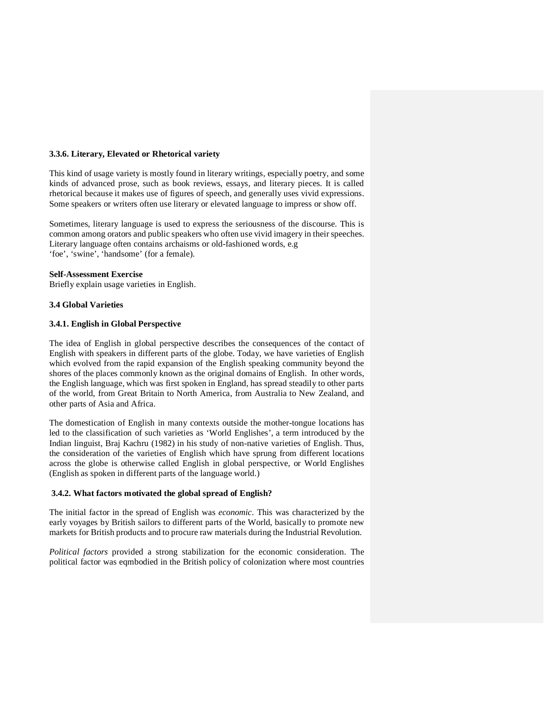### **3.3.6. Literary, Elevated or Rhetorical variety**

This kind of usage variety is mostly found in literary writings, especially poetry, and some kinds of advanced prose, such as book reviews, essays, and literary pieces. It is called rhetorical because it makes use of figures of speech, and generally uses vivid expressions. Some speakers or writers often use literary or elevated language to impress or show off.

Sometimes, literary language is used to express the seriousness of the discourse. This is common among orators and public speakers who often use vivid imagery in their speeches. Literary language often contains archaisms or old-fashioned words, e.g 'foe', 'swine', 'handsome' (for a female).

### **Self-Assessment Exercise**

Briefly explain usage varieties in English.

#### **3.4 Global Varieties**

#### **3.4.1. English in Global Perspective**

The idea of English in global perspective describes the consequences of the contact of English with speakers in different parts of the globe. Today, we have varieties of English which evolved from the rapid expansion of the English speaking community beyond the shores of the places commonly known as the original domains of English. In other words, the English language, which was first spoken in England, has spread steadily to other parts of the world, from Great Britain to North America, from Australia to New Zealand, and other parts of Asia and Africa.

The domestication of English in many contexts outside the mother-tongue locations has led to the classification of such varieties as 'World Englishes', a term introduced by the Indian linguist, Braj Kachru (1982) in his study of non-native varieties of English. Thus, the consideration of the varieties of English which have sprung from different locations across the globe is otherwise called English in global perspective, or World Englishes (English as spoken in different parts of the language world.)

#### **3.4.2. What factors motivated the global spread of English?**

The initial factor in the spread of English was *economic.* This was characterized by the early voyages by British sailors to different parts of the World, basically to promote new markets for British products and to procure raw materials during the Industrial Revolution.

*Political factors* provided a strong stabilization for the economic consideration. The political factor was eqmbodied in the British policy of colonization where most countries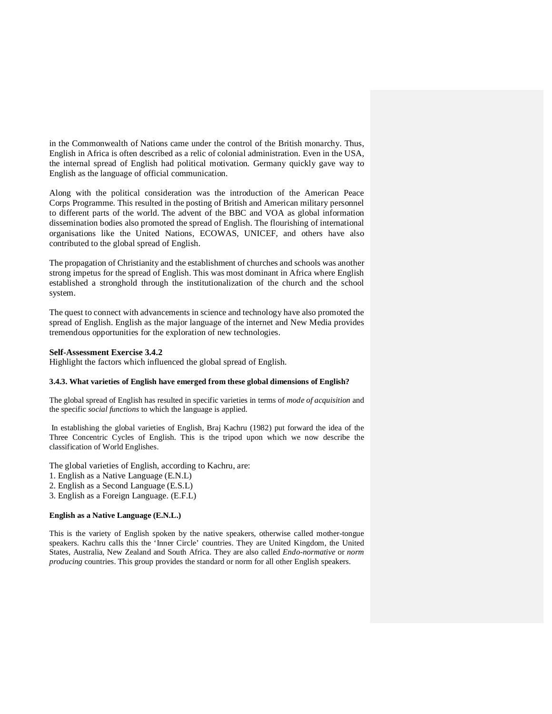in the Commonwealth of Nations came under the control of the British monarchy. Thus, English in Africa is often described as a relic of colonial administration. Even in the USA, the internal spread of English had political motivation. Germany quickly gave way to English as the language of official communication.

Along with the political consideration was the introduction of the American Peace Corps Programme. This resulted in the posting of British and American military personnel to different parts of the world. The advent of the BBC and VOA as global information dissemination bodies also promoted the spread of English. The flourishing of international organisations like the United Nations, ECOWAS, UNICEF, and others have also contributed to the global spread of English.

The propagation of Christianity and the establishment of churches and schools was another strong impetus for the spread of English. This was most dominant in Africa where English established a stronghold through the institutionalization of the church and the school system.

The quest to connect with advancements in science and technology have also promoted the spread of English. English as the major language of the internet and New Media provides tremendous opportunities for the exploration of new technologies.

#### **Self-Assessment Exercise 3.4.2**

Highlight the factors which influenced the global spread of English.

#### **3.4.3. What varieties of English have emerged from these global dimensions of English?**

The global spread of English has resulted in specific varieties in terms of *mode of acquisition* and the specific *social functions* to which the language is applied.

 In establishing the global varieties of English, Braj Kachru (1982) put forward the idea of the Three Concentric Cycles of English. This is the tripod upon which we now describe the classification of World Englishes.

The global varieties of English, according to Kachru, are:

- 1. English as a Native Language (E.N.L)
- 2. English as a Second Language (E.S.L)
- 3. English as a Foreign Language. (E.F.L)

#### **English as a Native Language (E.N.L.)**

This is the variety of English spoken by the native speakers, otherwise called mother-tongue speakers. Kachru calls this the 'Inner Circle' countries. They are United Kingdom, the United States, Australia, New Zealand and South Africa. They are also called *Endo-normative* or *norm producing* countries. This group provides the standard or norm for all other English speakers.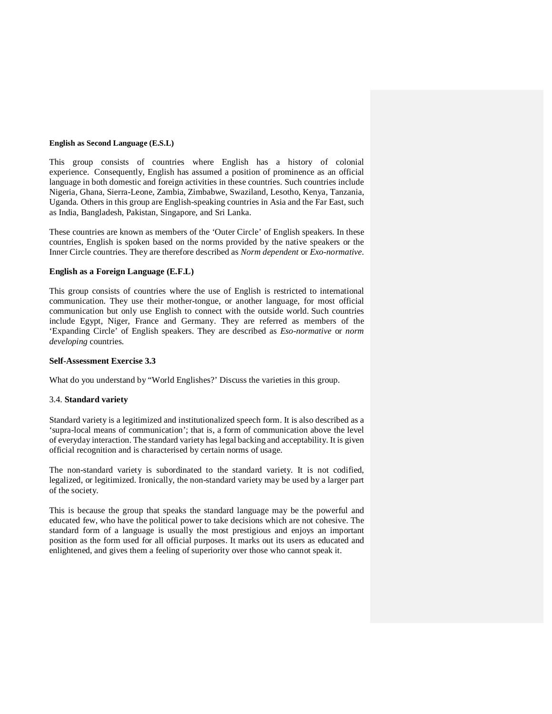#### **English as Second Language (E.S.L)**

This group consists of countries where English has a history of colonial experience. Consequently, English has assumed a position of prominence as an official language in both domestic and foreign activities in these countries. Such countries include Nigeria, Ghana, Sierra-Leone, Zambia, Zimbabwe, Swaziland, Lesotho, Kenya, Tanzania, Uganda. Others in this group are English-speaking countries in Asia and the Far East, such as India, Bangladesh, Pakistan, Singapore, and Sri Lanka.

These countries are known as members of the 'Outer Circle' of English speakers. In these countries, English is spoken based on the norms provided by the native speakers or the Inner Circle countries. They are therefore described as *Norm dependent* or *Exo-normative.*

#### **English as a Foreign Language (E.F.L)**

This group consists of countries where the use of English is restricted to international communication. They use their mother-tongue, or another language, for most official communication but only use English to connect with the outside world. Such countries include Egypt, Niger, France and Germany. They are referred as members of the 'Expanding Circle' of English speakers. They are described as *Eso-normative* or *norm developing* countries.

#### **Self-Assessment Exercise 3.3**

What do you understand by "World Englishes?' Discuss the varieties in this group.

#### 3.4. **Standard variety**

Standard variety is a legitimized and institutionalized speech form. It is also described as a 'supra-local means of communication'; that is, a form of communication above the level of everyday interaction. The standard variety has legal backing and acceptability. It is given official recognition and is characterised by certain norms of usage.

The non-standard variety is subordinated to the standard variety. It is not codified, legalized, or legitimized. Ironically, the non-standard variety may be used by a larger part of the society.

This is because the group that speaks the standard language may be the powerful and educated few, who have the political power to take decisions which are not cohesive. The standard form of a language is usually the most prestigious and enjoys an important position as the form used for all official purposes. It marks out its users as educated and enlightened, and gives them a feeling of superiority over those who cannot speak it.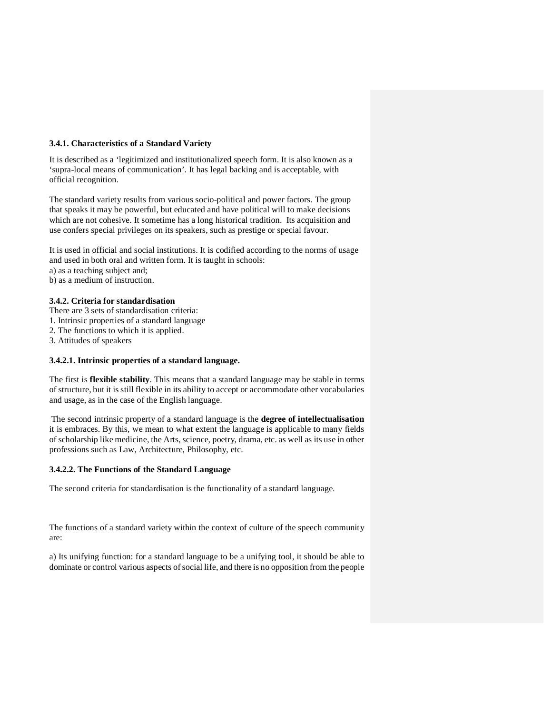### **3.4.1. Characteristics of a Standard Variety**

It is described as a 'legitimized and institutionalized speech form. It is also known as a 'supra-local means of communication'. It has legal backing and is acceptable, with official recognition.

The standard variety results from various socio-political and power factors. The group that speaks it may be powerful, but educated and have political will to make decisions which are not cohesive. It sometime has a long historical tradition. Its acquisition and use confers special privileges on its speakers, such as prestige or special favour.

It is used in official and social institutions. It is codified according to the norms of usage and used in both oral and written form. It is taught in schools:

a) as a teaching subject and;

b) as a medium of instruction.

### **3.4.2. Criteria for standardisation**

- There are 3 sets of standardisation criteria:
- 1. Intrinsic properties of a standard language
- 2. The functions to which it is applied.
- 3. Attitudes of speakers

### **3.4.2.1. Intrinsic properties of a standard language.**

The first is **flexible stability**. This means that a standard language may be stable in terms of structure, but it is still flexible in its ability to accept or accommodate other vocabularies and usage, as in the case of the English language.

 The second intrinsic property of a standard language is the **degree of intellectualisation** it is embraces. By this, we mean to what extent the language is applicable to many fields of scholarship like medicine, the Arts, science, poetry, drama, etc. as well as its use in other professions such as Law, Architecture, Philosophy, etc.

### **3.4.2.2. The Functions of the Standard Language**

The second criteria for standardisation is the functionality of a standard language.

The functions of a standard variety within the context of culture of the speech community are:

a) Its unifying function: for a standard language to be a unifying tool, it should be able to dominate or control various aspects of social life, and there is no opposition from the people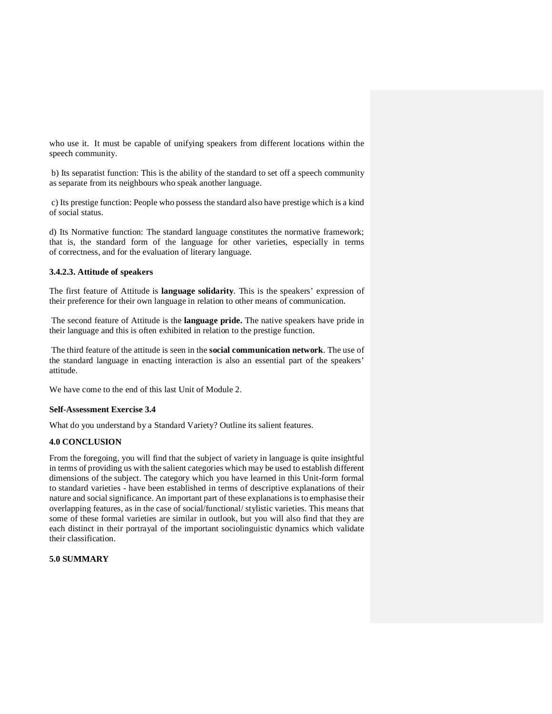who use it. It must be capable of unifying speakers from different locations within the speech community.

 b) Its separatist function: This is the ability of the standard to set off a speech community as separate from its neighbours who speak another language.

 c) Its prestige function: People who possess the standard also have prestige which is a kind of social status.

d) Its Normative function: The standard language constitutes the normative framework; that is, the standard form of the language for other varieties, especially in terms of correctness, and for the evaluation of literary language.

### **3.4.2.3. Attitude of speakers**

The first feature of Attitude is **language solidarity**. This is the speakers' expression of their preference for their own language in relation to other means of communication.

 The second feature of Attitude is the **language pride.** The native speakers have pride in their language and this is often exhibited in relation to the prestige function.

 The third feature of the attitude is seen in the **social communication network**. The use of the standard language in enacting interaction is also an essential part of the speakers' attitude.

We have come to the end of this last Unit of Module 2.

#### **Self-Assessment Exercise 3.4**

What do you understand by a Standard Variety? Outline its salient features.

### **4.0 CONCLUSION**

From the foregoing, you will find that the subject of variety in language is quite insightful in terms of providing us with the salient categories which may be used to establish different dimensions of the subject. The category which you have learned in this Unit-form formal to standard varieties - have been established in terms of descriptive explanations of their nature and social significance. An important part of these explanations is to emphasise their overlapping features, as in the case of social/functional/ stylistic varieties. This means that some of these formal varieties are similar in outlook, but you will also find that they are each distinct in their portrayal of the important sociolinguistic dynamics which validate their classification.

### **5.0 SUMMARY**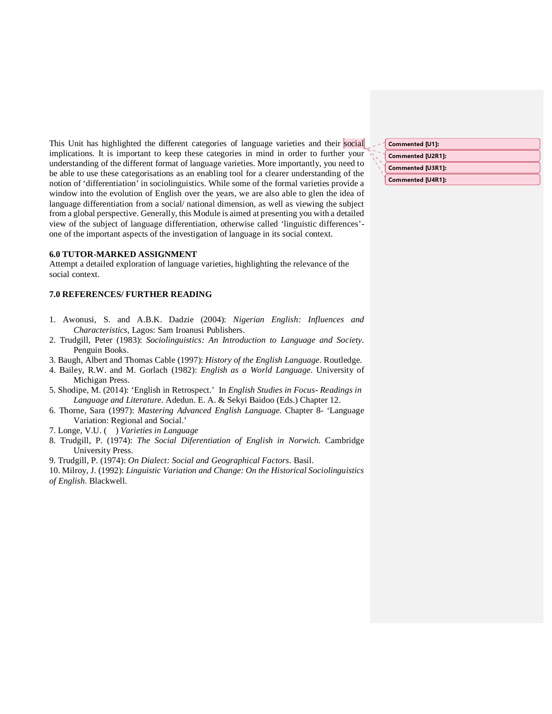This Unit has highlighted the different categories of language varieties and their social implications. It is important to keep these categories in mind in order to further your understanding of the different format of language varieties. More importantly, you need to be able to use these categorisations as an enabling tool for a clearer understanding of the notion of 'differentiation' in sociolinguistics. While some of the formal varieties provide a window into the evolution of English over the years, we are also able to glen the idea of language differentiation from a social/ national dimension, as well as viewing the subject from a global perspective. Generally, this Module is aimed at presenting you with a detailed view of the subject of language differentiation, otherwise called 'linguistic differences' one of the important aspects of the investigation of language in its social context.

#### **6.0 TUTOR-MARKED ASSIGNMENT**

Attempt a detailed exploration of language varieties, highlighting the relevance of the social context.

#### **7.0 REFERENCES/ FURTHER READING**

- 1. Awonusi, S. and A.B.K. Dadzie (2004): *Nigerian English: Influences and Characteristics*, Lagos: Sam Iroanusi Publishers.
- 2. Trudgill, Peter (1983): *Sociolinguistics: An Introduction to Language and Society*. Penguin Books.
- 3. Baugh, Albert and Thomas Cable (1997): *History of the English Language*. Routledge.
- 4. Bailey, R.W. and M. Gorlach (1982): *English as a World Language*. University of Michigan Press.
- 5. Shodipe, M. (2014): 'English in Retrospect.' In *English Studies in Focus- Readings in Language and Literature.* Adedun. E. A. & Sekyi Baidoo (Eds.) Chapter 12.
- 6. Thorne, Sara (1997): *Mastering Advanced English Language.* Chapter 8- 'Language Variation: Regional and Social.'
- 7. Longe, V.U. ( ) *Varieties in Language*
- 8. Trudgill, P. (1974): *The Social Diferentiation of English in Norwich.* Cambridge University Press.
- 9. Trudgill, P. (1974): *On Dialect: Social and Geographical Factors*. Basil.
- 10. Milroy, J. (1992): *Linguistic Variation and Change: On the Historical Sociolinguistics of English.* Blackwell.

| Commented [U1]:   |
|-------------------|
| Commented [U2R1]: |
| Commented [U3R1]: |
| Commented [U4R1]: |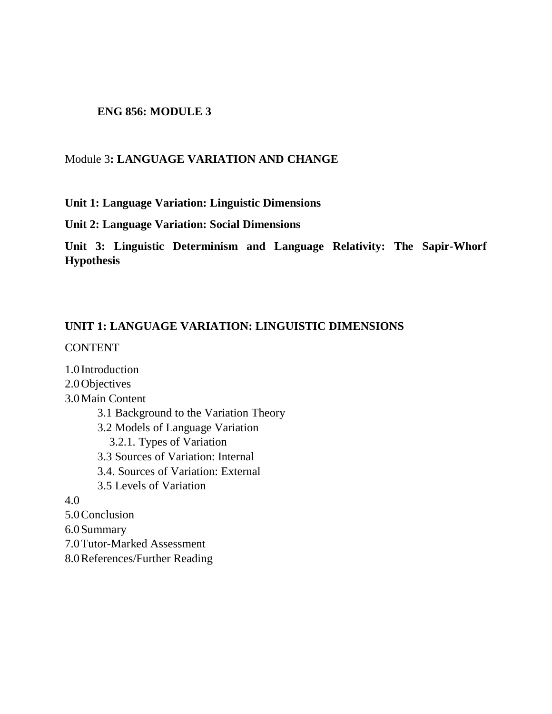### **ENG 856: MODULE 3**

### Module 3**: LANGUAGE VARIATION AND CHANGE**

### **Unit 1: Language Variation: Linguistic Dimensions**

**Unit 2: Language Variation: Social Dimensions** 

**Unit 3: Linguistic Determinism and Language Relativity: The Sapir-Whorf Hypothesis** 

### **UNIT 1: LANGUAGE VARIATION: LINGUISTIC DIMENSIONS**

**CONTENT** 

1.0 Introduction 2.0Objectives 3.0Main Content 3.1 Background to the Variation Theory 3.2 Models of Language Variation 3.2.1. Types of Variation 3.3 Sources of Variation: Internal 3.4. Sources of Variation: External 3.5 Levels of Variation 4.0 5.0Conclusion 6.0Summary 7.0Tutor-Marked Assessment

8.0References/Further Reading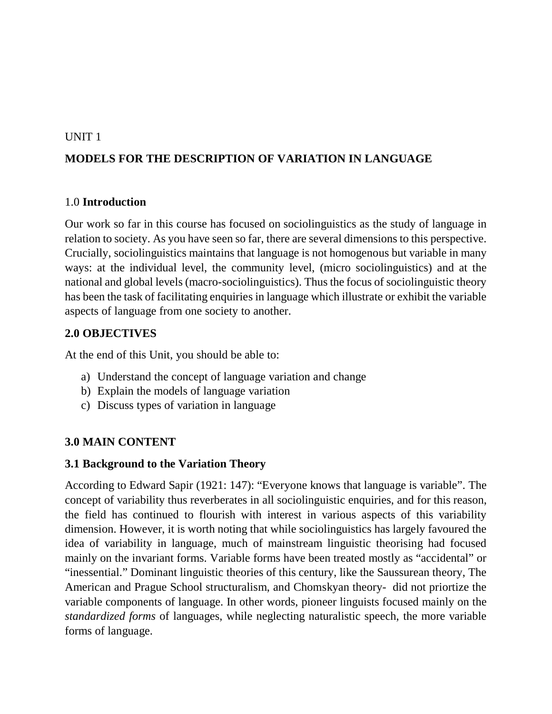### UNIT 1

# **MODELS FOR THE DESCRIPTION OF VARIATION IN LANGUAGE**

### 1.0 **Introduction**

Our work so far in this course has focused on sociolinguistics as the study of language in relation to society. As you have seen so far, there are several dimensions to this perspective. Crucially, sociolinguistics maintains that language is not homogenous but variable in many ways: at the individual level, the community level, (micro sociolinguistics) and at the national and global levels (macro-sociolinguistics). Thus the focus of sociolinguistic theory has been the task of facilitating enquiries in language which illustrate or exhibit the variable aspects of language from one society to another.

## **2.0 OBJECTIVES**

At the end of this Unit, you should be able to:

- a) Understand the concept of language variation and change
- b) Explain the models of language variation
- c) Discuss types of variation in language

## **3.0 MAIN CONTENT**

## **3.1 Background to the Variation Theory**

According to Edward Sapir (1921: 147): "Everyone knows that language is variable". The concept of variability thus reverberates in all sociolinguistic enquiries, and for this reason, the field has continued to flourish with interest in various aspects of this variability dimension. However, it is worth noting that while sociolinguistics has largely favoured the idea of variability in language, much of mainstream linguistic theorising had focused mainly on the invariant forms. Variable forms have been treated mostly as "accidental" or "inessential." Dominant linguistic theories of this century, like the Saussurean theory, The American and Prague School structuralism, and Chomskyan theory- did not priortize the variable components of language. In other words, pioneer linguists focused mainly on the *standardized forms* of languages, while neglecting naturalistic speech, the more variable forms of language.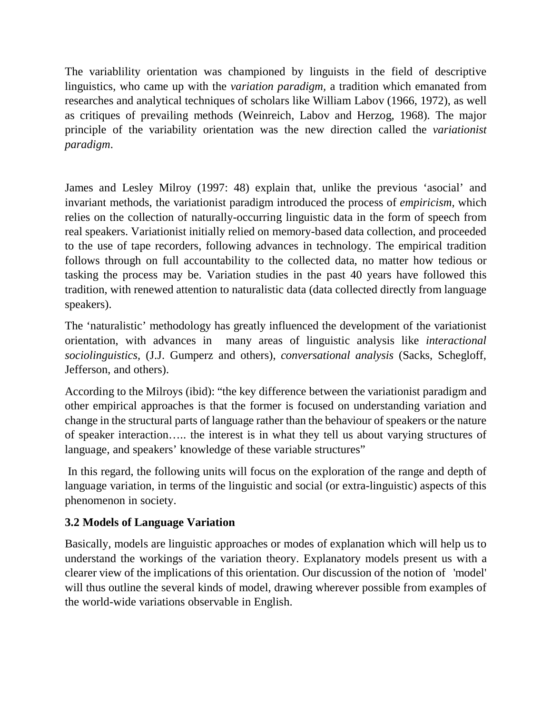The variablility orientation was championed by linguists in the field of descriptive linguistics, who came up with the *variation paradigm,* a tradition which emanated from researches and analytical techniques of scholars like William Labov (1966, 1972), as well as critiques of prevailing methods (Weinreich, Labov and Herzog, 1968). The major principle of the variability orientation was the new direction called the *variationist paradigm*.

James and Lesley Milroy (1997: 48) explain that, unlike the previous 'asocial' and invariant methods, the variationist paradigm introduced the process of *empiricism,* which relies on the collection of naturally-occurring linguistic data in the form of speech from real speakers. Variationist initially relied on memory-based data collection, and proceeded to the use of tape recorders, following advances in technology. The empirical tradition follows through on full accountability to the collected data, no matter how tedious or tasking the process may be. Variation studies in the past 40 years have followed this tradition, with renewed attention to naturalistic data (data collected directly from language speakers).

The 'naturalistic' methodology has greatly influenced the development of the variationist orientation, with advances in many areas of linguistic analysis like *interactional sociolinguistics,* (J.J. Gumperz and others), *conversational analysis* (Sacks, Schegloff, Jefferson, and others).

According to the Milroys (ibid): "the key difference between the variationist paradigm and other empirical approaches is that the former is focused on understanding variation and change in the structural parts of language rather than the behaviour of speakers or the nature of speaker interaction….. the interest is in what they tell us about varying structures of language, and speakers' knowledge of these variable structures"

 In this regard, the following units will focus on the exploration of the range and depth of language variation, in terms of the linguistic and social (or extra-linguistic) aspects of this phenomenon in society.

# **3.2 Models of Language Variation**

Basically, models are linguistic approaches or modes of explanation which will help us to understand the workings of the variation theory. Explanatory models present us with a clearer view of the implications of this orientation. Our discussion of the notion of 'model' will thus outline the several kinds of model, drawing wherever possible from examples of the world-wide variations observable in English.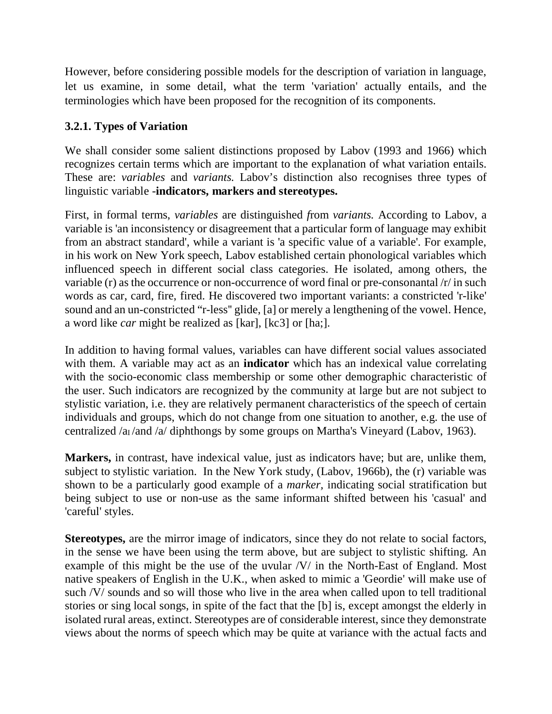However, before considering possible models for the description of variation in language, let us examine, in some detail, what the term 'variation' actually entails, and the terminologies which have been proposed for the recognition of its components.

## **3.2.1. Types of Variation**

We shall consider some salient distinctions proposed by Labov (1993 and 1966) which recognizes certain terms which are important to the explanation of what variation entails. These are: *variables* and *variants.* Labov's distinction also recognises three types of linguistic variable -**indicators, markers and stereotypes.** 

First, in formal terms, *variables* are distinguished *f*rom *variants.* According to Labov*,* a variable is 'an inconsistency or disagreement that a particular form of language may exhibit from an abstract standard', while a variant is 'a specific value of a variable'. For example, in his work on New York speech, Labov established certain phonological variables which influenced speech in different social class categories. He isolated, among others, the variable (r) as the occurrence or non-occurrence of word final or pre-consonantal /r/ in such words as car, card, fire, fired. He discovered two important variants: a constricted 'r-like' sound and an un-constricted "r-less'' glide, [a] or merely a lengthening of the vowel. Hence, a word like *car* might be realized as [kar], [kc3] or [ha;].

In addition to having formal values, variables can have different social values associated with them. A variable may act as an **indicator** which has an indexical value correlating with the socio-economic class membership or some other demographic characteristic of the user. Such indicators are recognized by the community at large but are not subject to stylistic variation, i.e. they are relatively permanent characteristics of the speech of certain individuals and groups, which do not change from one situation to another, e.g. the use of centralized /a<sub>I</sub> /and /a/ diphthongs by some groups on Martha's Vineyard (Labov, 1963).

**Markers,** in contrast, have indexical value, just as indicators have; but are, unlike them, subject to stylistic variation. In the New York study, (Labov, 1966b), the (r) variable was shown to be a particularly good example of a *marker,* indicating social stratification but being subject to use or non-use as the same informant shifted between his 'casual' and 'careful' styles.

**Stereotypes,** are the mirror image of indicators, since they do not relate to social factors, in the sense we have been using the term above, but are subject to stylistic shifting. An example of this might be the use of the uvular /V/ in the North-East of England. Most native speakers of English in the U.K., when asked to mimic a 'Geordie' will make use of such /V/ sounds and so will those who live in the area when called upon to tell traditional stories or sing local songs, in spite of the fact that the [b] is, except amongst the elderly in isolated rural areas, extinct. Stereotypes are of considerable interest, since they demonstrate views about the norms of speech which may be quite at variance with the actual facts and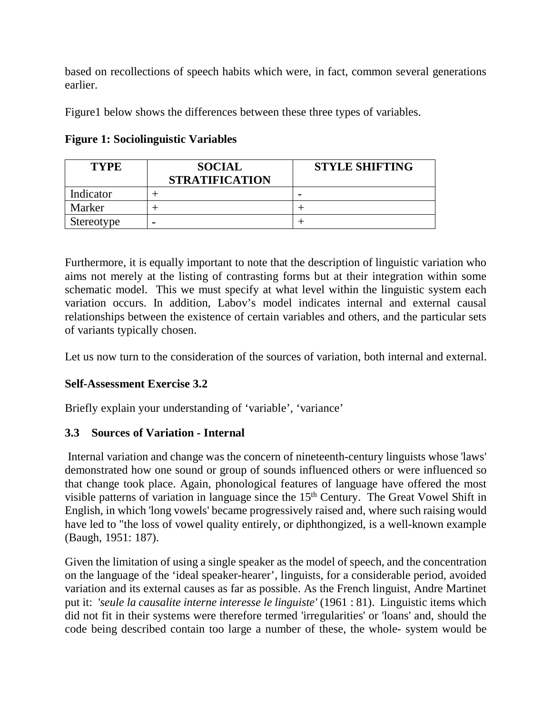based on recollections of speech habits which were, in fact, common several generations earlier.

Figure1 below shows the differences between these three types of variables.

| <b>TYPE</b> | <b>SOCIAL</b><br><b>STRATIFICATION</b> | <b>STYLE SHIFTING</b> |
|-------------|----------------------------------------|-----------------------|
| Indicator   |                                        |                       |
| Marker      |                                        |                       |
| Stereotype  |                                        |                       |

**Figure 1: Sociolinguistic Variables** 

Furthermore, it is equally important to note that the description of linguistic variation who aims not merely at the listing of contrasting forms but at their integration within some schematic model. This we must specify at what level within the linguistic system each variation occurs. In addition, Labov's model indicates internal and external causal relationships between the existence of certain variables and others, and the particular sets of variants typically chosen.

Let us now turn to the consideration of the sources of variation, both internal and external.

# **Self-Assessment Exercise 3.2**

Briefly explain your understanding of 'variable', 'variance'

# **3.3 Sources of Variation - Internal**

 Internal variation and change was the concern of nineteenth-century linguists whose 'laws' demonstrated how one sound or group of sounds influenced others or were influenced so that change took place. Again, phonological features of language have offered the most visible patterns of variation in language since the 15<sup>th</sup> Century. The Great Vowel Shift in English, in which 'long vowels' became progressively raised and, where such raising would have led to "the loss of vowel quality entirely, or diphthongized, is a well-known example (Baugh, 1951: 187).

Given the limitation of using a single speaker as the model of speech, and the concentration on the language of the 'ideal speaker-hearer', linguists, for a considerable period, avoided variation and its external causes as far as possible. As the French linguist, Andre Martinet put it: *'seule la causalite interne interesse le linguiste'* (1961 : 81). Linguistic items which did not fit in their systems were therefore termed 'irregularities' or 'loans' and, should the code being described contain too large a number of these, the whole- system would be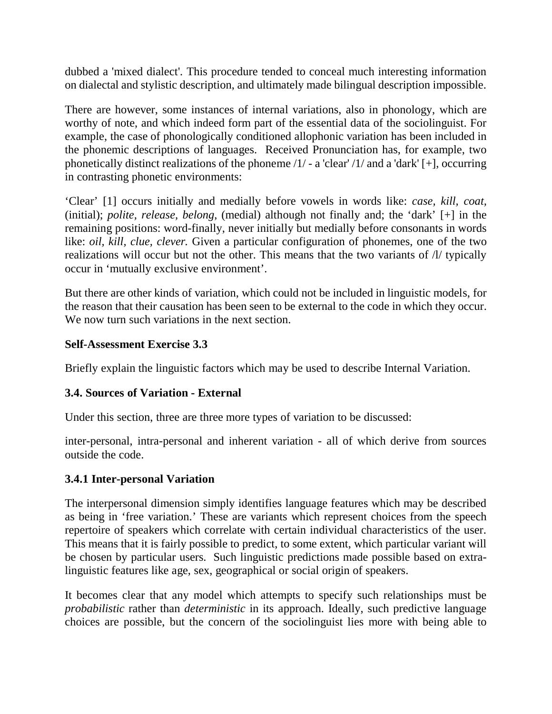dubbed a 'mixed dialect'. This procedure tended to conceal much interesting information on dialectal and stylistic description, and ultimately made bilingual description impossible.

There are however, some instances of internal variations, also in phonology, which are worthy of note, and which indeed form part of the essential data of the sociolinguist. For example, the case of phonologically conditioned allophonic variation has been included in the phonemic descriptions of languages. Received Pronunciation has, for example, two phonetically distinct realizations of the phoneme  $/1/$  - a 'clear'  $/1/$  and a 'dark' [+], occurring in contrasting phonetic environments:

'Clear' [1] occurs initially and medially before vowels in words like: *case, kill, coat,* (initial); *polite, release, belong*, (medial) although not finally and; the 'dark' [+] in the remaining positions: word-finally, never initially but medially before consonants in words like: *oil, kill, clue, clever*. Given a particular configuration of phonemes, one of the two realizations will occur but not the other. This means that the two variants of /l/ typically occur in 'mutually exclusive environment'.

But there are other kinds of variation, which could not be included in linguistic models, for the reason that their causation has been seen to be external to the code in which they occur. We now turn such variations in the next section.

## **Self-Assessment Exercise 3.3**

Briefly explain the linguistic factors which may be used to describe Internal Variation.

## **3.4. Sources of Variation - External**

Under this section, three are three more types of variation to be discussed:

inter-personal, intra-personal and inherent variation - all of which derive from sources outside the code.

### **3.4.1 Inter-personal Variation**

The interpersonal dimension simply identifies language features which may be described as being in 'free variation.' These are variants which represent choices from the speech repertoire of speakers which correlate with certain individual characteristics of the user. This means that it is fairly possible to predict, to some extent, which particular variant will be chosen by particular users. Such linguistic predictions made possible based on extralinguistic features like age, sex, geographical or social origin of speakers.

It becomes clear that any model which attempts to specify such relationships must be *probabilistic* rather than *deterministic* in its approach. Ideally, such predictive language choices are possible, but the concern of the sociolinguist lies more with being able to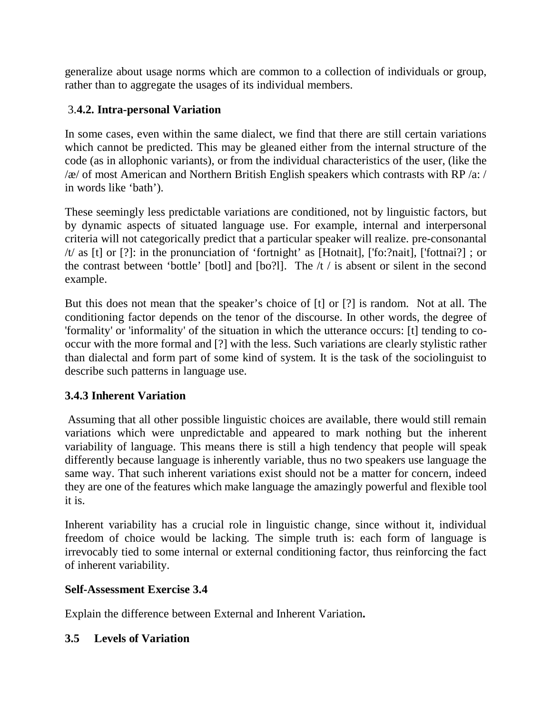generalize about usage norms which are common to a collection of individuals or group, rather than to aggregate the usages of its individual members.

# 3.**4.2. Intra-personal Variation**

In some cases, even within the same dialect, we find that there are still certain variations which cannot be predicted. This may be gleaned either from the internal structure of the code (as in allophonic variants), or from the individual characteristics of the user, (like the  $\alpha$  of most American and Northern British English speakers which contrasts with RP  $\alpha$ : / in words like 'bath').

These seemingly less predictable variations are conditioned, not by linguistic factors, but by dynamic aspects of situated language use. For example, internal and interpersonal criteria will not categorically predict that a particular speaker will realize. pre-consonantal /t/ as [t] or [?]: in the pronunciation of 'fortnight' as [Hotnait], ['fo:?nait], ['fottnai?] ; or the contrast between 'bottle' [botl] and [bo?l]. The  $/t /$  is absent or silent in the second example.

But this does not mean that the speaker's choice of [t] or [?] is random. Not at all. The conditioning factor depends on the tenor of the discourse. In other words, the degree of 'formality' or 'informality' of the situation in which the utterance occurs: [t] tending to cooccur with the more formal and [?] with the less. Such variations are clearly stylistic rather than dialectal and form part of some kind of system. It is the task of the sociolinguist to describe such patterns in language use.

# **3.4.3 Inherent Variation**

 Assuming that all other possible linguistic choices are available, there would still remain variations which were unpredictable and appeared to mark nothing but the inherent variability of language. This means there is still a high tendency that people will speak differently because language is inherently variable, thus no two speakers use language the same way. That such inherent variations exist should not be a matter for concern, indeed they are one of the features which make language the amazingly powerful and flexible tool it is.

Inherent variability has a crucial role in linguistic change, since without it, individual freedom of choice would be lacking. The simple truth is: each form of language is irrevocably tied to some internal or external conditioning factor, thus reinforcing the fact of inherent variability.

# **Self-Assessment Exercise 3.4**

Explain the difference between External and Inherent Variation**.** 

# **3.5 Levels of Variation**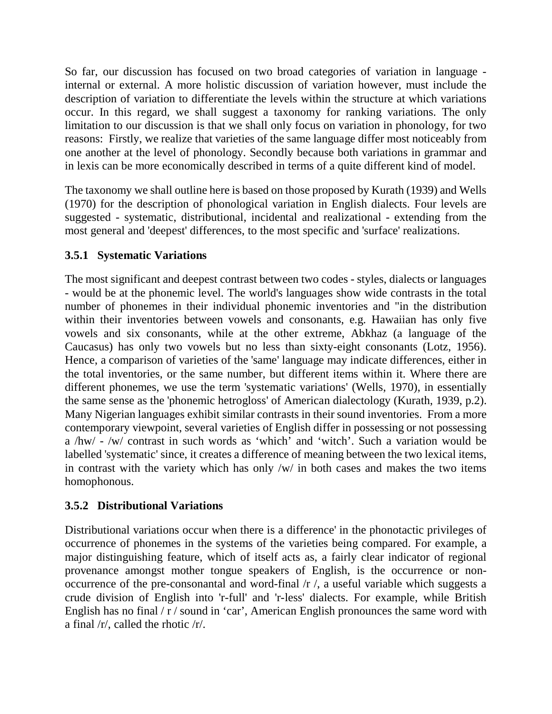So far, our discussion has focused on two broad categories of variation in language internal or external. A more holistic discussion of variation however, must include the description of variation to differentiate the levels within the structure at which variations occur. In this regard, we shall suggest a taxonomy for ranking variations. The only limitation to our discussion is that we shall only focus on variation in phonology, for two reasons: Firstly, we realize that varieties of the same language differ most noticeably from one another at the level of phonology. Secondly because both variations in grammar and in lexis can be more economically described in terms of a quite different kind of model.

The taxonomy we shall outline here is based on those proposed by Kurath (1939) and Wells (1970) for the description of phonological variation in English dialects. Four levels are suggested - systematic, distributional, incidental and realizational - extending from the most general and 'deepest' differences, to the most specific and 'surface' realizations.

# **3.5.1 Systematic Variations**

The most significant and deepest contrast between two codes - styles, dialects or languages - would be at the phonemic level. The world's languages show wide contrasts in the total number of phonemes in their individual phonemic inventories and "in the distribution within their inventories between vowels and consonants, e.g. Hawaiian has only five vowels and six consonants, while at the other extreme, Abkhaz (a language of the Caucasus) has only two vowels but no less than sixty-eight consonants (Lotz, 1956). Hence, a comparison of varieties of the 'same' language may indicate differences, either in the total inventories, or the same number, but different items within it. Where there are different phonemes, we use the term 'systematic variations' (Wells, 1970), in essentially the same sense as the 'phonemic hetrogloss' of American dialectology (Kurath, 1939, p.2). Many Nigerian languages exhibit similar contrasts in their sound inventories. From a more contemporary viewpoint, several varieties of English differ in possessing or not possessing a /hw/ - /w/ contrast in such words as 'which' and 'witch'. Such a variation would be labelled 'systematic' since, it creates a difference of meaning between the two lexical items, in contrast with the variety which has only /w/ in both cases and makes the two items homophonous.

# **3.5.2 Distributional Variations**

Distributional variations occur when there is a difference' in the phonotactic privileges of occurrence of phonemes in the systems of the varieties being compared. For example, a major distinguishing feature, which of itself acts as, a fairly clear indicator of regional provenance amongst mother tongue speakers of English, is the occurrence or nonoccurrence of the pre-consonantal and word-final /r /, a useful variable which suggests a crude division of English into 'r-full' and 'r-less' dialects. For example, while British English has no final  $/r /$  sound in 'car', American English pronounces the same word with a final /r/, called the rhotic /r/.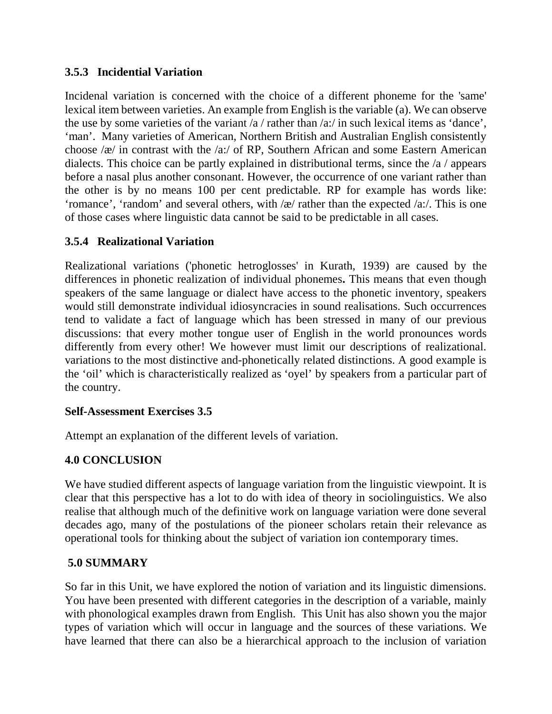## **3.5.3 Incidential Variation**

Incidenal variation is concerned with the choice of a different phoneme for the 'same' lexical item between varieties. An example from English is the variable (a). We can observe the use by some varieties of the variant /a / rather than /a:/ in such lexical items as 'dance', 'man'. Many varieties of American, Northern British and Australian English consistently choose /æ/ in contrast with the /a:/ of RP, Southern African and some Eastern American dialects. This choice can be partly explained in distributional terms, since the /a / appears before a nasal plus another consonant. However, the occurrence of one variant rather than the other is by no means 100 per cent predictable. RP for example has words like: 'romance', 'random' and several others, with /æ/ rather than the expected /a:/. This is one of those cases where linguistic data cannot be said to be predictable in all cases.

## **3.5.4 Realizational Variation**

Realizational variations ('phonetic hetroglosses' in Kurath, 1939) are caused by the differences in phonetic realization of individual phonemes**.** This means that even though speakers of the same language or dialect have access to the phonetic inventory, speakers would still demonstrate individual idiosyncracies in sound realisations. Such occurrences tend to validate a fact of language which has been stressed in many of our previous discussions: that every mother tongue user of English in the world pronounces words differently from every other! We however must limit our descriptions of realizational. variations to the most distinctive and-phonetically related distinctions. A good example is the 'oil' which is characteristically realized as 'oyel' by speakers from a particular part of the country.

## **Self-Assessment Exercises 3.5**

Attempt an explanation of the different levels of variation.

## **4.0 CONCLUSION**

We have studied different aspects of language variation from the linguistic viewpoint. It is clear that this perspective has a lot to do with idea of theory in sociolinguistics. We also realise that although much of the definitive work on language variation were done several decades ago, many of the postulations of the pioneer scholars retain their relevance as operational tools for thinking about the subject of variation ion contemporary times.

## **5.0 SUMMARY**

So far in this Unit, we have explored the notion of variation and its linguistic dimensions. You have been presented with different categories in the description of a variable, mainly with phonological examples drawn from English. This Unit has also shown you the major types of variation which will occur in language and the sources of these variations. We have learned that there can also be a hierarchical approach to the inclusion of variation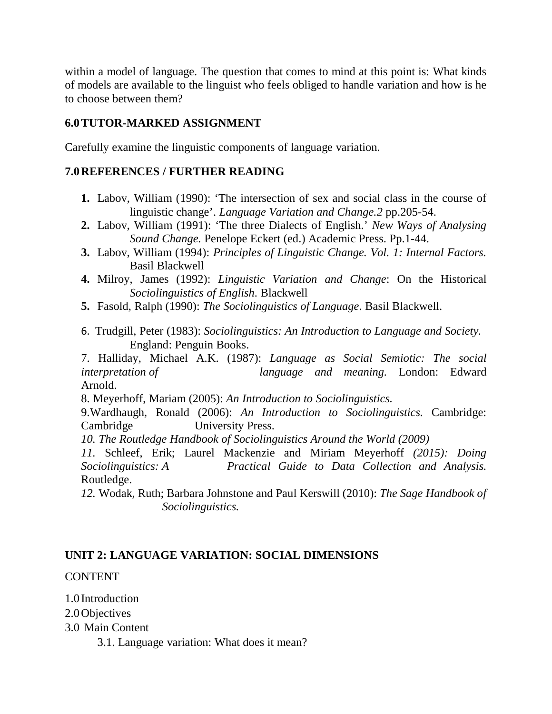within a model of language. The question that comes to mind at this point is: What kinds of models are available to the linguist who feels obliged to handle variation and how is he to choose between them?

## **6.0TUTOR-MARKED ASSIGNMENT**

Carefully examine the linguistic components of language variation.

## **7.0REFERENCES / FURTHER READING**

- **1.** Labov, William (1990): 'The intersection of sex and social class in the course of linguistic change'. *Language Variation and Change.2* pp.205-54.
- **2.** Labov, William (1991): 'The three Dialects of English.' *New Ways of Analysing Sound Change.* Penelope Eckert (ed.) Academic Press. Pp.1-44.
- **3.** Labov, William (1994): *Principles of Linguistic Change. Vol. 1: Internal Factors.*  Basil Blackwell
- **4.** Milroy, James (1992): *Linguistic Variation and Change*: On the Historical *Sociolinguistics of English*. Blackwell
- **5.** Fasold, Ralph (1990): *The Sociolinguistics of Language*. Basil Blackwell.
- 6. Trudgill, Peter (1983): *Sociolinguistics: An Introduction to Language and Society.*  England: Penguin Books.

7. Halliday, Michael A.K. (1987): *Language as Social Semiotic: The social interpretation of language and meaning.* London: Edward Arnold.

8. Meyerhoff, Mariam (2005): *An Introduction to Sociolinguistics.* 

9.Wardhaugh, Ronald (2006): *An Introduction to Sociolinguistics.* Cambridge: Cambridge University Press.

*10. The Routledge Handbook of Sociolinguistics Around the World (2009)* 

*11.* Schleef, Erik; Laurel Mackenzie and Miriam Meyerhoff *(2015): Doing Sociolinguistics: A Practical Guide to Data Collection and Analysis.*  Routledge.

*12.* Wodak, Ruth; Barbara Johnstone and Paul Kerswill (2010): *The Sage Handbook of Sociolinguistics.* 

# **UNIT 2: LANGUAGE VARIATION: SOCIAL DIMENSIONS**

## **CONTENT**

1.0 Introduction

2.0Objectives

3.0 Main Content

3.1. Language variation: What does it mean?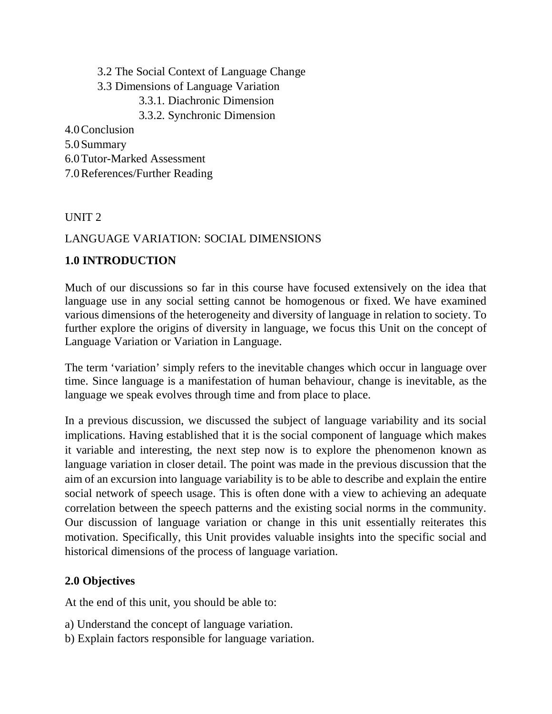3.2 The Social Context of Language Change

- 3.3 Dimensions of Language Variation
	- 3.3.1. Diachronic Dimension
	- 3.3.2. Synchronic Dimension

4.0Conclusion

- 5.0Summary
- 6.0Tutor-Marked Assessment
- 7.0References/Further Reading

# UNIT 2

# LANGUAGE VARIATION: SOCIAL DIMENSIONS

# **1.0 INTRODUCTION**

Much of our discussions so far in this course have focused extensively on the idea that language use in any social setting cannot be homogenous or fixed. We have examined various dimensions of the heterogeneity and diversity of language in relation to society. To further explore the origins of diversity in language, we focus this Unit on the concept of Language Variation or Variation in Language.

The term 'variation' simply refers to the inevitable changes which occur in language over time. Since language is a manifestation of human behaviour, change is inevitable, as the language we speak evolves through time and from place to place.

In a previous discussion, we discussed the subject of language variability and its social implications. Having established that it is the social component of language which makes it variable and interesting, the next step now is to explore the phenomenon known as language variation in closer detail. The point was made in the previous discussion that the aim of an excursion into language variability is to be able to describe and explain the entire social network of speech usage. This is often done with a view to achieving an adequate correlation between the speech patterns and the existing social norms in the community. Our discussion of language variation or change in this unit essentially reiterates this motivation. Specifically, this Unit provides valuable insights into the specific social and historical dimensions of the process of language variation.

# **2.0 Objectives**

At the end of this unit, you should be able to:

- a) Understand the concept of language variation.
- b) Explain factors responsible for language variation.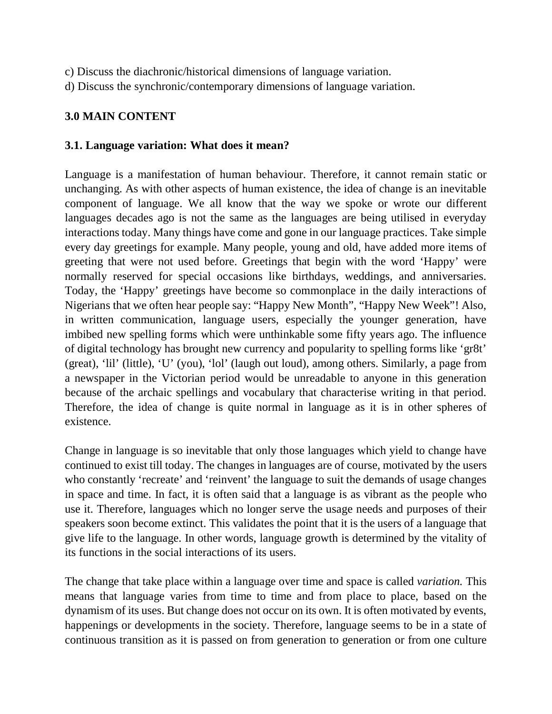- c) Discuss the diachronic/historical dimensions of language variation.
- d) Discuss the synchronic/contemporary dimensions of language variation.

## **3.0 MAIN CONTENT**

### **3.1. Language variation: What does it mean?**

Language is a manifestation of human behaviour. Therefore, it cannot remain static or unchanging. As with other aspects of human existence, the idea of change is an inevitable component of language. We all know that the way we spoke or wrote our different languages decades ago is not the same as the languages are being utilised in everyday interactions today. Many things have come and gone in our language practices. Take simple every day greetings for example. Many people, young and old, have added more items of greeting that were not used before. Greetings that begin with the word 'Happy' were normally reserved for special occasions like birthdays, weddings, and anniversaries. Today, the 'Happy' greetings have become so commonplace in the daily interactions of Nigerians that we often hear people say: "Happy New Month", "Happy New Week"! Also, in written communication, language users, especially the younger generation, have imbibed new spelling forms which were unthinkable some fifty years ago. The influence of digital technology has brought new currency and popularity to spelling forms like 'gr8t' (great), 'lil' (little), 'U' (you), 'lol' (laugh out loud), among others. Similarly, a page from a newspaper in the Victorian period would be unreadable to anyone in this generation because of the archaic spellings and vocabulary that characterise writing in that period. Therefore, the idea of change is quite normal in language as it is in other spheres of existence.

Change in language is so inevitable that only those languages which yield to change have continued to exist till today. The changes in languages are of course, motivated by the users who constantly 'recreate' and 'reinvent' the language to suit the demands of usage changes in space and time. In fact, it is often said that a language is as vibrant as the people who use it. Therefore, languages which no longer serve the usage needs and purposes of their speakers soon become extinct. This validates the point that it is the users of a language that give life to the language. In other words, language growth is determined by the vitality of its functions in the social interactions of its users.

The change that take place within a language over time and space is called *variation.* This means that language varies from time to time and from place to place, based on the dynamism of its uses. But change does not occur on its own. It is often motivated by events, happenings or developments in the society. Therefore, language seems to be in a state of continuous transition as it is passed on from generation to generation or from one culture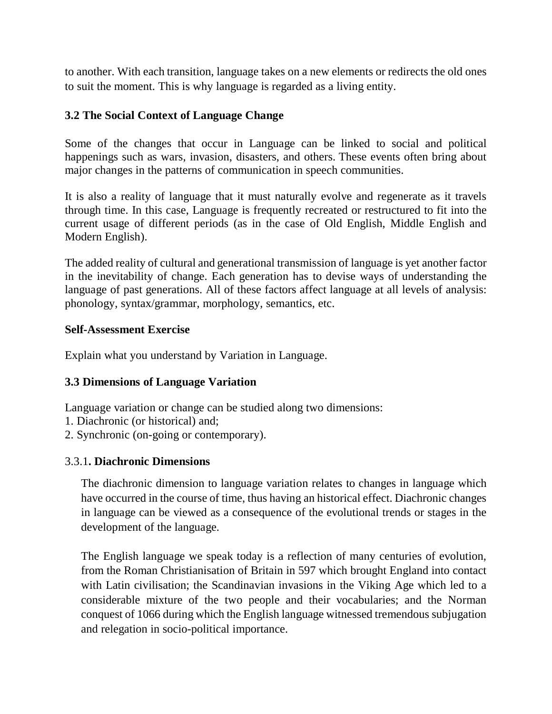to another. With each transition, language takes on a new elements or redirects the old ones to suit the moment. This is why language is regarded as a living entity.

## **3.2 The Social Context of Language Change**

Some of the changes that occur in Language can be linked to social and political happenings such as wars, invasion, disasters, and others. These events often bring about major changes in the patterns of communication in speech communities.

It is also a reality of language that it must naturally evolve and regenerate as it travels through time. In this case, Language is frequently recreated or restructured to fit into the current usage of different periods (as in the case of Old English, Middle English and Modern English).

The added reality of cultural and generational transmission of language is yet another factor in the inevitability of change. Each generation has to devise ways of understanding the language of past generations. All of these factors affect language at all levels of analysis: phonology, syntax/grammar, morphology, semantics, etc.

## **Self-Assessment Exercise**

Explain what you understand by Variation in Language.

## **3.3 Dimensions of Language Variation**

Language variation or change can be studied along two dimensions:

- 1. Diachronic (or historical) and;
- 2. Synchronic (on-going or contemporary).

## 3.3.1**. Diachronic Dimensions**

The diachronic dimension to language variation relates to changes in language which have occurred in the course of time, thus having an historical effect. Diachronic changes in language can be viewed as a consequence of the evolutional trends or stages in the development of the language.

The English language we speak today is a reflection of many centuries of evolution, from the Roman Christianisation of Britain in 597 which brought England into contact with Latin civilisation; the Scandinavian invasions in the Viking Age which led to a considerable mixture of the two people and their vocabularies; and the Norman conquest of 1066 during which the English language witnessed tremendous subjugation and relegation in socio-political importance.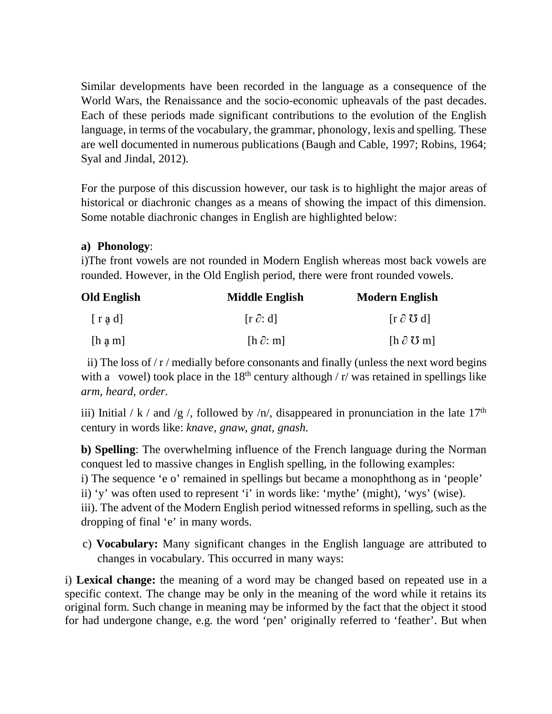Similar developments have been recorded in the language as a consequence of the World Wars, the Renaissance and the socio-economic upheavals of the past decades. Each of these periods made significant contributions to the evolution of the English language, in terms of the vocabulary, the grammar, phonology, lexis and spelling. These are well documented in numerous publications (Baugh and Cable, 1997; Robins, 1964; Syal and Jindal, 2012).

For the purpose of this discussion however, our task is to highlight the major areas of historical or diachronic changes as a means of showing the impact of this dimension. Some notable diachronic changes in English are highlighted below:

## **a) Phonology**:

i)The front vowels are not rounded in Modern English whereas most back vowels are rounded. However, in the Old English period, there were front rounded vowels.

| <b>Old English</b>      | <b>Middle English</b> | <b>Modern English</b>       |
|-------------------------|-----------------------|-----------------------------|
| $\lceil$ r a d]         | $[r \partial: d]$     | $[r \partial \mathbf{U} d]$ |
| $[h \nvert a \nvert m]$ | $[h \partial: m]$     | $[h \partial \mathbf{U} m]$ |

ii) The loss of  $/r$  / medially before consonants and finally (unless the next word begins with a vowel) took place in the  $18<sup>th</sup>$  century although / r/ was retained in spellings like *arm, heard, order.*

iii) Initial / k / and /g /, followed by /n/, disappeared in pronunciation in the late 17<sup>th</sup> century in words like: *knave, gnaw, gnat, gnash.* 

**b) Spelling**: The overwhelming influence of the French language during the Norman conquest led to massive changes in English spelling, in the following examples: i) The sequence 'e o' remained in spellings but became a monophthong as in 'people' ii) 'y' was often used to represent 'i' in words like: 'mythe' (might), 'wys' (wise). iii). The advent of the Modern English period witnessed reforms in spelling, such as the dropping of final 'e' in many words.

 c) **Vocabulary:** Many significant changes in the English language are attributed to changes in vocabulary. This occurred in many ways:

i) **Lexical change:** the meaning of a word may be changed based on repeated use in a specific context. The change may be only in the meaning of the word while it retains its original form. Such change in meaning may be informed by the fact that the object it stood for had undergone change, e.g. the word 'pen' originally referred to 'feather'. But when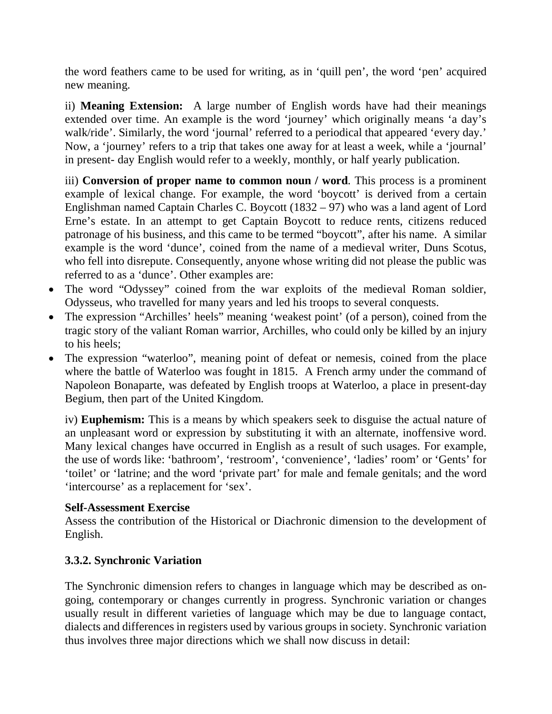the word feathers came to be used for writing, as in 'quill pen', the word 'pen' acquired new meaning.

ii) **Meaning Extension:** A large number of English words have had their meanings extended over time. An example is the word 'journey' which originally means 'a day's walk/ride'. Similarly, the word 'journal' referred to a periodical that appeared 'every day.' Now, a 'journey' refers to a trip that takes one away for at least a week, while a 'journal' in present- day English would refer to a weekly, monthly, or half yearly publication.

iii) **Conversion of proper name to common noun / word**. This process is a prominent example of lexical change. For example, the word 'boycott' is derived from a certain Englishman named Captain Charles C. Boycott (1832 – 97) who was a land agent of Lord Erne's estate. In an attempt to get Captain Boycott to reduce rents, citizens reduced patronage of his business, and this came to be termed "boycott", after his name. A similar example is the word 'dunce', coined from the name of a medieval writer, Duns Scotus, who fell into disrepute. Consequently, anyone whose writing did not please the public was referred to as a 'dunce'. Other examples are:

- The word "Odyssey" coined from the war exploits of the medieval Roman soldier, Odysseus, who travelled for many years and led his troops to several conquests.
- The expression "Archilles' heels" meaning 'weakest point' (of a person), coined from the tragic story of the valiant Roman warrior, Archilles, who could only be killed by an injury to his heels;
- The expression "waterloo", meaning point of defeat or nemesis, coined from the place where the battle of Waterloo was fought in 1815. A French army under the command of Napoleon Bonaparte, was defeated by English troops at Waterloo, a place in present-day Begium, then part of the United Kingdom.

iv) **Euphemism:** This is a means by which speakers seek to disguise the actual nature of an unpleasant word or expression by substituting it with an alternate, inoffensive word. Many lexical changes have occurred in English as a result of such usages. For example, the use of words like: 'bathroom', 'restroom', 'convenience', 'ladies' room' or 'Gents' for 'toilet' or 'latrine; and the word 'private part' for male and female genitals; and the word 'intercourse' as a replacement for 'sex'.

## **Self-Assessment Exercise**

Assess the contribution of the Historical or Diachronic dimension to the development of English.

# **3.3.2. Synchronic Variation**

The Synchronic dimension refers to changes in language which may be described as ongoing, contemporary or changes currently in progress. Synchronic variation or changes usually result in different varieties of language which may be due to language contact, dialects and differences in registers used by various groups in society. Synchronic variation thus involves three major directions which we shall now discuss in detail: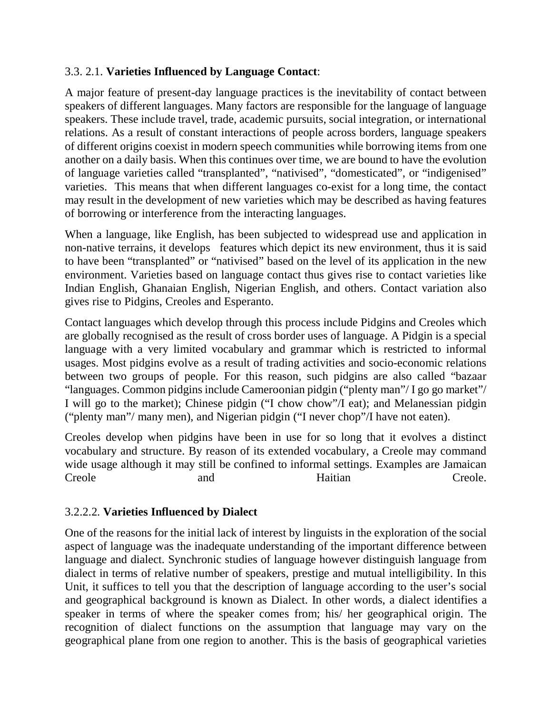## 3.3. 2.1. **Varieties Influenced by Language Contact**:

A major feature of present-day language practices is the inevitability of contact between speakers of different languages. Many factors are responsible for the language of language speakers. These include travel, trade, academic pursuits, social integration, or international relations. As a result of constant interactions of people across borders, language speakers of different origins coexist in modern speech communities while borrowing items from one another on a daily basis. When this continues over time, we are bound to have the evolution of language varieties called "transplanted", "nativised", "domesticated", or "indigenised" varieties. This means that when different languages co-exist for a long time, the contact may result in the development of new varieties which may be described as having features of borrowing or interference from the interacting languages.

When a language, like English, has been subjected to widespread use and application in non-native terrains, it develops features which depict its new environment, thus it is said to have been "transplanted" or "nativised" based on the level of its application in the new environment. Varieties based on language contact thus gives rise to contact varieties like Indian English, Ghanaian English, Nigerian English, and others. Contact variation also gives rise to Pidgins, Creoles and Esperanto.

Contact languages which develop through this process include Pidgins and Creoles which are globally recognised as the result of cross border uses of language. A Pidgin is a special language with a very limited vocabulary and grammar which is restricted to informal usages. Most pidgins evolve as a result of trading activities and socio-economic relations between two groups of people. For this reason, such pidgins are also called "bazaar "languages. Common pidgins include Cameroonian pidgin ("plenty man"/ I go go market"/ I will go to the market); Chinese pidgin ("I chow chow"/I eat); and Melanessian pidgin ("plenty man"/ many men), and Nigerian pidgin ("I never chop"/I have not eaten).

Creoles develop when pidgins have been in use for so long that it evolves a distinct vocabulary and structure. By reason of its extended vocabulary, a Creole may command wide usage although it may still be confined to informal settings. Examples are Jamaican Creole and and Haitian Creole.

# 3.2.2.2. **Varieties Influenced by Dialect**

One of the reasons for the initial lack of interest by linguists in the exploration of the social aspect of language was the inadequate understanding of the important difference between language and dialect. Synchronic studies of language however distinguish language from dialect in terms of relative number of speakers, prestige and mutual intelligibility. In this Unit, it suffices to tell you that the description of language according to the user's social and geographical background is known as Dialect. In other words, a dialect identifies a speaker in terms of where the speaker comes from; his/ her geographical origin. The recognition of dialect functions on the assumption that language may vary on the geographical plane from one region to another. This is the basis of geographical varieties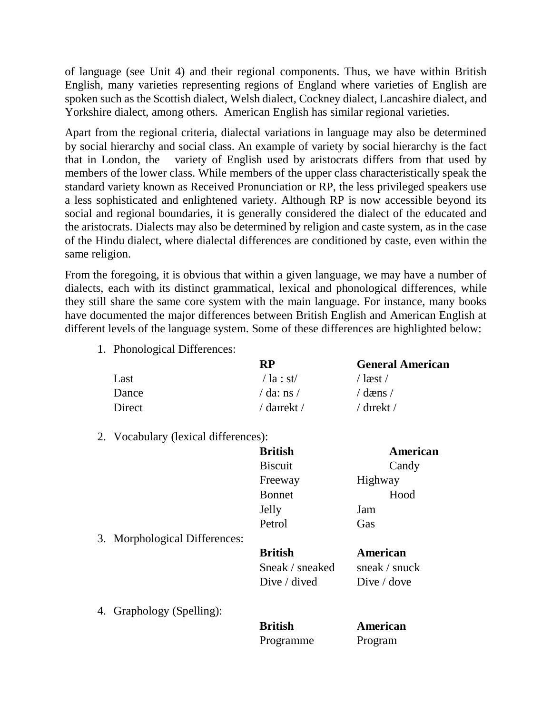of language (see Unit 4) and their regional components. Thus, we have within British English, many varieties representing regions of England where varieties of English are spoken such as the Scottish dialect, Welsh dialect, Cockney dialect, Lancashire dialect, and Yorkshire dialect, among others. American English has similar regional varieties.

Apart from the regional criteria, dialectal variations in language may also be determined by social hierarchy and social class. An example of variety by social hierarchy is the fact that in London, the variety of English used by aristocrats differs from that used by members of the lower class. While members of the upper class characteristically speak the standard variety known as Received Pronunciation or RP, the less privileged speakers use a less sophisticated and enlightened variety. Although RP is now accessible beyond its social and regional boundaries, it is generally considered the dialect of the educated and the aristocrats. Dialects may also be determined by religion and caste system, as in the case of the Hindu dialect, where dialectal differences are conditioned by caste, even within the same religion.

From the foregoing, it is obvious that within a given language, we may have a number of dialects, each with its distinct grammatical, lexical and phonological differences, while they still share the same core system with the main language. For instance, many books have documented the major differences between British English and American English at different levels of the language system. Some of these differences are highlighted below:

1. Phonological Differences:

|        | <b>RP</b>       | <b>General American</b>    |
|--------|-----------------|----------------------------|
| Last   | $\sqrt{a : st}$ | / læst /                   |
| Dance  | / da: ns /      | $\sqrt{d}$ dæns $\sqrt{d}$ |
| Direct | / daırekt /     | / dırekt /                 |

2. Vocabulary (lexical differences):

|                               | <b>British</b>                                           | American                                        |
|-------------------------------|----------------------------------------------------------|-------------------------------------------------|
|                               | <b>Biscuit</b>                                           | Candy                                           |
|                               | Freeway                                                  | Highway                                         |
|                               | <b>Bonnet</b>                                            | Hood                                            |
|                               | Jelly                                                    | Jam                                             |
|                               | Petrol                                                   | Gas                                             |
| 3. Morphological Differences: |                                                          |                                                 |
|                               | <b>British</b><br>Sneak / sneaked<br>Dive $\prime$ dived | American<br>sneak / snuck<br>Dive $\prime$ dove |
| 4. Graphology (Spelling):     |                                                          |                                                 |
|                               | <b>British</b>                                           | American                                        |
|                               | Programme                                                | Program                                         |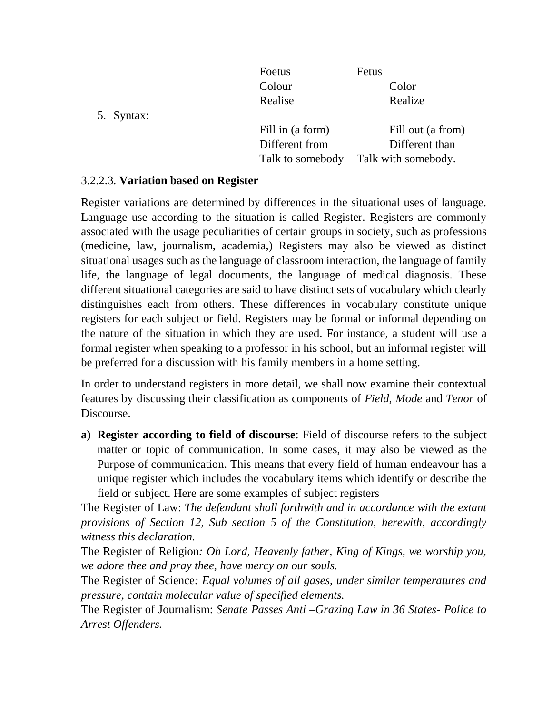|            | Foetus           | Fetus               |
|------------|------------------|---------------------|
|            | Colour           | Color               |
|            | Realise          | Realize             |
| 5. Syntax: |                  |                     |
|            | Fill in (a form) | Fill out (a from)   |
|            | Different from   | Different than      |
|            | Talk to somebody | Talk with somebody. |
|            |                  |                     |

## 3.2.2.3. **Variation based on Register**

Register variations are determined by differences in the situational uses of language. Language use according to the situation is called Register. Registers are commonly associated with the usage peculiarities of certain groups in society, such as professions (medicine, law, journalism, academia,) Registers may also be viewed as distinct situational usages such as the language of classroom interaction, the language of family life, the language of legal documents, the language of medical diagnosis. These different situational categories are said to have distinct sets of vocabulary which clearly distinguishes each from others. These differences in vocabulary constitute unique registers for each subject or field. Registers may be formal or informal depending on the nature of the situation in which they are used. For instance, a student will use a formal register when speaking to a professor in his school, but an informal register will be preferred for a discussion with his family members in a home setting.

In order to understand registers in more detail, we shall now examine their contextual features by discussing their classification as components of *Field*, *Mode* and *Tenor* of Discourse.

**a) Register according to field of discourse**: Field of discourse refers to the subject matter or topic of communication. In some cases, it may also be viewed as the Purpose of communication. This means that every field of human endeavour has a unique register which includes the vocabulary items which identify or describe the field or subject. Here are some examples of subject registers

The Register of Law: *The defendant shall forthwith and in accordance with the extant provisions of Section 12, Sub section 5 of the Constitution, herewith, accordingly witness this declaration.* 

The Register of Religion*: Oh Lord, Heavenly father, King of Kings, we worship you, we adore thee and pray thee, have mercy on our souls.* 

The Register of Science*: Equal volumes of all gases, under similar temperatures and pressure, contain molecular value of specified elements.* 

The Register of Journalism: *Senate Passes Anti –Grazing Law in 36 States- Police to Arrest Offenders.*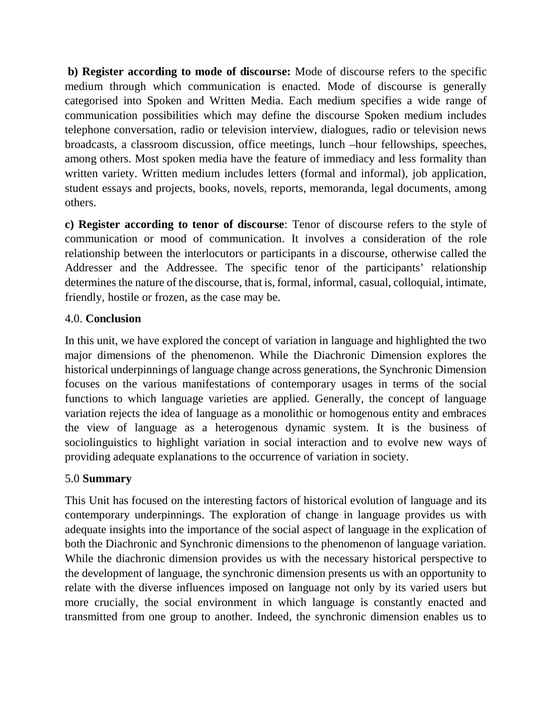**b) Register according to mode of discourse:** Mode of discourse refers to the specific medium through which communication is enacted. Mode of discourse is generally categorised into Spoken and Written Media. Each medium specifies a wide range of communication possibilities which may define the discourse Spoken medium includes telephone conversation, radio or television interview, dialogues, radio or television news broadcasts, a classroom discussion, office meetings, lunch –hour fellowships, speeches, among others. Most spoken media have the feature of immediacy and less formality than written variety. Written medium includes letters (formal and informal), job application, student essays and projects, books, novels, reports, memoranda, legal documents, among others.

**c) Register according to tenor of discourse**: Tenor of discourse refers to the style of communication or mood of communication. It involves a consideration of the role relationship between the interlocutors or participants in a discourse, otherwise called the Addresser and the Addressee. The specific tenor of the participants' relationship determines the nature of the discourse, that is, formal, informal, casual, colloquial, intimate, friendly, hostile or frozen, as the case may be.

## 4.0. **Conclusion**

In this unit, we have explored the concept of variation in language and highlighted the two major dimensions of the phenomenon. While the Diachronic Dimension explores the historical underpinnings of language change across generations, the Synchronic Dimension focuses on the various manifestations of contemporary usages in terms of the social functions to which language varieties are applied. Generally, the concept of language variation rejects the idea of language as a monolithic or homogenous entity and embraces the view of language as a heterogenous dynamic system. It is the business of sociolinguistics to highlight variation in social interaction and to evolve new ways of providing adequate explanations to the occurrence of variation in society.

## 5.0 **Summary**

This Unit has focused on the interesting factors of historical evolution of language and its contemporary underpinnings. The exploration of change in language provides us with adequate insights into the importance of the social aspect of language in the explication of both the Diachronic and Synchronic dimensions to the phenomenon of language variation. While the diachronic dimension provides us with the necessary historical perspective to the development of language, the synchronic dimension presents us with an opportunity to relate with the diverse influences imposed on language not only by its varied users but more crucially, the social environment in which language is constantly enacted and transmitted from one group to another. Indeed, the synchronic dimension enables us to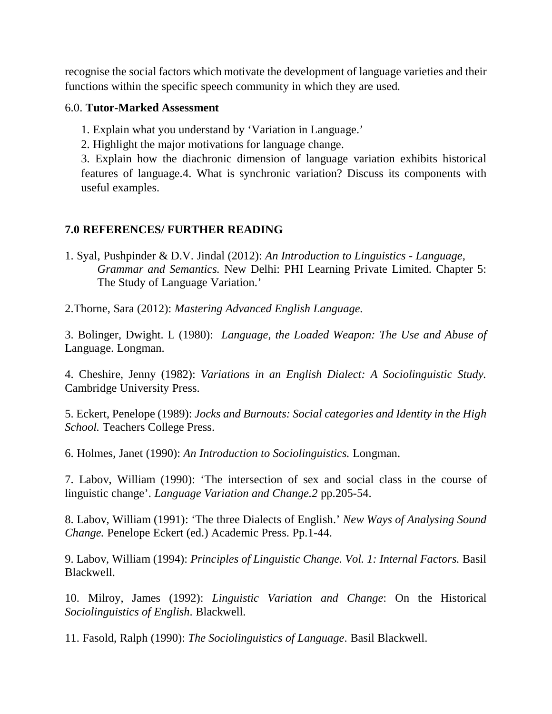recognise the social factors which motivate the development of language varieties and their functions within the specific speech community in which they are used.

### 6.0. **Tutor-Marked Assessment**

- 1. Explain what you understand by 'Variation in Language.'
- 2. Highlight the major motivations for language change.

3. Explain how the diachronic dimension of language variation exhibits historical features of language.4. What is synchronic variation? Discuss its components with useful examples.

## **7.0 REFERENCES/ FURTHER READING**

- 1. Syal, Pushpinder & D.V. Jindal (2012): *An Introduction to Linguistics Language, Grammar and Semantics.* New Delhi: PHI Learning Private Limited. Chapter 5: The Study of Language Variation.'
- 2.Thorne, Sara (2012): *Mastering Advanced English Language.*

3. Bolinger, Dwight. L (1980): *Language, the Loaded Weapon: The Use and Abuse of*  Language. Longman.

4. Cheshire, Jenny (1982): *Variations in an English Dialect: A Sociolinguistic Study.*  Cambridge University Press.

5. Eckert, Penelope (1989): *Jocks and Burnouts: Social categories and Identity in the High School.* Teachers College Press.

6. Holmes, Janet (1990): *An Introduction to Sociolinguistics.* Longman.

7. Labov, William (1990): 'The intersection of sex and social class in the course of linguistic change'. *Language Variation and Change.2* pp.205-54.

8. Labov, William (1991): 'The three Dialects of English.' *New Ways of Analysing Sound Change.* Penelope Eckert (ed.) Academic Press. Pp.1-44.

9. Labov, William (1994): *Principles of Linguistic Change. Vol. 1: Internal Factors.* Basil Blackwell.

10. Milroy, James (1992): *Linguistic Variation and Change*: On the Historical *Sociolinguistics of English*. Blackwell.

11. Fasold, Ralph (1990): *The Sociolinguistics of Language*. Basil Blackwell.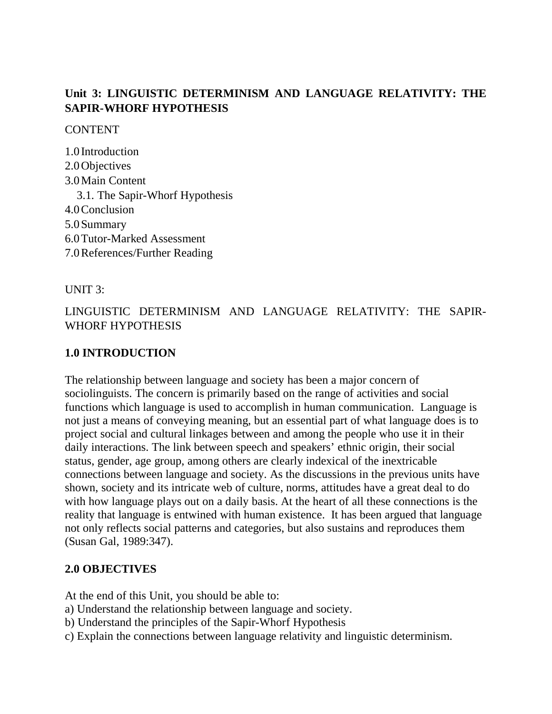# **Unit 3: LINGUISTIC DETERMINISM AND LANGUAGE RELATIVITY: THE SAPIR-WHORF HYPOTHESIS**

**CONTENT** 

1.0 Introduction 2.0Objectives 3.0Main Content 3.1. The Sapir-Whorf Hypothesis 4.0Conclusion 5.0Summary 6.0Tutor-Marked Assessment 7.0References/Further Reading

UNIT 3:

LINGUISTIC DETERMINISM AND LANGUAGE RELATIVITY: THE SAPIR-WHORF HYPOTHESIS

## **1.0 INTRODUCTION**

The relationship between language and society has been a major concern of sociolinguists. The concern is primarily based on the range of activities and social functions which language is used to accomplish in human communication. Language is not just a means of conveying meaning, but an essential part of what language does is to project social and cultural linkages between and among the people who use it in their daily interactions. The link between speech and speakers' ethnic origin, their social status, gender, age group, among others are clearly indexical of the inextricable connections between language and society. As the discussions in the previous units have shown, society and its intricate web of culture, norms, attitudes have a great deal to do with how language plays out on a daily basis. At the heart of all these connections is the reality that language is entwined with human existence. It has been argued that language not only reflects social patterns and categories, but also sustains and reproduces them (Susan Gal, 1989:347).

## **2.0 OBJECTIVES**

At the end of this Unit, you should be able to:

- a) Understand the relationship between language and society.
- b) Understand the principles of the Sapir-Whorf Hypothesis
- c) Explain the connections between language relativity and linguistic determinism.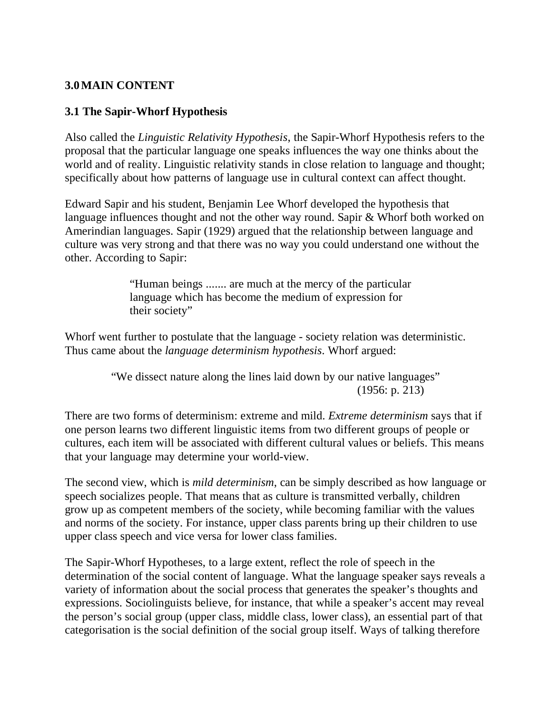# **3.0MAIN CONTENT**

### **3.1 The Sapir-Whorf Hypothesis**

Also called the *Linguistic Relativity Hypothesis*, the Sapir-Whorf Hypothesis refers to the proposal that the particular language one speaks influences the way one thinks about the world and of reality. Linguistic relativity stands in close relation to language and thought; specifically about how patterns of language use in cultural context can affect thought.

Edward Sapir and his student, Benjamin Lee Whorf developed the hypothesis that language influences thought and not the other way round. Sapir & Whorf both worked on Amerindian languages. Sapir (1929) argued that the relationship between language and culture was very strong and that there was no way you could understand one without the other. According to Sapir:

> "Human beings ....... are much at the mercy of the particular language which has become the medium of expression for their society"

Whorf went further to postulate that the language - society relation was deterministic. Thus came about the *language determinism hypothesis*. Whorf argued:

> "We dissect nature along the lines laid down by our native languages" (1956: p. 213)

There are two forms of determinism: extreme and mild. *Extreme determinism* says that if one person learns two different linguistic items from two different groups of people or cultures, each item will be associated with different cultural values or beliefs. This means that your language may determine your world-view.

The second view, which is *mild determinism*, can be simply described as how language or speech socializes people. That means that as culture is transmitted verbally, children grow up as competent members of the society, while becoming familiar with the values and norms of the society. For instance, upper class parents bring up their children to use upper class speech and vice versa for lower class families.

The Sapir-Whorf Hypotheses, to a large extent, reflect the role of speech in the determination of the social content of language. What the language speaker says reveals a variety of information about the social process that generates the speaker's thoughts and expressions. Sociolinguists believe, for instance, that while a speaker's accent may reveal the person's social group (upper class, middle class, lower class), an essential part of that categorisation is the social definition of the social group itself. Ways of talking therefore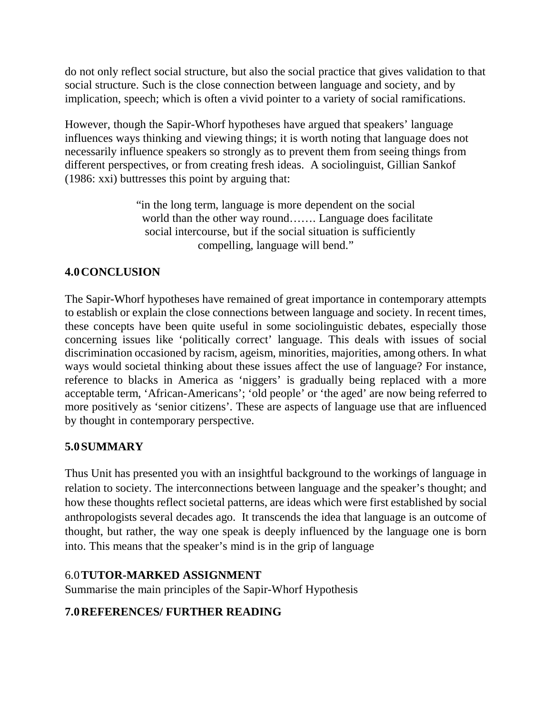do not only reflect social structure, but also the social practice that gives validation to that social structure. Such is the close connection between language and society, and by implication, speech; which is often a vivid pointer to a variety of social ramifications.

However, though the Sapir-Whorf hypotheses have argued that speakers' language influences ways thinking and viewing things; it is worth noting that language does not necessarily influence speakers so strongly as to prevent them from seeing things from different perspectives, or from creating fresh ideas. A sociolinguist, Gillian Sankof (1986: xxi) buttresses this point by arguing that:

> "in the long term, language is more dependent on the social world than the other way round……. Language does facilitate social intercourse, but if the social situation is sufficiently compelling, language will bend."

# **4.0CONCLUSION**

The Sapir-Whorf hypotheses have remained of great importance in contemporary attempts to establish or explain the close connections between language and society. In recent times, these concepts have been quite useful in some sociolinguistic debates, especially those concerning issues like 'politically correct' language. This deals with issues of social discrimination occasioned by racism, ageism, minorities, majorities, among others. In what ways would societal thinking about these issues affect the use of language? For instance, reference to blacks in America as 'niggers' is gradually being replaced with a more acceptable term, 'African-Americans'; 'old people' or 'the aged' are now being referred to more positively as 'senior citizens'. These are aspects of language use that are influenced by thought in contemporary perspective.

# **5.0SUMMARY**

Thus Unit has presented you with an insightful background to the workings of language in relation to society. The interconnections between language and the speaker's thought; and how these thoughts reflect societal patterns, are ideas which were first established by social anthropologists several decades ago. It transcends the idea that language is an outcome of thought, but rather, the way one speak is deeply influenced by the language one is born into. This means that the speaker's mind is in the grip of language

# 6.0**TUTOR-MARKED ASSIGNMENT**

Summarise the main principles of the Sapir-Whorf Hypothesis

# **7.0REFERENCES/ FURTHER READING**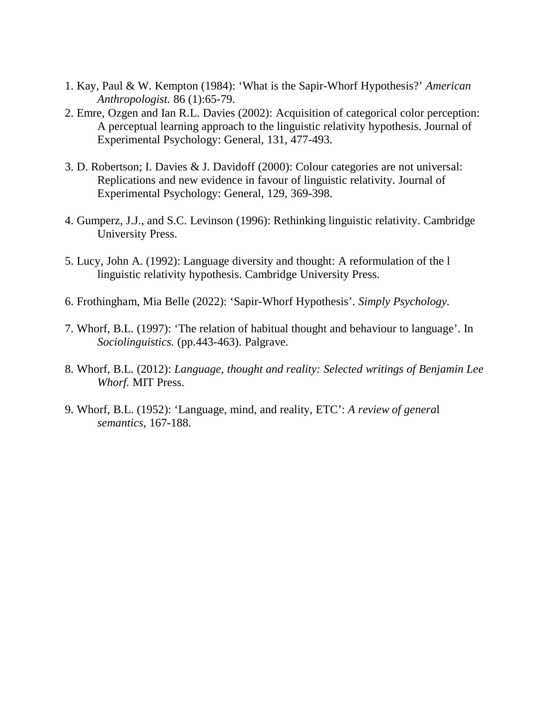- 1. Kay, Paul & W. Kempton (1984): 'What is the Sapir-Whorf Hypothesis?' *American Anthropologist.* 86 (1):65-79.
- 2. Emre, Ozgen and Ian R.L. Davies (2002): Acquisition of categorical color perception: A perceptual learning approach to the linguistic relativity hypothesis. Journal of Experimental Psychology: General, 131, 477-493.
- 3. D. Robertson; I. Davies & J. Davidoff (2000): Colour categories are not universal: Replications and new evidence in favour of linguistic relativity. Journal of Experimental Psychology: General, 129, 369-398.
- 4. Gumperz, J.J., and S.C. Levinson (1996): Rethinking linguistic relativity. Cambridge University Press.
- 5. Lucy, John A. (1992): Language diversity and thought: A reformulation of the l linguistic relativity hypothesis. Cambridge University Press.
- 6. Frothingham, Mia Belle (2022): 'Sapir-Whorf Hypothesis'. *Simply Psychology.*
- 7. Whorf, B.L. (1997): 'The relation of habitual thought and behaviour to language'. In *Sociolinguistics.* (pp.443-463). Palgrave.
- 8. Whorf, B.L. (2012): *Language, thought and reality: Selected writings of Benjamin Lee Whorf.* MIT Press.
- 9. Whorf, B.L. (1952): 'Language, mind, and reality, ETC': *A review of genera*l *semantics*, 167-188.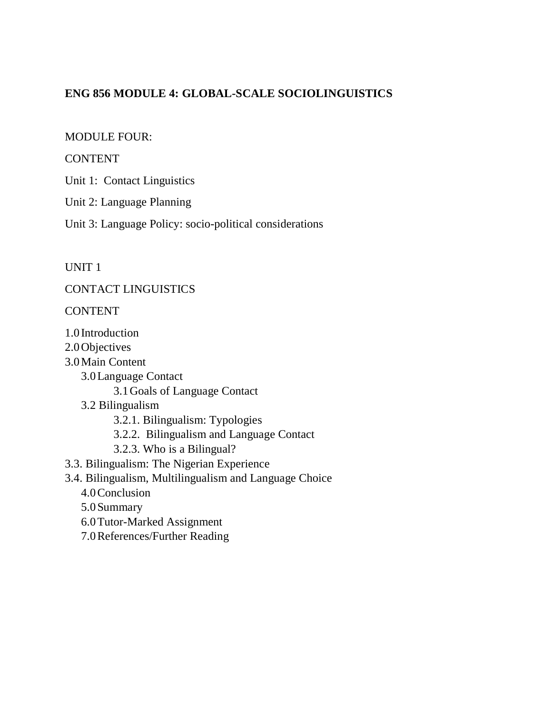# **ENG 856 MODULE 4: GLOBAL-SCALE SOCIOLINGUISTICS**

#### MODULE FOUR:

#### **CONTENT**

Unit 1: Contact Linguistics

Unit 2: Language Planning

Unit 3: Language Policy: socio-political considerations

#### UNIT 1

CONTACT LINGUISTICS

#### CONTENT

- 1.0 Introduction
- 2.0Objectives
- 3.0Main Content
	- 3.0Language Contact

3.1Goals of Language Contact

- 3.2 Bilingualism
	- 3.2.1. Bilingualism: Typologies
	- 3.2.2. Bilingualism and Language Contact
	- 3.2.3. Who is a Bilingual?
- 3.3. Bilingualism: The Nigerian Experience
- 3.4. Bilingualism, Multilingualism and Language Choice
	- 4.0Conclusion
	- 5.0Summary
	- 6.0Tutor-Marked Assignment
	- 7.0References/Further Reading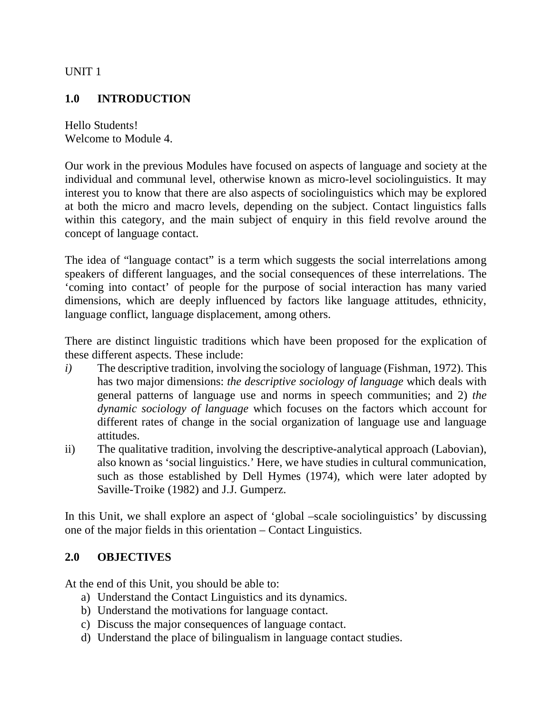UNIT 1

# **1.0 INTRODUCTION**

Hello Students! Welcome to Module 4.

Our work in the previous Modules have focused on aspects of language and society at the individual and communal level, otherwise known as micro-level sociolinguistics. It may interest you to know that there are also aspects of sociolinguistics which may be explored at both the micro and macro levels, depending on the subject. Contact linguistics falls within this category, and the main subject of enquiry in this field revolve around the concept of language contact.

The idea of "language contact" is a term which suggests the social interrelations among speakers of different languages, and the social consequences of these interrelations. The 'coming into contact' of people for the purpose of social interaction has many varied dimensions, which are deeply influenced by factors like language attitudes, ethnicity, language conflict, language displacement, among others.

There are distinct linguistic traditions which have been proposed for the explication of these different aspects. These include:

- *i*) The descriptive tradition, involving the sociology of language (Fishman, 1972). This has two major dimensions: *the descriptive sociology of language* which deals with general patterns of language use and norms in speech communities; and 2) *the dynamic sociology of language* which focuses on the factors which account for different rates of change in the social organization of language use and language attitudes.
- ii) The qualitative tradition, involving the descriptive-analytical approach (Labovian), also known as 'social linguistics.' Here, we have studies in cultural communication, such as those established by Dell Hymes (1974), which were later adopted by Saville-Troike (1982) and J.J. Gumperz.

In this Unit, we shall explore an aspect of 'global –scale sociolinguistics' by discussing one of the major fields in this orientation – Contact Linguistics.

## **2.0 OBJECTIVES**

At the end of this Unit, you should be able to:

- a) Understand the Contact Linguistics and its dynamics.
- b) Understand the motivations for language contact.
- c) Discuss the major consequences of language contact.
- d) Understand the place of bilingualism in language contact studies.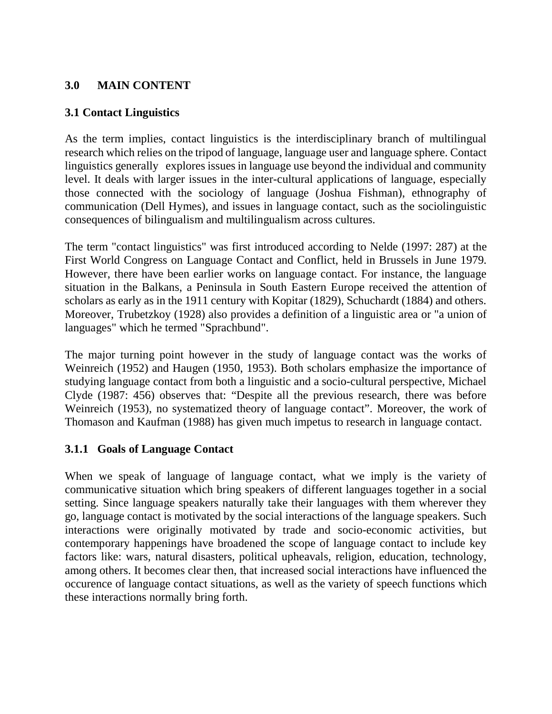# **3.0 MAIN CONTENT**

## **3.1 Contact Linguistics**

As the term implies, contact linguistics is the interdisciplinary branch of multilingual research which relies on the tripod of language, language user and language sphere. Contact linguistics generally explores issues in language use beyond the individual and community level. It deals with larger issues in the inter-cultural applications of language, especially those connected with the sociology of language (Joshua Fishman), ethnography of communication (Dell Hymes), and issues in language contact, such as the sociolinguistic consequences of bilingualism and multilingualism across cultures.

The term "contact linguistics" was first introduced according to Nelde (1997: 287) at the First World Congress on Language Contact and Conflict, held in Brussels in June 1979. However, there have been earlier works on language contact. For instance, the language situation in the Balkans, a Peninsula in South Eastern Europe received the attention of scholars as early as in the 1911 century with Kopitar (1829), Schuchardt (1884) and others. Moreover, Trubetzkoy (1928) also provides a definition of a linguistic area or "a union of languages" which he termed "Sprachbund".

The major turning point however in the study of language contact was the works of Weinreich (1952) and Haugen (1950, 1953). Both scholars emphasize the importance of studying language contact from both a linguistic and a socio-cultural perspective, Michael Clyde (1987: 456) observes that: "Despite all the previous research, there was before Weinreich (1953), no systematized theory of language contact". Moreover, the work of Thomason and Kaufman (1988) has given much impetus to research in language contact.

## **3.1.1 Goals of Language Contact**

When we speak of language of language contact, what we imply is the variety of communicative situation which bring speakers of different languages together in a social setting. Since language speakers naturally take their languages with them wherever they go, language contact is motivated by the social interactions of the language speakers. Such interactions were originally motivated by trade and socio-economic activities, but contemporary happenings have broadened the scope of language contact to include key factors like: wars, natural disasters, political upheavals, religion, education, technology, among others. It becomes clear then, that increased social interactions have influenced the occurence of language contact situations, as well as the variety of speech functions which these interactions normally bring forth.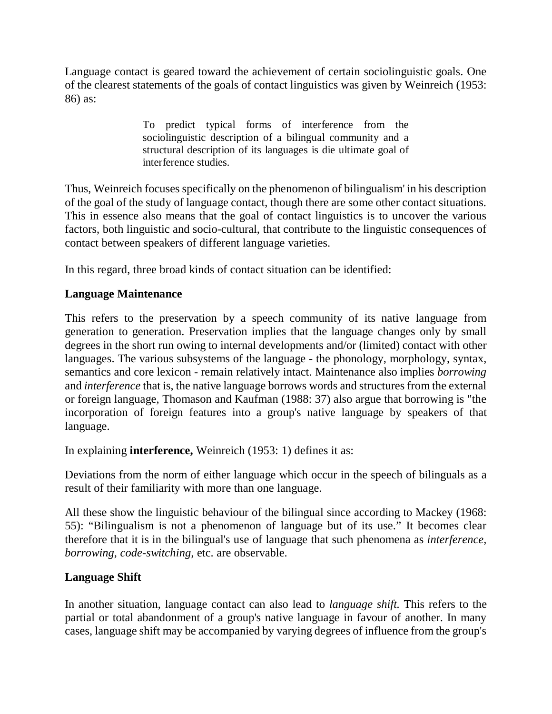Language contact is geared toward the achievement of certain sociolinguistic goals. One of the clearest statements of the goals of contact linguistics was given by Weinreich (1953: 86) as:

> To predict typical forms of interference from the sociolinguistic description of a bilingual community and a structural description of its languages is die ultimate goal of interference studies.

Thus, Weinreich focuses specifically on the phenomenon of bilingualism' in his description of the goal of the study of language contact, though there are some other contact situations. This in essence also means that the goal of contact linguistics is to uncover the various factors, both linguistic and socio-cultural, that contribute to the linguistic consequences of contact between speakers of different language varieties.

In this regard, three broad kinds of contact situation can be identified:

# **Language Maintenance**

This refers to the preservation by a speech community of its native language from generation to generation. Preservation implies that the language changes only by small degrees in the short run owing to internal developments and/or (limited) contact with other languages. The various subsystems of the language - the phonology, morphology, syntax, semantics and core lexicon - remain relatively intact. Maintenance also implies *borrowing*  and *interference* that is, the native language borrows words and structures from the external or foreign language, Thomason and Kaufman (1988: 37) also argue that borrowing is "the incorporation of foreign features into a group's native language by speakers of that language.

In explaining **interference,** Weinreich (1953: 1) defines it as:

Deviations from the norm of either language which occur in the speech of bilinguals as a result of their familiarity with more than one language.

All these show the linguistic behaviour of the bilingual since according to Mackey (1968: 55): "Bilingualism is not a phenomenon of language but of its use." It becomes clear therefore that it is in the bilingual's use of language that such phenomena as *interference, borrowing, code-switching,* etc. are observable.

## **Language Shift**

In another situation, language contact can also lead to *language shift.* This refers to the partial or total abandonment of a group's native language in favour of another. In many cases, language shift may be accompanied by varying degrees of influence from the group's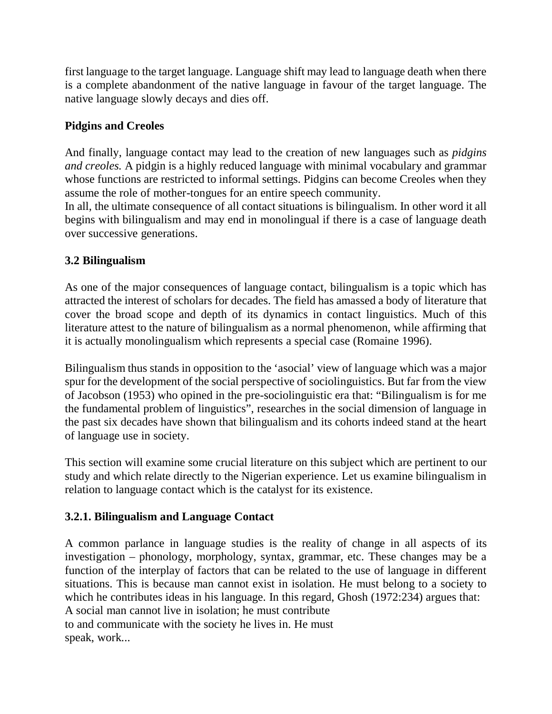first language to the target language. Language shift may lead to language death when there is a complete abandonment of the native language in favour of the target language. The native language slowly decays and dies off.

# **Pidgins and Creoles**

And finally, language contact may lead to the creation of new languages such as *pidgins and creoles.* A pidgin is a highly reduced language with minimal vocabulary and grammar whose functions are restricted to informal settings. Pidgins can become Creoles when they assume the role of mother-tongues for an entire speech community.

In all, the ultimate consequence of all contact situations is bilingualism. In other word it all begins with bilingualism and may end in monolingual if there is a case of language death over successive generations.

# **3.2 Bilingualism**

As one of the major consequences of language contact, bilingualism is a topic which has attracted the interest of scholars for decades. The field has amassed a body of literature that cover the broad scope and depth of its dynamics in contact linguistics. Much of this literature attest to the nature of bilingualism as a normal phenomenon, while affirming that it is actually monolingualism which represents a special case (Romaine 1996).

Bilingualism thus stands in opposition to the 'asocial' view of language which was a major spur for the development of the social perspective of sociolinguistics. But far from the view of Jacobson (1953) who opined in the pre-sociolinguistic era that: "Bilingualism is for me the fundamental problem of linguistics", researches in the social dimension of language in the past six decades have shown that bilingualism and its cohorts indeed stand at the heart of language use in society.

This section will examine some crucial literature on this subject which are pertinent to our study and which relate directly to the Nigerian experience. Let us examine bilingualism in relation to language contact which is the catalyst for its existence.

# **3.2.1. Bilingualism and Language Contact**

A common parlance in language studies is the reality of change in all aspects of its investigation – phonology, morphology, syntax, grammar, etc. These changes may be a function of the interplay of factors that can be related to the use of language in different situations. This is because man cannot exist in isolation. He must belong to a society to which he contributes ideas in his language. In this regard, Ghosh (1972:234) argues that: A social man cannot live in isolation; he must contribute to and communicate with the society he lives in. He must speak, work...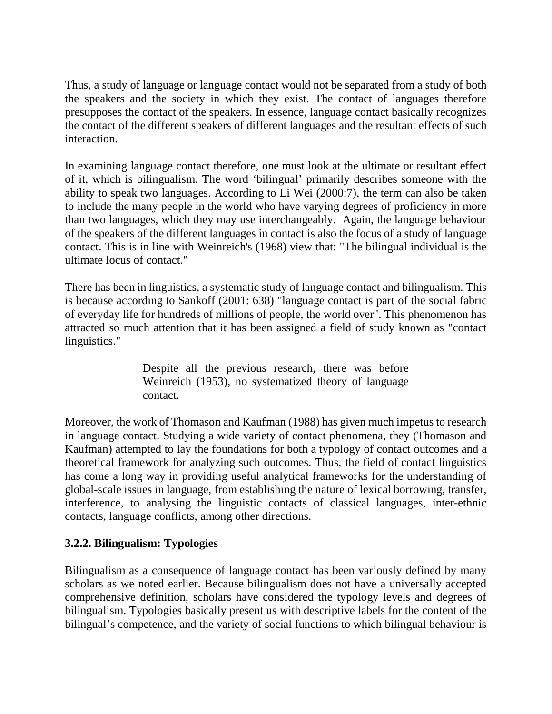Thus, a study of language or language contact would not be separated from a study of both the speakers and the society in which they exist. The contact of languages therefore presupposes the contact of the speakers. In essence, language contact basically recognizes the contact of the different speakers of different languages and the resultant effects of such interaction.

In examining language contact therefore, one must look at the ultimate or resultant effect of it, which is bilingualism. The word 'bilingual' primarily describes someone with the ability to speak two languages. According to Li Wei (2000:7), the term can also be taken to include the many people in the world who have varying degrees of proficiency in more than two languages, which they may use interchangeably. Again, the language behaviour of the speakers of the different languages in contact is also the focus of a study of language contact. This is in line with Weinreich's (1968) view that: "The bilingual individual is the ultimate locus of contact."

There has been in linguistics, a systematic study of language contact and bilingualism. This is because according to Sankoff (2001: 638) "language contact is part of the social fabric of everyday life for hundreds of millions of people, the world over". This phenomenon has attracted so much attention that it has been assigned a field of study known as "contact linguistics."

> Despite all the previous research, there was before Weinreich (1953), no systematized theory of language contact.

Moreover, the work of Thomason and Kaufman (1988) has given much impetus to research in language contact. Studying a wide variety of contact phenomena, they (Thomason and Kaufman) attempted to lay the foundations for both a typology of contact outcomes and a theoretical framework for analyzing such outcomes. Thus, the field of contact linguistics has come a long way in providing useful analytical frameworks for the understanding of global-scale issues in language, from establishing the nature of lexical borrowing, transfer, interference, to analysing the linguistic contacts of classical languages, inter-ethnic contacts, language conflicts, among other directions.

## **3.2.2. Bilingualism: Typologies**

Bilingualism as a consequence of language contact has been variously defined by many scholars as we noted earlier. Because bilingualism does not have a universally accepted comprehensive definition, scholars have considered the typology levels and degrees of bilingualism. Typologies basically present us with descriptive labels for the content of the bilingual's competence, and the variety of social functions to which bilingual behaviour is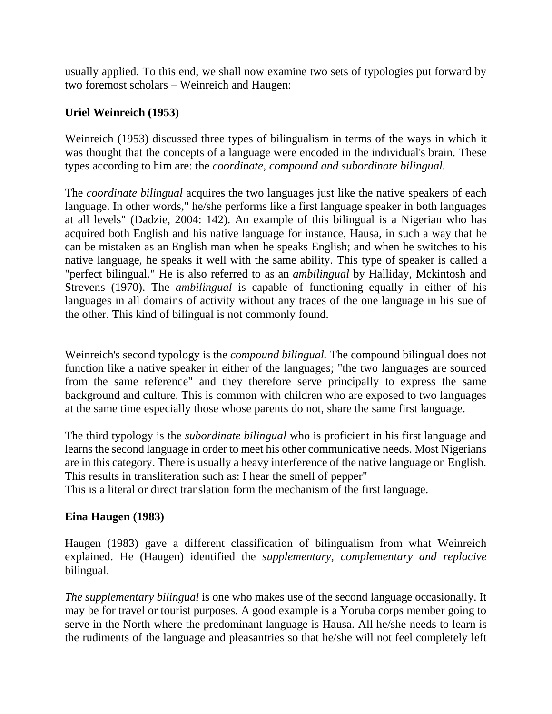usually applied. To this end, we shall now examine two sets of typologies put forward by two foremost scholars – Weinreich and Haugen:

## **Uriel Weinreich (1953)**

Weinreich (1953) discussed three types of bilingualism in terms of the ways in which it was thought that the concepts of a language were encoded in the individual's brain. These types according to him are: the *coordinate, compound and subordinate bilingual.* 

The *coordinate bilingual* acquires the two languages just like the native speakers of each language. In other words," he/she performs like a first language speaker in both languages at all levels" (Dadzie, 2004: 142). An example of this bilingual is a Nigerian who has acquired both English and his native language for instance, Hausa, in such a way that he can be mistaken as an English man when he speaks English; and when he switches to his native language, he speaks it well with the same ability. This type of speaker is called a "perfect bilingual." He is also referred to as an *ambilingual* by Halliday, Mckintosh and Strevens (1970). The *ambilingual* is capable of functioning equally in either of his languages in all domains of activity without any traces of the one language in his sue of the other. This kind of bilingual is not commonly found.

Weinreich's second typology is the *compound bilingual.* The compound bilingual does not function like a native speaker in either of the languages; "the two languages are sourced from the same reference" and they therefore serve principally to express the same background and culture. This is common with children who are exposed to two languages at the same time especially those whose parents do not, share the same first language.

The third typology is the *subordinate bilingual* who is proficient in his first language and learns the second language in order to meet his other communicative needs. Most Nigerians are in this category. There is usually a heavy interference of the native language on English. This results in transliteration such as: I hear the smell of pepper"

This is a literal or direct translation form the mechanism of the first language.

## **Eina Haugen (1983)**

Haugen (1983) gave a different classification of bilingualism from what Weinreich explained. He (Haugen) identified the *supplementary, complementary and replacive* bilingual.

*The supplementary bilingual* is one who makes use of the second language occasionally. It may be for travel or tourist purposes. A good example is a Yoruba corps member going to serve in the North where the predominant language is Hausa. All he/she needs to learn is the rudiments of the language and pleasantries so that he/she will not feel completely left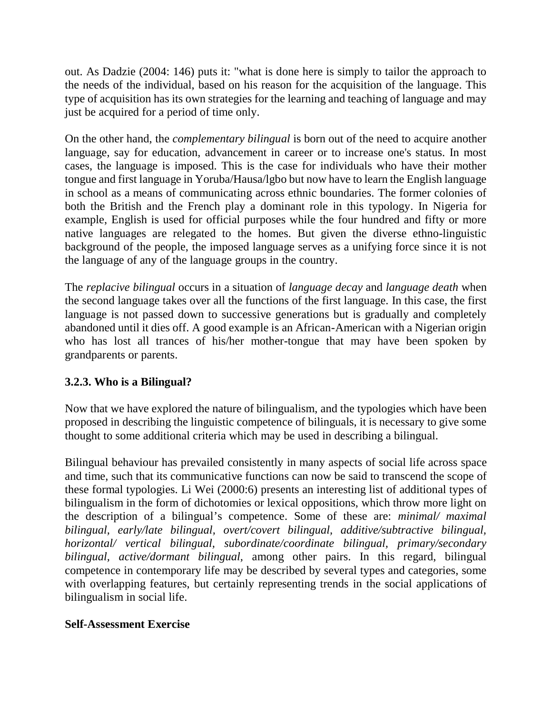out. As Dadzie (2004: 146) puts it: "what is done here is simply to tailor the approach to the needs of the individual, based on his reason for the acquisition of the language. This type of acquisition has its own strategies for the learning and teaching of language and may just be acquired for a period of time only.

On the other hand, the *complementary bilingual* is born out of the need to acquire another language, say for education, advancement in career or to increase one's status. In most cases, the language is imposed. This is the case for individuals who have their mother tongue and first language in Yoruba/Hausa/lgbo but now have to learn the English language in school as a means of communicating across ethnic boundaries. The former colonies of both the British and the French play a dominant role in this typology. In Nigeria for example, English is used for official purposes while the four hundred and fifty or more native languages are relegated to the homes. But given the diverse ethno-linguistic background of the people, the imposed language serves as a unifying force since it is not the language of any of the language groups in the country.

The *replacive bilingual* occurs in a situation of *language decay* and *language death* when the second language takes over all the functions of the first language. In this case, the first language is not passed down to successive generations but is gradually and completely abandoned until it dies off. A good example is an African-American with a Nigerian origin who has lost all trances of his/her mother-tongue that may have been spoken by grandparents or parents.

# **3.2.3. Who is a Bilingual?**

Now that we have explored the nature of bilingualism, and the typologies which have been proposed in describing the linguistic competence of bilinguals, it is necessary to give some thought to some additional criteria which may be used in describing a bilingual.

Bilingual behaviour has prevailed consistently in many aspects of social life across space and time, such that its communicative functions can now be said to transcend the scope of these formal typologies. Li Wei (2000:6) presents an interesting list of additional types of bilingualism in the form of dichotomies or lexical oppositions, which throw more light on the description of a bilingual's competence. Some of these are: *minimal/ maximal bilingual, early/late bilingual, overt/covert bilingual, additive/subtractive bilingual, horizontal/ vertical bilingual, subordinate/coordinate bilingual, primary/secondary bilingual, active/dormant bilingual,* among other pairs. In this regard, bilingual competence in contemporary life may be described by several types and categories, some with overlapping features, but certainly representing trends in the social applications of bilingualism in social life.

## **Self-Assessment Exercise**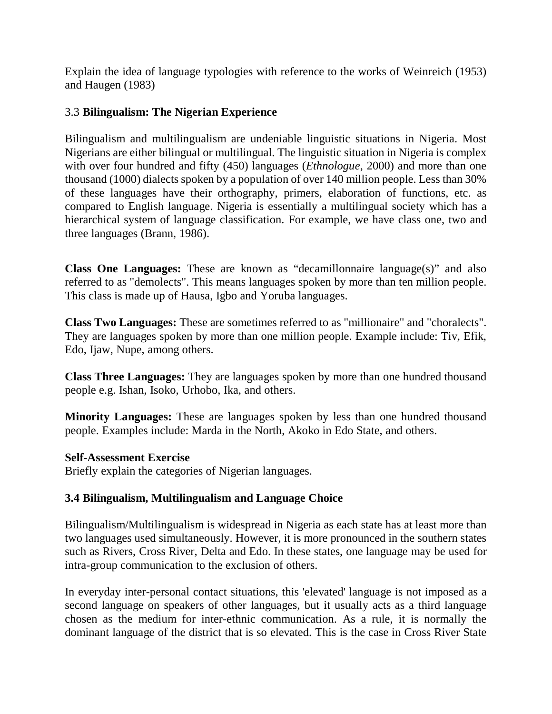Explain the idea of language typologies with reference to the works of Weinreich (1953) and Haugen (1983)

### 3.3 **Bilingualism: The Nigerian Experience**

Bilingualism and multilingualism are undeniable linguistic situations in Nigeria. Most Nigerians are either bilingual or multilingual. The linguistic situation in Nigeria is complex with over four hundred and fifty (450) languages (*Ethnologue*, 2000) and more than one thousand (1000) dialects spoken by a population of over 140 million people. Less than 30% of these languages have their orthography, primers, elaboration of functions, etc. as compared to English language. Nigeria is essentially a multilingual society which has a hierarchical system of language classification. For example, we have class one, two and three languages (Brann, 1986).

**Class One Languages:** These are known as "decamillonnaire language(s)" and also referred to as "demolects". This means languages spoken by more than ten million people. This class is made up of Hausa, Igbo and Yoruba languages.

**Class Two Languages:** These are sometimes referred to as "millionaire" and "choralects". They are languages spoken by more than one million people. Example include: Tiv, Efik, Edo, Ijaw, Nupe, among others.

**Class Three Languages:** They are languages spoken by more than one hundred thousand people e.g. Ishan, Isoko, Urhobo, Ika, and others.

**Minority Languages:** These are languages spoken by less than one hundred thousand people. Examples include: Marda in the North, Akoko in Edo State, and others.

#### **Self-Assessment Exercise**

Briefly explain the categories of Nigerian languages.

#### **3.4 Bilingualism, Multilingualism and Language Choice**

Bilingualism/Multilingualism is widespread in Nigeria as each state has at least more than two languages used simultaneously. However, it is more pronounced in the southern states such as Rivers, Cross River, Delta and Edo. In these states, one language may be used for intra-group communication to the exclusion of others.

In everyday inter-personal contact situations, this 'elevated' language is not imposed as a second language on speakers of other languages, but it usually acts as a third language chosen as the medium for inter-ethnic communication. As a rule, it is normally the dominant language of the district that is so elevated. This is the case in Cross River State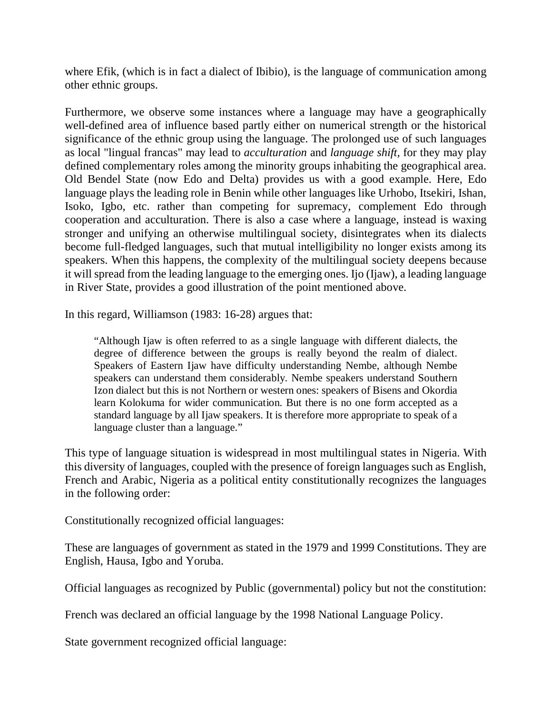where Efik, (which is in fact a dialect of Ibibio), is the language of communication among other ethnic groups.

Furthermore, we observe some instances where a language may have a geographically well-defined area of influence based partly either on numerical strength or the historical significance of the ethnic group using the language. The prolonged use of such languages as local "lingual francas" may lead to *acculturation* and *language shift,* for they may play defined complementary roles among the minority groups inhabiting the geographical area. Old Bendel State (now Edo and Delta) provides us with a good example. Here, Edo language plays the leading role in Benin while other languages like Urhobo, Itsekiri, Ishan, Isoko, Igbo, etc. rather than competing for supremacy, complement Edo through cooperation and acculturation. There is also a case where a language, instead is waxing stronger and unifying an otherwise multilingual society, disintegrates when its dialects become full-fledged languages, such that mutual intelligibility no longer exists among its speakers. When this happens, the complexity of the multilingual society deepens because it will spread from the leading language to the emerging ones. Ijo (Ijaw), a leading language in River State, provides a good illustration of the point mentioned above.

In this regard, Williamson (1983: 16-28) argues that:

"Although Ijaw is often referred to as a single language with different dialects, the degree of difference between the groups is really beyond the realm of dialect. Speakers of Eastern Ijaw have difficulty understanding Nembe, although Nembe speakers can understand them considerably. Nembe speakers understand Southern Izon dialect but this is not Northern or western ones: speakers of Bisens and Okordia learn Kolokuma for wider communication. But there is no one form accepted as a standard language by all Ijaw speakers. It is therefore more appropriate to speak of a language cluster than a language."

This type of language situation is widespread in most multilingual states in Nigeria. With this diversity of languages, coupled with the presence of foreign languages such as English, French and Arabic, Nigeria as a political entity constitutionally recognizes the languages in the following order:

Constitutionally recognized official languages:

These are languages of government as stated in the 1979 and 1999 Constitutions. They are English, Hausa, Igbo and Yoruba.

Official languages as recognized by Public (governmental) policy but not the constitution:

French was declared an official language by the 1998 National Language Policy.

State government recognized official language: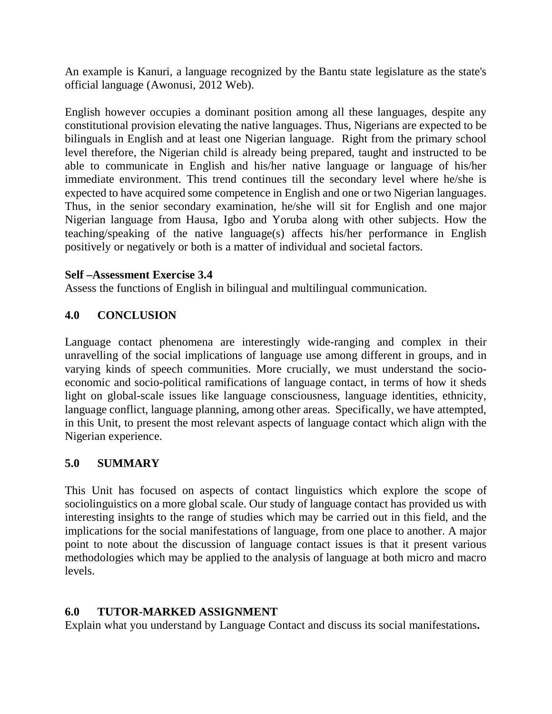An example is Kanuri, a language recognized by the Bantu state legislature as the state's official language (Awonusi, 2012 Web).

English however occupies a dominant position among all these languages, despite any constitutional provision elevating the native languages. Thus, Nigerians are expected to be bilinguals in English and at least one Nigerian language. Right from the primary school level therefore, the Nigerian child is already being prepared, taught and instructed to be able to communicate in English and his/her native language or language of his/her immediate environment. This trend continues till the secondary level where he/she is expected to have acquired some competence in English and one or two Nigerian languages. Thus, in the senior secondary examination, he/she will sit for English and one major Nigerian language from Hausa, Igbo and Yoruba along with other subjects. How the teaching/speaking of the native language(s) affects his/her performance in English positively or negatively or both is a matter of individual and societal factors.

## **Self –Assessment Exercise 3.4**

Assess the functions of English in bilingual and multilingual communication.

# **4.0 CONCLUSION**

Language contact phenomena are interestingly wide-ranging and complex in their unravelling of the social implications of language use among different in groups, and in varying kinds of speech communities. More crucially, we must understand the socioeconomic and socio-political ramifications of language contact, in terms of how it sheds light on global-scale issues like language consciousness, language identities, ethnicity, language conflict, language planning, among other areas. Specifically, we have attempted, in this Unit, to present the most relevant aspects of language contact which align with the Nigerian experience.

## **5.0 SUMMARY**

This Unit has focused on aspects of contact linguistics which explore the scope of sociolinguistics on a more global scale. Our study of language contact has provided us with interesting insights to the range of studies which may be carried out in this field, and the implications for the social manifestations of language, from one place to another. A major point to note about the discussion of language contact issues is that it present various methodologies which may be applied to the analysis of language at both micro and macro levels.

# **6.0 TUTOR-MARKED ASSIGNMENT**

Explain what you understand by Language Contact and discuss its social manifestations**.**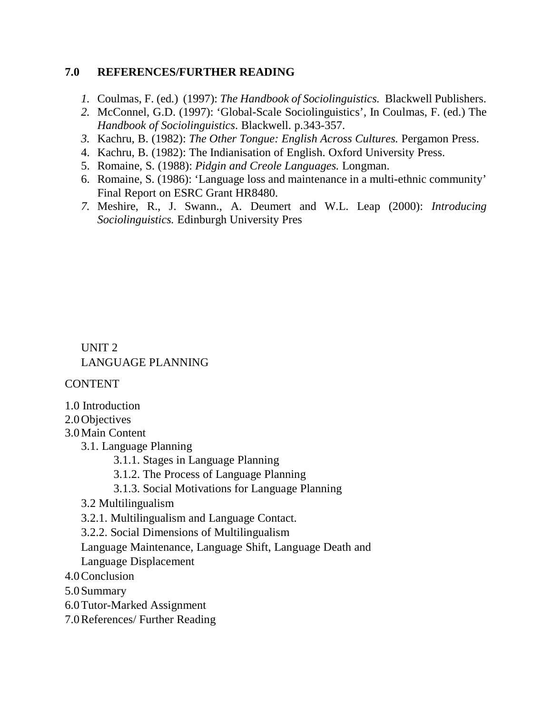## **7.0 REFERENCES/FURTHER READING**

- *1.* Coulmas, F. (ed.) (1997): *The Handbook of Sociolinguistics.* Blackwell Publishers.
- *2.* McConnel, G.D. (1997): 'Global-Scale Sociolinguistics', In Coulmas, F. (ed.) The *Handbook of Sociolinguistics*. Blackwell. p.343-357.
- *3.* Kachru, B. (1982): *The Other Tongue: English Across Cultures.* Pergamon Press.
- 4. Kachru, B. (1982): The Indianisation of English. Oxford University Press.
- 5. Romaine, S. (1988): *Pidgin and Creole Languages.* Longman.
- 6. Romaine, S. (1986): 'Language loss and maintenance in a multi-ethnic community' Final Report on ESRC Grant HR8480.
- *7.* Meshire, R., J. Swann., A. Deumert and W.L. Leap (2000): *Introducing Sociolinguistics.* Edinburgh University Pres

UNIT 2 LANGUAGE PLANNING

CONTENT

1.0 Introduction

2.0Objectives

3.0Main Content

- 3.1. Language Planning
	- 3.1.1. Stages in Language Planning

3.1.2. The Process of Language Planning

- 3.1.3. Social Motivations for Language Planning
- 3.2 Multilingualism

3.2.1. Multilingualism and Language Contact.

3.2.2. Social Dimensions of Multilingualism

Language Maintenance, Language Shift, Language Death and Language Displacement

4.0Conclusion

5.0Summary

6.0Tutor-Marked Assignment

7.0References/ Further Reading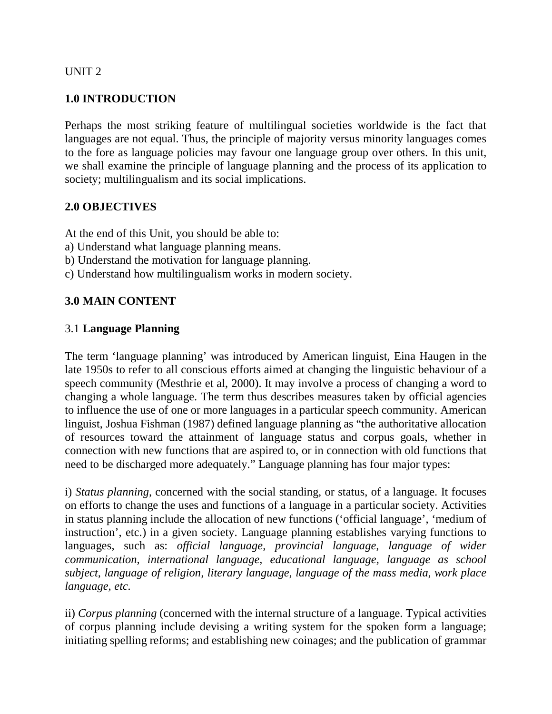#### UNIT 2

## **1.0 INTRODUCTION**

Perhaps the most striking feature of multilingual societies worldwide is the fact that languages are not equal. Thus, the principle of majority versus minority languages comes to the fore as language policies may favour one language group over others. In this unit, we shall examine the principle of language planning and the process of its application to society; multilingualism and its social implications.

# **2.0 OBJECTIVES**

At the end of this Unit, you should be able to:

- a) Understand what language planning means.
- b) Understand the motivation for language planning.
- c) Understand how multilingualism works in modern society.

# **3.0 MAIN CONTENT**

## 3.1 **Language Planning**

The term 'language planning' was introduced by American linguist, Eina Haugen in the late 1950s to refer to all conscious efforts aimed at changing the linguistic behaviour of a speech community (Mesthrie et al, 2000). It may involve a process of changing a word to changing a whole language. The term thus describes measures taken by official agencies to influence the use of one or more languages in a particular speech community. American linguist, Joshua Fishman (1987) defined language planning as "the authoritative allocation of resources toward the attainment of language status and corpus goals, whether in connection with new functions that are aspired to, or in connection with old functions that need to be discharged more adequately." Language planning has four major types:

i) *Status planning*, concerned with the social standing, or status, of a language. It focuses on efforts to change the uses and functions of a language in a particular society. Activities in status planning include the allocation of new functions ('official language', 'medium of instruction', etc.) in a given society. Language planning establishes varying functions to languages, such as: *official language, provincial language, language of wider communication, international language, educational language, language as school subject, language of religion, literary language, language of the mass media, work place language, etc.* 

ii) *Corpus planning* (concerned with the internal structure of a language. Typical activities of corpus planning include devising a writing system for the spoken form a language; initiating spelling reforms; and establishing new coinages; and the publication of grammar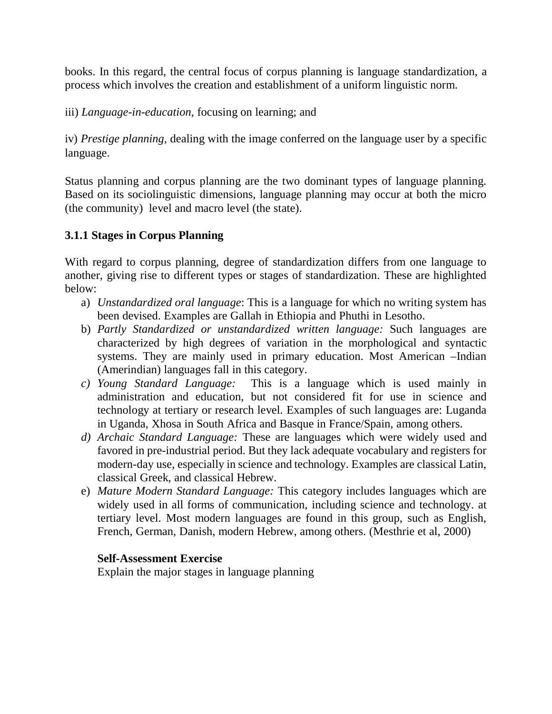books. In this regard, the central focus of corpus planning is language standardization, a process which involves the creation and establishment of a uniform linguistic norm.

iii) *Language-in-education*, focusing on learning; and

iv) *Prestige planning,* dealing with the image conferred on the language user by a specific language.

Status planning and corpus planning are the two dominant types of language planning. Based on its sociolinguistic dimensions, language planning may occur at both the micro (the community) level and macro level (the state).

# **3.1.1 Stages in Corpus Planning**

With regard to corpus planning, degree of standardization differs from one language to another, giving rise to different types or stages of standardization. These are highlighted below:

- a) *Unstandardized oral language*: This is a language for which no writing system has been devised. Examples are Gallah in Ethiopia and Phuthi in Lesotho.
- b) *Partly Standardized or unstandardized written language:* Such languages are characterized by high degrees of variation in the morphological and syntactic systems. They are mainly used in primary education. Most American –Indian (Amerindian) languages fall in this category.<br> *c*) Young Standard Language: This is a l
- This is a language which is used mainly in administration and education, but not considered fit for use in science and technology at tertiary or research level. Examples of such languages are: Luganda in Uganda, Xhosa in South Africa and Basque in France/Spain, among others.
- *d) Archaic Standard Language:* These are languages which were widely used and favored in pre-industrial period. But they lack adequate vocabulary and registers for modern-day use, especially in science and technology. Examples are classical Latin, classical Greek, and classical Hebrew.
- e) *Mature Modern Standard Language:* This category includes languages which are widely used in all forms of communication, including science and technology. at tertiary level. Most modern languages are found in this group, such as English, French, German, Danish, modern Hebrew, among others. (Mesthrie et al, 2000)

## **Self-Assessment Exercise**

Explain the major stages in language planning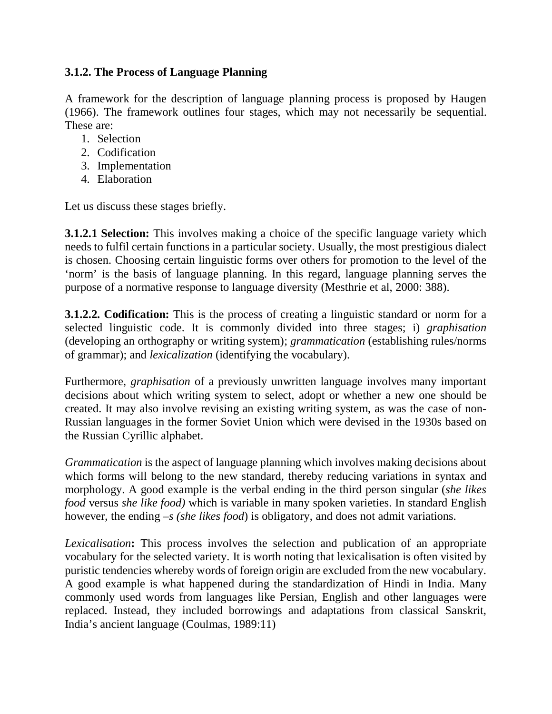# **3.1.2. The Process of Language Planning**

A framework for the description of language planning process is proposed by Haugen (1966). The framework outlines four stages, which may not necessarily be sequential. These are:

- 1. Selection
- 2. Codification
- 3. Implementation
- 4. Elaboration

Let us discuss these stages briefly.

**3.1.2.1 Selection:** This involves making a choice of the specific language variety which needs to fulfil certain functions in a particular society. Usually, the most prestigious dialect is chosen. Choosing certain linguistic forms over others for promotion to the level of the 'norm' is the basis of language planning. In this regard, language planning serves the purpose of a normative response to language diversity (Mesthrie et al, 2000: 388).

**3.1.2.2. Codification:** This is the process of creating a linguistic standard or norm for a selected linguistic code. It is commonly divided into three stages; i) *graphisation* (developing an orthography or writing system); *grammatication* (establishing rules/norms of grammar); and *lexicalization* (identifying the vocabulary).

Furthermore, *graphisation* of a previously unwritten language involves many important decisions about which writing system to select, adopt or whether a new one should be created. It may also involve revising an existing writing system, as was the case of non-Russian languages in the former Soviet Union which were devised in the 1930s based on the Russian Cyrillic alphabet.

*Grammatication* is the aspect of language planning which involves making decisions about which forms will belong to the new standard, thereby reducing variations in syntax and morphology. A good example is the verbal ending in the third person singular (*she likes food* versus *she like food)* which is variable in many spoken varieties. In standard English however, the ending *–s (she likes food*) is obligatory, and does not admit variations.

*Lexicalisation***:** This process involves the selection and publication of an appropriate vocabulary for the selected variety. It is worth noting that lexicalisation is often visited by puristic tendencies whereby words of foreign origin are excluded from the new vocabulary. A good example is what happened during the standardization of Hindi in India. Many commonly used words from languages like Persian, English and other languages were replaced. Instead, they included borrowings and adaptations from classical Sanskrit, India's ancient language (Coulmas, 1989:11)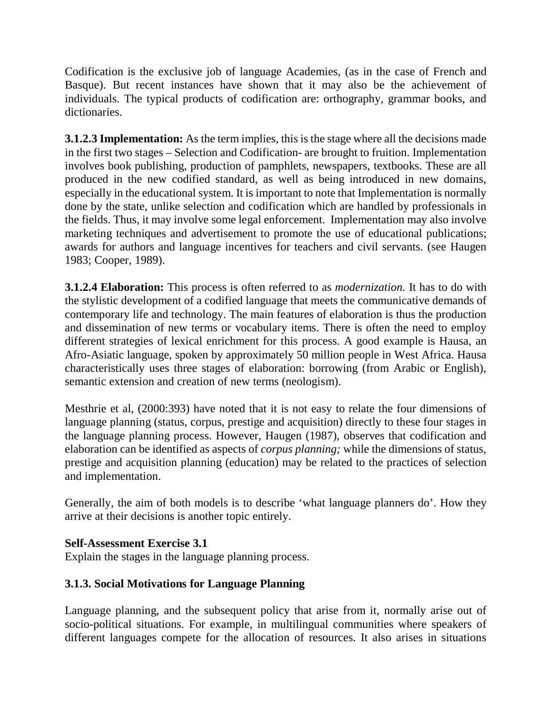Codification is the exclusive job of language Academies, (as in the case of French and Basque). But recent instances have shown that it may also be the achievement of individuals. The typical products of codification are: orthography, grammar books, and dictionaries.

**3.1.2.3 Implementation:** As the term implies, this is the stage where all the decisions made in the first two stages – Selection and Codification- are brought to fruition. Implementation involves book publishing, production of pamphlets, newspapers, textbooks. These are all produced in the new codified standard, as well as being introduced in new domains, especially in the educational system. It is important to note that Implementation is normally done by the state, unlike selection and codification which are handled by professionals in the fields. Thus, it may involve some legal enforcement. Implementation may also involve marketing techniques and advertisement to promote the use of educational publications; awards for authors and language incentives for teachers and civil servants. (see Haugen 1983; Cooper, 1989).

**3.1.2.4 Elaboration:** This process is often referred to as *modernization.* It has to do with the stylistic development of a codified language that meets the communicative demands of contemporary life and technology. The main features of elaboration is thus the production and dissemination of new terms or vocabulary items. There is often the need to employ different strategies of lexical enrichment for this process. A good example is Hausa, an Afro-Asiatic language, spoken by approximately 50 million people in West Africa. Hausa characteristically uses three stages of elaboration: borrowing (from Arabic or English), semantic extension and creation of new terms (neologism).

Mesthrie et al, (2000:393) have noted that it is not easy to relate the four dimensions of language planning (status, corpus, prestige and acquisition) directly to these four stages in the language planning process. However, Haugen (1987), observes that codification and elaboration can be identified as aspects of *corpus planning;* while the dimensions of status, prestige and acquisition planning (education) may be related to the practices of selection and implementation.

Generally, the aim of both models is to describe 'what language planners do'. How they arrive at their decisions is another topic entirely.

# **Self-Assessment Exercise 3.1**

Explain the stages in the language planning process.

# **3.1.3. Social Motivations for Language Planning**

Language planning, and the subsequent policy that arise from it, normally arise out of socio-political situations. For example, in multilingual communities where speakers of different languages compete for the allocation of resources. It also arises in situations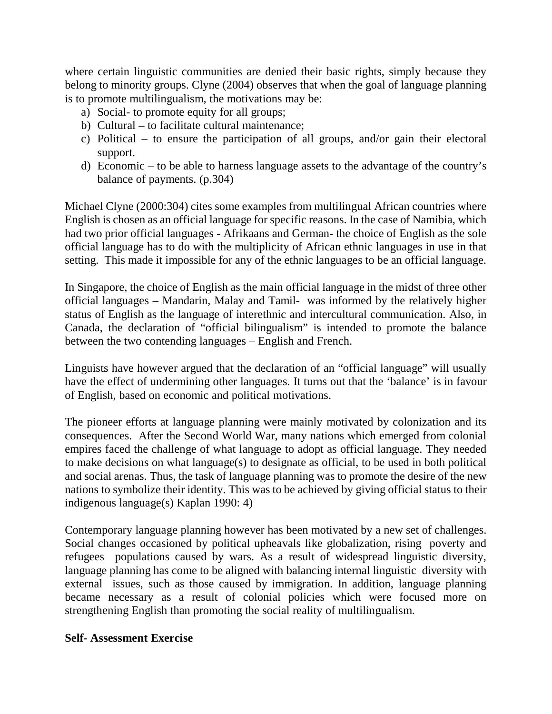where certain linguistic communities are denied their basic rights, simply because they belong to minority groups. Clyne (2004) observes that when the goal of language planning is to promote multilingualism, the motivations may be:

- a) Social- to promote equity for all groups;
- b) Cultural to facilitate cultural maintenance;
- c) Political to ensure the participation of all groups, and/or gain their electoral support.
- d) Economic to be able to harness language assets to the advantage of the country's balance of payments. (p.304)

Michael Clyne (2000:304) cites some examples from multilingual African countries where English is chosen as an official language for specific reasons. In the case of Namibia, which had two prior official languages - Afrikaans and German- the choice of English as the sole official language has to do with the multiplicity of African ethnic languages in use in that setting. This made it impossible for any of the ethnic languages to be an official language.

In Singapore, the choice of English as the main official language in the midst of three other official languages – Mandarin, Malay and Tamil- was informed by the relatively higher status of English as the language of interethnic and intercultural communication. Also, in Canada, the declaration of "official bilingualism" is intended to promote the balance between the two contending languages – English and French.

Linguists have however argued that the declaration of an "official language" will usually have the effect of undermining other languages. It turns out that the 'balance' is in favour of English, based on economic and political motivations.

The pioneer efforts at language planning were mainly motivated by colonization and its consequences. After the Second World War, many nations which emerged from colonial empires faced the challenge of what language to adopt as official language. They needed to make decisions on what language(s) to designate as official, to be used in both political and social arenas. Thus, the task of language planning was to promote the desire of the new nations to symbolize their identity. This was to be achieved by giving official status to their indigenous language(s) Kaplan 1990: 4)

Contemporary language planning however has been motivated by a new set of challenges. Social changes occasioned by political upheavals like globalization, rising poverty and refugees populations caused by wars. As a result of widespread linguistic diversity, language planning has come to be aligned with balancing internal linguistic diversity with external issues, such as those caused by immigration. In addition, language planning became necessary as a result of colonial policies which were focused more on strengthening English than promoting the social reality of multilingualism.

#### **Self- Assessment Exercise**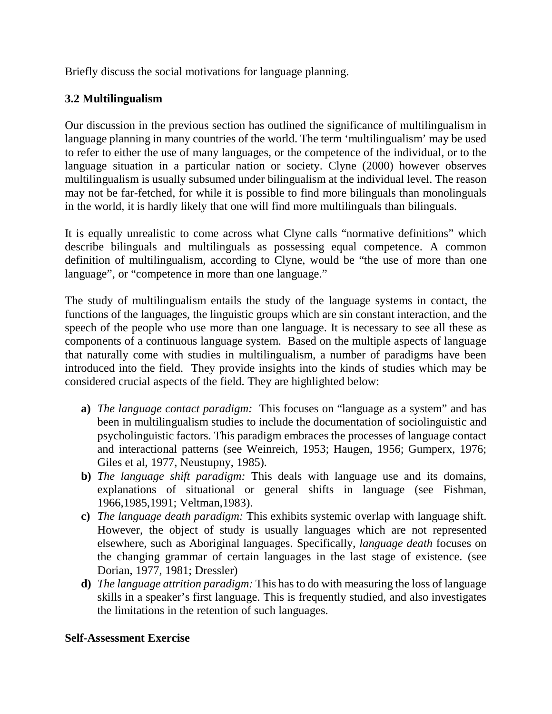Briefly discuss the social motivations for language planning.

# **3.2 Multilingualism**

Our discussion in the previous section has outlined the significance of multilingualism in language planning in many countries of the world. The term 'multilingualism' may be used to refer to either the use of many languages, or the competence of the individual, or to the language situation in a particular nation or society. Clyne (2000) however observes multilingualism is usually subsumed under bilingualism at the individual level. The reason may not be far-fetched, for while it is possible to find more bilinguals than monolinguals in the world, it is hardly likely that one will find more multilinguals than bilinguals.

It is equally unrealistic to come across what Clyne calls "normative definitions" which describe bilinguals and multilinguals as possessing equal competence. A common definition of multilingualism, according to Clyne, would be "the use of more than one language", or "competence in more than one language."

The study of multilingualism entails the study of the language systems in contact, the functions of the languages, the linguistic groups which are sin constant interaction, and the speech of the people who use more than one language. It is necessary to see all these as components of a continuous language system. Based on the multiple aspects of language that naturally come with studies in multilingualism, a number of paradigms have been introduced into the field. They provide insights into the kinds of studies which may be considered crucial aspects of the field. They are highlighted below:

- **a)** *The language contact paradigm:* This focuses on "language as a system" and has been in multilingualism studies to include the documentation of sociolinguistic and psycholinguistic factors. This paradigm embraces the processes of language contact and interactional patterns (see Weinreich, 1953; Haugen, 1956; Gumperx, 1976; Giles et al, 1977, Neustupny, 1985).
- **b)** *The language shift paradigm:* This deals with language use and its domains, explanations of situational or general shifts in language (see Fishman, 1966,1985,1991; Veltman,1983).
- **c)** *The language death paradigm:* This exhibits systemic overlap with language shift. However, the object of study is usually languages which are not represented elsewhere, such as Aboriginal languages. Specifically, *language death* focuses on the changing grammar of certain languages in the last stage of existence. (see Dorian, 1977, 1981; Dressler)
- **d)** *The language attrition paradigm:* This has to do with measuring the loss of language skills in a speaker's first language. This is frequently studied, and also investigates the limitations in the retention of such languages.

## **Self-Assessment Exercise**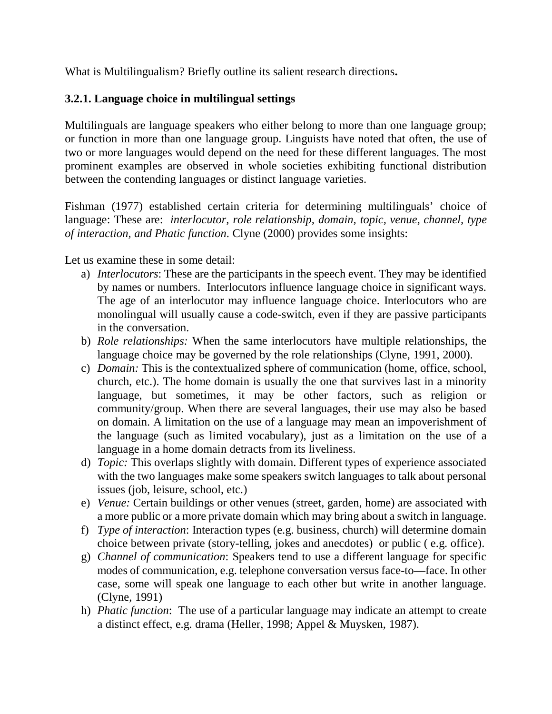What is Multilingualism? Briefly outline its salient research directions**.** 

# **3.2.1. Language choice in multilingual settings**

Multilinguals are language speakers who either belong to more than one language group; or function in more than one language group. Linguists have noted that often, the use of two or more languages would depend on the need for these different languages. The most prominent examples are observed in whole societies exhibiting functional distribution between the contending languages or distinct language varieties.

Fishman (1977) established certain criteria for determining multilinguals' choice of language: These are: *interlocutor, role relationship, domain, topic, venue, channel, type of interaction, and Phatic function*. Clyne (2000) provides some insights:

Let us examine these in some detail:

- a) *Interlocutors*: These are the participants in the speech event. They may be identified by names or numbers. Interlocutors influence language choice in significant ways. The age of an interlocutor may influence language choice. Interlocutors who are monolingual will usually cause a code-switch, even if they are passive participants in the conversation.
- b) *Role relationships:* When the same interlocutors have multiple relationships, the language choice may be governed by the role relationships (Clyne, 1991, 2000).
- c) *Domain:* This is the contextualized sphere of communication (home, office, school, church, etc.). The home domain is usually the one that survives last in a minority language, but sometimes, it may be other factors, such as religion or community/group. When there are several languages, their use may also be based on domain. A limitation on the use of a language may mean an impoverishment of the language (such as limited vocabulary), just as a limitation on the use of a language in a home domain detracts from its liveliness.
- d) *Topic:* This overlaps slightly with domain. Different types of experience associated with the two languages make some speakers switch languages to talk about personal issues (job, leisure, school, etc.)
- e) *Venue:* Certain buildings or other venues (street, garden, home) are associated with a more public or a more private domain which may bring about a switch in language.
- f) *Type of interaction*: Interaction types (e.g. business, church) will determine domain choice between private (story-telling, jokes and anecdotes) or public ( e.g. office).
- g) *Channel of communication*: Speakers tend to use a different language for specific modes of communication, e.g. telephone conversation versus face-to—face. In other case, some will speak one language to each other but write in another language. (Clyne, 1991)
- h) *Phatic function*: The use of a particular language may indicate an attempt to create a distinct effect, e.g. drama (Heller, 1998; Appel & Muysken, 1987).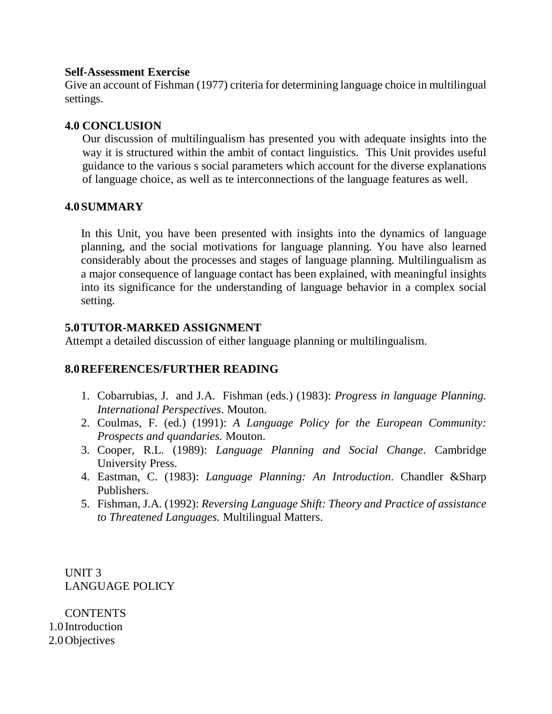#### **Self-Assessment Exercise**

Give an account of Fishman (1977) criteria for determining language choice in multilingual settings.

## **4.0 CONCLUSION**

Our discussion of multilingualism has presented you with adequate insights into the way it is structured within the ambit of contact linguistics. This Unit provides useful guidance to the various s social parameters which account for the diverse explanations of language choice, as well as te interconnections of the language features as well.

#### **4.0SUMMARY**

In this Unit, you have been presented with insights into the dynamics of language planning, and the social motivations for language planning. You have also learned considerably about the processes and stages of language planning. Multilingualism as a major consequence of language contact has been explained, with meaningful insights into its significance for the understanding of language behavior in a complex social setting.

#### **5.0TUTOR-MARKED ASSIGNMENT**

Attempt a detailed discussion of either language planning or multilingualism.

## **8.0REFERENCES/FURTHER READING**

- 1. Cobarrubias, J. and J.A. Fishman (eds.) (1983): *Progress in language Planning. International Perspectives*. Mouton.
- 2. Coulmas, F. (ed.) (1991): *A Language Policy for the European Community: Prospects and quandaries.* Mouton.
- 3. Cooper, R.L. (1989): *Language Planning and Social Change*. Cambridge University Press.
- 4. Eastman, C. (1983): *Language Planning: An Introduction*. Chandler &Sharp Publishers.
- 5. Fishman, J.A. (1992): *Reversing Language Shift: Theory and Practice of assistance to Threatened Languages.* Multilingual Matters.

UNIT 3 LANGUAGE POLICY

**CONTENTS** 1.0 Introduction 2.0Objectives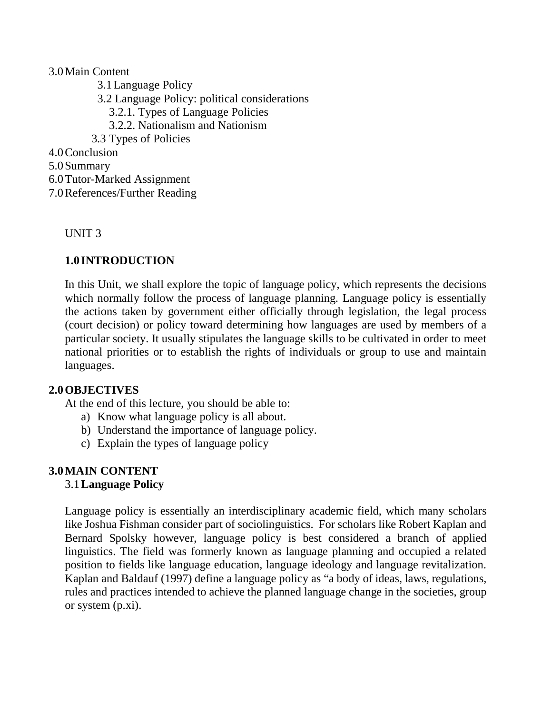### 3.0Main Content

- 3.1Language Policy 3.2 Language Policy: political considerations 3.2.1. Types of Language Policies 3.2.2. Nationalism and Nationism 3.3 Types of Policies 4.0Conclusion 5.0Summary 6.0Tutor-Marked Assignment
- 7.0References/Further Reading

#### UNIT 3

# **1.0 INTRODUCTION**

In this Unit, we shall explore the topic of language policy, which represents the decisions which normally follow the process of language planning. Language policy is essentially the actions taken by government either officially through legislation, the legal process (court decision) or policy toward determining how languages are used by members of a particular society. It usually stipulates the language skills to be cultivated in order to meet national priorities or to establish the rights of individuals or group to use and maintain languages.

## **2.0OBJECTIVES**

At the end of this lecture, you should be able to:

- a) Know what language policy is all about.
- b) Understand the importance of language policy.
- c) Explain the types of language policy

## **3.0MAIN CONTENT**

## 3.1**Language Policy**

Language policy is essentially an interdisciplinary academic field, which many scholars like Joshua Fishman consider part of sociolinguistics. For scholars like Robert Kaplan and Bernard Spolsky however, language policy is best considered a branch of applied linguistics. The field was formerly known as language planning and occupied a related position to fields like language education, language ideology and language revitalization. Kaplan and Baldauf (1997) define a language policy as "a body of ideas, laws, regulations, rules and practices intended to achieve the planned language change in the societies, group or system (p.xi).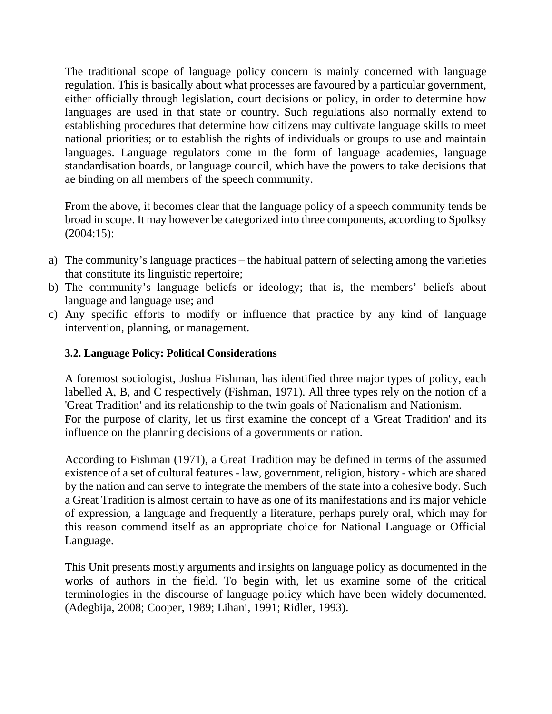The traditional scope of language policy concern is mainly concerned with language regulation. This is basically about what processes are favoured by a particular government, either officially through legislation, court decisions or policy, in order to determine how languages are used in that state or country. Such regulations also normally extend to establishing procedures that determine how citizens may cultivate language skills to meet national priorities; or to establish the rights of individuals or groups to use and maintain languages. Language regulators come in the form of language academies, language standardisation boards, or language council, which have the powers to take decisions that ae binding on all members of the speech community.

From the above, it becomes clear that the language policy of a speech community tends be broad in scope. It may however be categorized into three components, according to Spolksy (2004:15):

- a) The community's language practices the habitual pattern of selecting among the varieties that constitute its linguistic repertoire;
- b) The community's language beliefs or ideology; that is, the members' beliefs about language and language use; and
- c) Any specific efforts to modify or influence that practice by any kind of language intervention, planning, or management.

### **3.2. Language Policy: Political Considerations**

A foremost sociologist, Joshua Fishman, has identified three major types of policy, each labelled A, B, and C respectively (Fishman, 1971). All three types rely on the notion of a 'Great Tradition' and its relationship to the twin goals of Nationalism and Nationism. For the purpose of clarity, let us first examine the concept of a 'Great Tradition' and its influence on the planning decisions of a governments or nation.

According to Fishman (1971), a Great Tradition may be defined in terms of the assumed existence of a set of cultural features - law, government, religion, history - which are shared by the nation and can serve to integrate the members of the state into a cohesive body. Such a Great Tradition is almost certain to have as one of its manifestations and its major vehicle of expression, a language and frequently a literature, perhaps purely oral, which may for this reason commend itself as an appropriate choice for National Language or Official Language.

This Unit presents mostly arguments and insights on language policy as documented in the works of authors in the field. To begin with, let us examine some of the critical terminologies in the discourse of language policy which have been widely documented. (Adegbija, 2008; Cooper, 1989; Lihani, 1991; Ridler, 1993).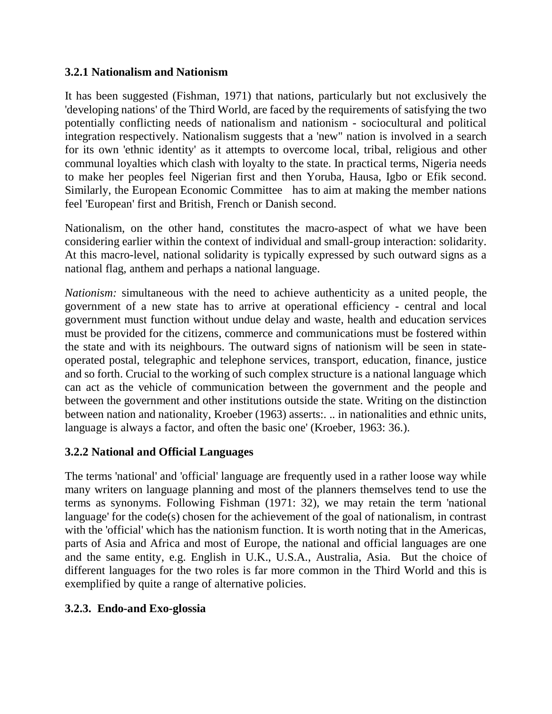### **3.2.1 Nationalism and Nationism**

It has been suggested (Fishman, 1971) that nations, particularly but not exclusively the 'developing nations' of the Third World, are faced by the requirements of satisfying the two potentially conflicting needs of nationalism and nationism - sociocultural and political integration respectively. Nationalism suggests that a 'new" nation is involved in a search for its own 'ethnic identity' as it attempts to overcome local, tribal, religious and other communal loyalties which clash with loyalty to the state. In practical terms, Nigeria needs to make her peoples feel Nigerian first and then Yoruba, Hausa, Igbo or Efik second. Similarly, the European Economic Committee has to aim at making the member nations feel 'European' first and British, French or Danish second.

Nationalism, on the other hand, constitutes the macro-aspect of what we have been considering earlier within the context of individual and small-group interaction: solidarity. At this macro-level, national solidarity is typically expressed by such outward signs as a national flag, anthem and perhaps a national language.

*Nationism:* simultaneous with the need to achieve authenticity as a united people, the government of a new state has to arrive at operational efficiency - central and local government must function without undue delay and waste, health and education services must be provided for the citizens, commerce and communications must be fostered within the state and with its neighbours. The outward signs of nationism will be seen in stateoperated postal, telegraphic and telephone services, transport, education, finance, justice and so forth. Crucial to the working of such complex structure is a national language which can act as the vehicle of communication between the government and the people and between the government and other institutions outside the state. Writing on the distinction between nation and nationality, Kroeber (1963) asserts:. .. in nationalities and ethnic units, language is always a factor, and often the basic one' (Kroeber, 1963: 36.).

## **3.2.2 National and Official Languages**

The terms 'national' and 'official' language are frequently used in a rather loose way while many writers on language planning and most of the planners themselves tend to use the terms as synonyms. Following Fishman (1971: 32), we may retain the term 'national language' for the code(s) chosen for the achievement of the goal of nationalism, in contrast with the 'official' which has the nationism function. It is worth noting that in the Americas, parts of Asia and Africa and most of Europe, the national and official languages are one and the same entity, e.g. English in U.K., U.S.A., Australia, Asia. But the choice of different languages for the two roles is far more common in the Third World and this is exemplified by quite a range of alternative policies.

## **3.2.3. Endo-and Exo-glossia**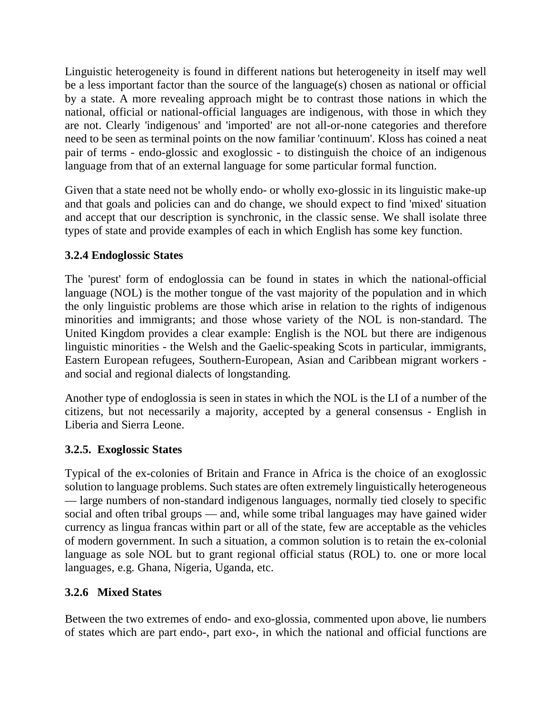Linguistic heterogeneity is found in different nations but heterogeneity in itself may well be a less important factor than the source of the language(s) chosen as national or official by a state. A more revealing approach might be to contrast those nations in which the national, official or national-official languages are indigenous, with those in which they are not. Clearly 'indigenous' and 'imported' are not all-or-none categories and therefore need to be seen as terminal points on the now familiar 'continuum'. Kloss has coined a neat pair of terms - endo-glossic and exoglossic - to distinguish the choice of an indigenous language from that of an external language for some particular formal function.

Given that a state need not be wholly endo- or wholly exo-glossic in its linguistic make-up and that goals and policies can and do change, we should expect to find 'mixed' situation and accept that our description is synchronic, in the classic sense. We shall isolate three types of state and provide examples of each in which English has some key function.

# **3.2.4 Endoglossic States**

The 'purest' form of endoglossia can be found in states in which the national-official language (NOL) is the mother tongue of the vast majority of the population and in which the only linguistic problems are those which arise in relation to the rights of indigenous minorities and immigrants; and those whose variety of the NOL is non-standard. The United Kingdom provides a clear example: English is the NOL but there are indigenous linguistic minorities - the Welsh and the Gaelic-speaking Scots in particular, immigrants, Eastern European refugees, Southern-European, Asian and Caribbean migrant workers and social and regional dialects of longstanding.

Another type of endoglossia is seen in states in which the NOL is the LI of a number of the citizens, but not necessarily a majority, accepted by a general consensus - English in Liberia and Sierra Leone.

# **3.2.5. Exoglossic States**

Typical of the ex-colonies of Britain and France in Africa is the choice of an exoglossic solution to language problems. Such states are often extremely linguistically heterogeneous — large numbers of non-standard indigenous languages, normally tied closely to specific social and often tribal groups — and, while some tribal languages may have gained wider currency as lingua francas within part or all of the state, few are acceptable as the vehicles of modern government. In such a situation, a common solution is to retain the ex-colonial language as sole NOL but to grant regional official status (ROL) to. one or more local languages, e.g. Ghana, Nigeria, Uganda, etc.

# **3.2.6 Mixed States**

Between the two extremes of endo- and exo-glossia, commented upon above, lie numbers of states which are part endo-, part exo-, in which the national and official functions are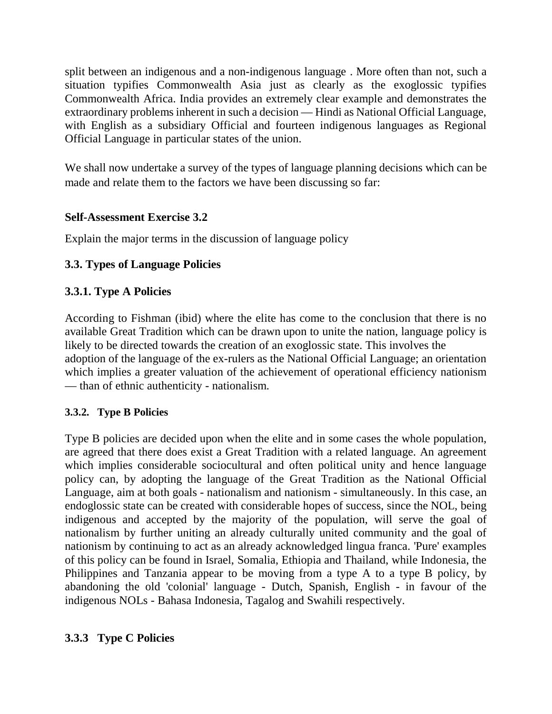split between an indigenous and a non-indigenous language . More often than not, such a situation typifies Commonwealth Asia just as clearly as the exoglossic typifies Commonwealth Africa. India provides an extremely clear example and demonstrates the extraordinary problems inherent in such a decision — Hindi as National Official Language, with English as a subsidiary Official and fourteen indigenous languages as Regional Official Language in particular states of the union.

We shall now undertake a survey of the types of language planning decisions which can be made and relate them to the factors we have been discussing so far:

# **Self-Assessment Exercise 3.2**

Explain the major terms in the discussion of language policy

# **3.3. Types of Language Policies**

# **3.3.1. Type A Policies**

According to Fishman (ibid) where the elite has come to the conclusion that there is no available Great Tradition which can be drawn upon to unite the nation, language policy is likely to be directed towards the creation of an exoglossic state. This involves the adoption of the language of the ex-rulers as the National Official Language; an orientation which implies a greater valuation of the achievement of operational efficiency nationism — than of ethnic authenticity - nationalism.

## **3.3.2. Type B Policies**

Type B policies are decided upon when the elite and in some cases the whole population, are agreed that there does exist a Great Tradition with a related language. An agreement which implies considerable sociocultural and often political unity and hence language policy can, by adopting the language of the Great Tradition as the National Official Language, aim at both goals - nationalism and nationism - simultaneously. In this case, an endoglossic state can be created with considerable hopes of success, since the NOL, being indigenous and accepted by the majority of the population, will serve the goal of nationalism by further uniting an already culturally united community and the goal of nationism by continuing to act as an already acknowledged lingua franca. 'Pure' examples of this policy can be found in Israel, Somalia, Ethiopia and Thailand, while Indonesia, the Philippines and Tanzania appear to be moving from a type A to a type B policy, by abandoning the old 'colonial' language - Dutch, Spanish, English - in favour of the indigenous NOLs - Bahasa Indonesia, Tagalog and Swahili respectively.

## **3.3.3 Type C Policies**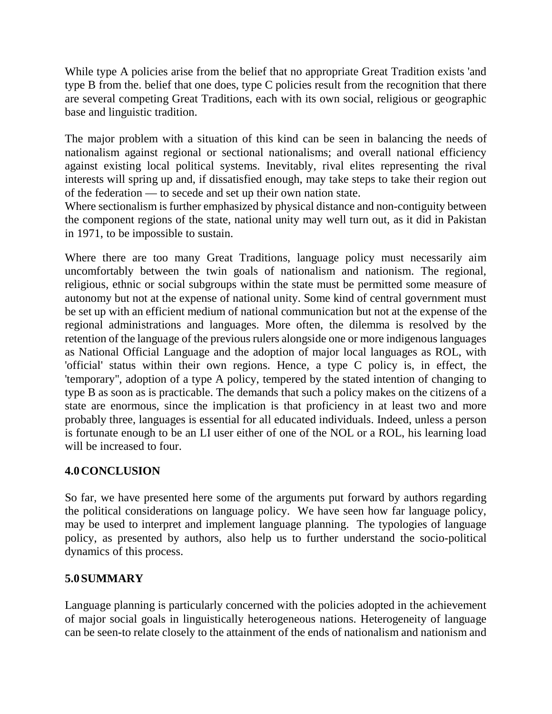While type A policies arise from the belief that no appropriate Great Tradition exists 'and type B from the. belief that one does, type C policies result from the recognition that there are several competing Great Traditions, each with its own social, religious or geographic base and linguistic tradition.

The major problem with a situation of this kind can be seen in balancing the needs of nationalism against regional or sectional nationalisms; and overall national efficiency against existing local political systems. Inevitably, rival elites representing the rival interests will spring up and, if dissatisfied enough, may take steps to take their region out of the federation — to secede and set up their own nation state.

Where sectionalism is further emphasized by physical distance and non-contiguity between the component regions of the state, national unity may well turn out, as it did in Pakistan in 1971, to be impossible to sustain.

Where there are too many Great Traditions, language policy must necessarily aim uncomfortably between the twin goals of nationalism and nationism. The regional, religious, ethnic or social subgroups within the state must be permitted some measure of autonomy but not at the expense of national unity. Some kind of central government must be set up with an efficient medium of national communication but not at the expense of the regional administrations and languages. More often, the dilemma is resolved by the retention of the language of the previous rulers alongside one or more indigenous languages as National Official Language and the adoption of major local languages as ROL, with 'official' status within their own regions. Hence, a type C policy is, in effect, the 'temporary'', adoption of a type A policy, tempered by the stated intention of changing to type B as soon as is practicable. The demands that such a policy makes on the citizens of a state are enormous, since the implication is that proficiency in at least two and more probably three, languages is essential for all educated individuals. Indeed, unless a person is fortunate enough to be an LI user either of one of the NOL or a ROL, his learning load will be increased to four.

# **4.0CONCLUSION**

So far, we have presented here some of the arguments put forward by authors regarding the political considerations on language policy. We have seen how far language policy, may be used to interpret and implement language planning. The typologies of language policy, as presented by authors, also help us to further understand the socio-political dynamics of this process.

# **5.0SUMMARY**

Language planning is particularly concerned with the policies adopted in the achievement of major social goals in linguistically heterogeneous nations. Heterogeneity of language can be seen-to relate closely to the attainment of the ends of nationalism and nationism and